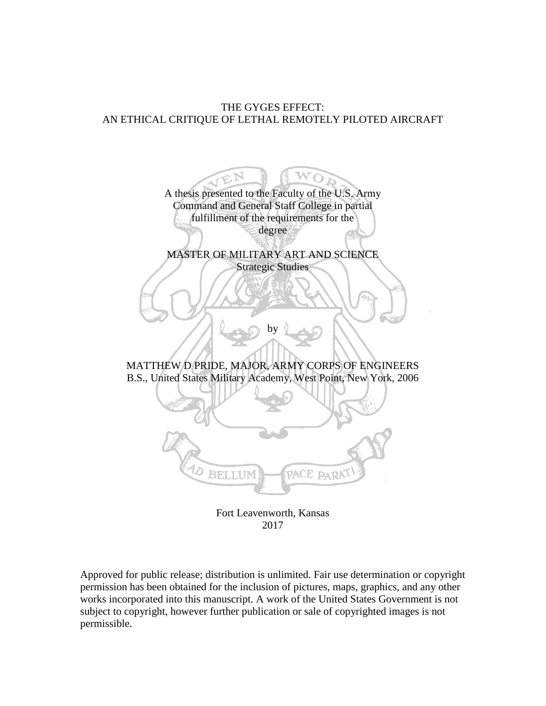# THE GYGES EFFECT: AN ETHICAL CRITIQUE OF LETHAL REMOTELY PILOTED AIRCRAFT



2017

Approved for public release; distribution is unlimited. Fair use determination or copyright permission has been obtained for the inclusion of pictures, maps, graphics, and any other works incorporated into this manuscript. A work of the United States Government is not subject to copyright, however further publication or sale of copyrighted images is not permissible.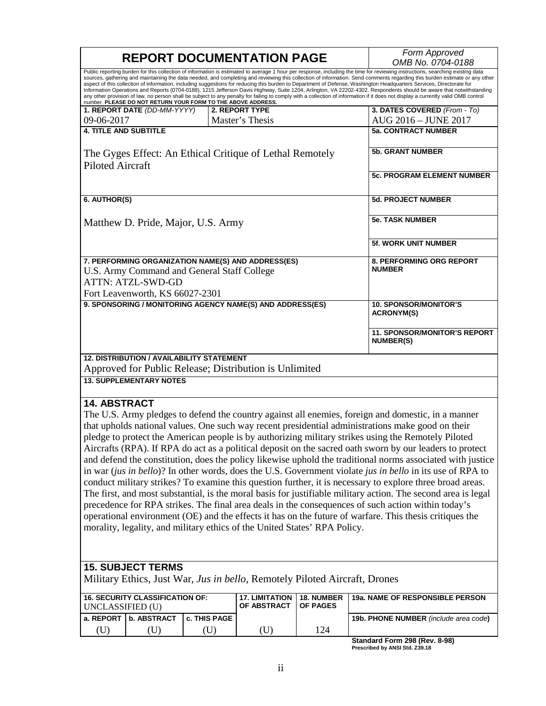|                                                                                                                                                                                                                                                                                                                                                                                                                                                                                                                                                                                                                                                                                                                                                                                                                                                                                                                                                | <b>REPORT DOCUMENTATION PAGE</b>                                                                           | Form Approved                                    |  |  |  |
|------------------------------------------------------------------------------------------------------------------------------------------------------------------------------------------------------------------------------------------------------------------------------------------------------------------------------------------------------------------------------------------------------------------------------------------------------------------------------------------------------------------------------------------------------------------------------------------------------------------------------------------------------------------------------------------------------------------------------------------------------------------------------------------------------------------------------------------------------------------------------------------------------------------------------------------------|------------------------------------------------------------------------------------------------------------|--------------------------------------------------|--|--|--|
|                                                                                                                                                                                                                                                                                                                                                                                                                                                                                                                                                                                                                                                                                                                                                                                                                                                                                                                                                |                                                                                                            | OMB No. 0704-0188                                |  |  |  |
| Public reporting burden for this collection of information is estimated to average 1 hour per response, including the time for reviewing instructions, searching existing data<br>sources, gathering and maintaining the data needed, and completing and reviewing this collection of information. Send comments regarding this burden estimate or any other<br>aspect of this collection of information, including suggestions for reducing this burden to Department of Defense, Washington Headquarters Services, Directorate for<br>Information Operations and Reports (0704-0188), 1215 Jefferson Davis Highway, Suite 1204, Arlington, VA 22202-4302. Respondents should be aware that notwithstanding<br>any other provision of law, no person shall be subject to any penalty for failing to comply with a collection of information if it does not display a currently valid OMB control number. PLEASE DO NOT RETURN YOUR FORM TO TH |                                                                                                            |                                                  |  |  |  |
| 1. REPORT DATE (DD-MM-YYYY)                                                                                                                                                                                                                                                                                                                                                                                                                                                                                                                                                                                                                                                                                                                                                                                                                                                                                                                    | 2. REPORT TYPE                                                                                             | 3. DATES COVERED (From - To)                     |  |  |  |
| 09-06-2017                                                                                                                                                                                                                                                                                                                                                                                                                                                                                                                                                                                                                                                                                                                                                                                                                                                                                                                                     | Master's Thesis                                                                                            | AUG 2016 - JUNE 2017                             |  |  |  |
| <b>4. TITLE AND SUBTITLE</b>                                                                                                                                                                                                                                                                                                                                                                                                                                                                                                                                                                                                                                                                                                                                                                                                                                                                                                                   |                                                                                                            | <b>5a. CONTRACT NUMBER</b>                       |  |  |  |
|                                                                                                                                                                                                                                                                                                                                                                                                                                                                                                                                                                                                                                                                                                                                                                                                                                                                                                                                                |                                                                                                            |                                                  |  |  |  |
| The Gyges Effect: An Ethical Critique of Lethal Remotely                                                                                                                                                                                                                                                                                                                                                                                                                                                                                                                                                                                                                                                                                                                                                                                                                                                                                       | <b>5b. GRANT NUMBER</b>                                                                                    |                                                  |  |  |  |
| <b>Piloted Aircraft</b>                                                                                                                                                                                                                                                                                                                                                                                                                                                                                                                                                                                                                                                                                                                                                                                                                                                                                                                        | <b>5c. PROGRAM ELEMENT NUMBER</b>                                                                          |                                                  |  |  |  |
| 6. AUTHOR(S)                                                                                                                                                                                                                                                                                                                                                                                                                                                                                                                                                                                                                                                                                                                                                                                                                                                                                                                                   |                                                                                                            | <b>5d. PROJECT NUMBER</b>                        |  |  |  |
| Matthew D. Pride, Major, U.S. Army                                                                                                                                                                                                                                                                                                                                                                                                                                                                                                                                                                                                                                                                                                                                                                                                                                                                                                             |                                                                                                            | <b>5e. TASK NUMBER</b>                           |  |  |  |
|                                                                                                                                                                                                                                                                                                                                                                                                                                                                                                                                                                                                                                                                                                                                                                                                                                                                                                                                                |                                                                                                            | <b>5f. WORK UNIT NUMBER</b>                      |  |  |  |
| 7. PERFORMING ORGANIZATION NAME(S) AND ADDRESS(ES)<br>U.S. Army Command and General Staff College<br><b>ATTN: ATZL-SWD-GD</b><br>Fort Leavenworth, KS 66027-2301                                                                                                                                                                                                                                                                                                                                                                                                                                                                                                                                                                                                                                                                                                                                                                               | <b>8. PERFORMING ORG REPORT</b><br><b>NUMBER</b>                                                           |                                                  |  |  |  |
| 9. SPONSORING / MONITORING AGENCY NAME(S) AND ADDRESS(ES)                                                                                                                                                                                                                                                                                                                                                                                                                                                                                                                                                                                                                                                                                                                                                                                                                                                                                      |                                                                                                            | <b>10. SPONSOR/MONITOR'S</b>                     |  |  |  |
|                                                                                                                                                                                                                                                                                                                                                                                                                                                                                                                                                                                                                                                                                                                                                                                                                                                                                                                                                | <b>ACRONYM(S)</b>                                                                                          |                                                  |  |  |  |
|                                                                                                                                                                                                                                                                                                                                                                                                                                                                                                                                                                                                                                                                                                                                                                                                                                                                                                                                                |                                                                                                            | 11. SPONSOR/MONITOR'S REPORT<br><b>NUMBER(S)</b> |  |  |  |
| <b>12. DISTRIBUTION / AVAILABILITY STATEMENT</b>                                                                                                                                                                                                                                                                                                                                                                                                                                                                                                                                                                                                                                                                                                                                                                                                                                                                                               |                                                                                                            |                                                  |  |  |  |
| Approved for Public Release; Distribution is Unlimited                                                                                                                                                                                                                                                                                                                                                                                                                                                                                                                                                                                                                                                                                                                                                                                                                                                                                         |                                                                                                            |                                                  |  |  |  |
| <b>13. SUPPLEMENTARY NOTES</b>                                                                                                                                                                                                                                                                                                                                                                                                                                                                                                                                                                                                                                                                                                                                                                                                                                                                                                                 |                                                                                                            |                                                  |  |  |  |
|                                                                                                                                                                                                                                                                                                                                                                                                                                                                                                                                                                                                                                                                                                                                                                                                                                                                                                                                                |                                                                                                            |                                                  |  |  |  |
| <b>14. ABSTRACT</b>                                                                                                                                                                                                                                                                                                                                                                                                                                                                                                                                                                                                                                                                                                                                                                                                                                                                                                                            |                                                                                                            |                                                  |  |  |  |
|                                                                                                                                                                                                                                                                                                                                                                                                                                                                                                                                                                                                                                                                                                                                                                                                                                                                                                                                                |                                                                                                            |                                                  |  |  |  |
|                                                                                                                                                                                                                                                                                                                                                                                                                                                                                                                                                                                                                                                                                                                                                                                                                                                                                                                                                | The U.S. Army pledges to defend the country against all enemies, foreign and domestic, in a manner         |                                                  |  |  |  |
| that upholds national values. One such way recent presidential administrations make good on their                                                                                                                                                                                                                                                                                                                                                                                                                                                                                                                                                                                                                                                                                                                                                                                                                                              |                                                                                                            |                                                  |  |  |  |
| pledge to protect the American people is by authorizing military strikes using the Remotely Piloted                                                                                                                                                                                                                                                                                                                                                                                                                                                                                                                                                                                                                                                                                                                                                                                                                                            |                                                                                                            |                                                  |  |  |  |
|                                                                                                                                                                                                                                                                                                                                                                                                                                                                                                                                                                                                                                                                                                                                                                                                                                                                                                                                                | Aircrafts (RPA). If RPA do act as a political deposit on the sacred oath sworn by our leaders to protect   |                                                  |  |  |  |
|                                                                                                                                                                                                                                                                                                                                                                                                                                                                                                                                                                                                                                                                                                                                                                                                                                                                                                                                                | and defend the constitution, does the policy likewise uphold the traditional norms associated with justice |                                                  |  |  |  |
| in war (jus in bello)? In other words, does the U.S. Government violate jus in bello in its use of RPA to                                                                                                                                                                                                                                                                                                                                                                                                                                                                                                                                                                                                                                                                                                                                                                                                                                      |                                                                                                            |                                                  |  |  |  |
| conduct military strikes? To examine this question further, it is necessary to explore three broad areas.                                                                                                                                                                                                                                                                                                                                                                                                                                                                                                                                                                                                                                                                                                                                                                                                                                      |                                                                                                            |                                                  |  |  |  |
| The first, and most substantial, is the moral basis for justifiable military action. The second area is legal                                                                                                                                                                                                                                                                                                                                                                                                                                                                                                                                                                                                                                                                                                                                                                                                                                  |                                                                                                            |                                                  |  |  |  |
|                                                                                                                                                                                                                                                                                                                                                                                                                                                                                                                                                                                                                                                                                                                                                                                                                                                                                                                                                |                                                                                                            |                                                  |  |  |  |

precedence for RPA strikes. The final area deals in the consequences of such action within today's operational environment (OE) and the effects it has on the future of warfare. This thesis critiques the morality, legality, and military ethics of the United States' RPA Policy.

# **15. SUBJECT TERMS**

Military Ethics, Just War, *Jus in bello*, Remotely Piloted Aircraft, Drones

| UNCLASSIFIED (U) | I 16. SECURITY CLASSIFICATION OF: I |                     | <b>17. LIMITATION 18. NUMBER</b><br>OF ABSTRACT | <b>LOF PAGES</b> | <b>19a. NAME OF RESPONSIBLE PERSON</b> |
|------------------|-------------------------------------|---------------------|-------------------------------------------------|------------------|----------------------------------------|
|                  | l a. REPORT   b. ABSTRACT           | <b>C. THIS PAGE</b> |                                                 |                  | 19b. PHONE NUMBER (include area code)  |
|                  |                                     |                     |                                                 | 124              |                                        |

**Standard Form 298 (Rev. 8-98) Prescribed by ANSI Std. Z39.18**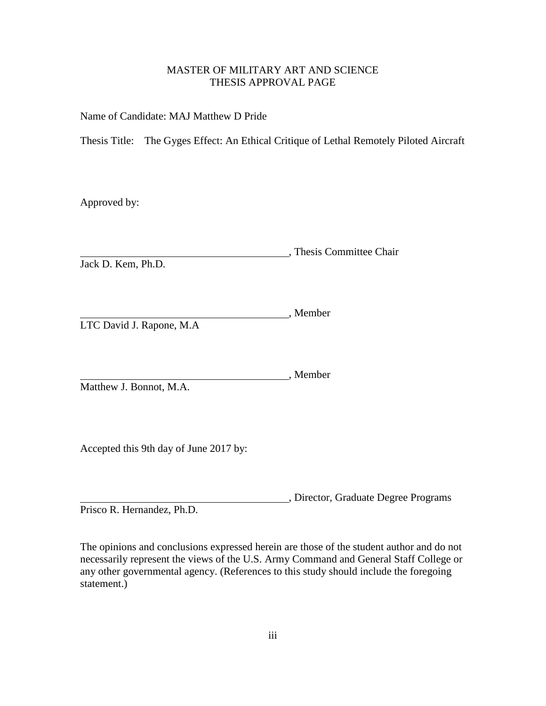# MASTER OF MILITARY ART AND SCIENCE THESIS APPROVAL PAGE

Name of Candidate: MAJ Matthew D Pride

Thesis Title: The Gyges Effect: An Ethical Critique of Lethal Remotely Piloted Aircraft

Approved by:

, Thesis Committee Chair

Jack D. Kem, Ph.D.

**Member**, Member LTC David J. Rapone, M.A

, Member

Matthew J. Bonnot, M.A.

Accepted this 9th day of June 2017 by:

, Director, Graduate Degree Programs Prisco R. Hernandez, Ph.D.

The opinions and conclusions expressed herein are those of the student author and do not necessarily represent the views of the U.S. Army Command and General Staff College or any other governmental agency. (References to this study should include the foregoing statement.)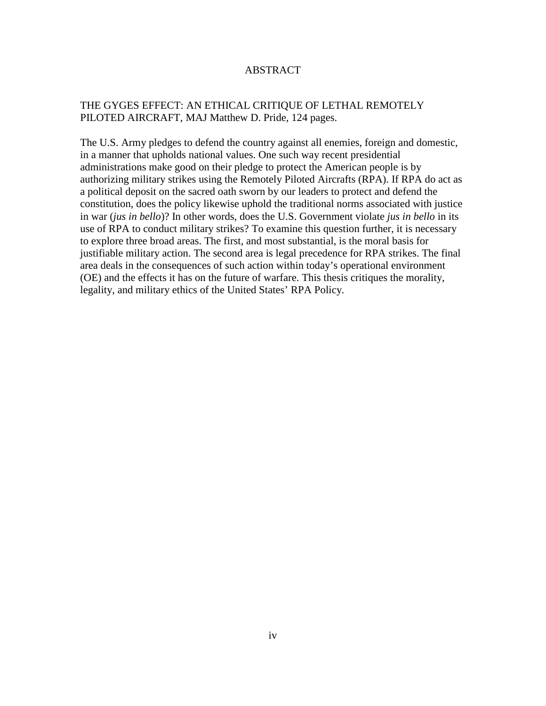## ABSTRACT

# THE GYGES EFFECT: AN ETHICAL CRITIQUE OF LETHAL REMOTELY PILOTED AIRCRAFT, MAJ Matthew D. Pride, 124 pages.

The U.S. Army pledges to defend the country against all enemies, foreign and domestic, in a manner that upholds national values. One such way recent presidential administrations make good on their pledge to protect the American people is by authorizing military strikes using the Remotely Piloted Aircrafts (RPA). If RPA do act as a political deposit on the sacred oath sworn by our leaders to protect and defend the constitution, does the policy likewise uphold the traditional norms associated with justice in war (*jus in bello*)? In other words, does the U.S. Government violate *jus in bello* in its use of RPA to conduct military strikes? To examine this question further, it is necessary to explore three broad areas. The first, and most substantial, is the moral basis for justifiable military action. The second area is legal precedence for RPA strikes. The final area deals in the consequences of such action within today's operational environment (OE) and the effects it has on the future of warfare. This thesis critiques the morality, legality, and military ethics of the United States' RPA Policy.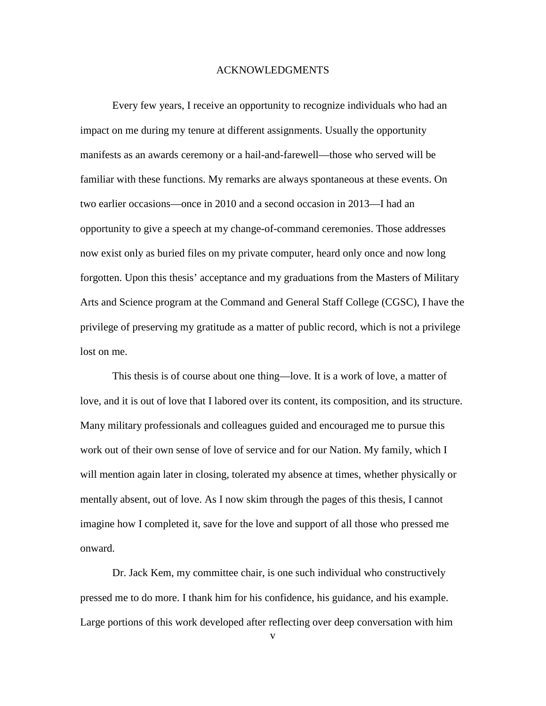#### ACKNOWLEDGMENTS

Every few years, I receive an opportunity to recognize individuals who had an impact on me during my tenure at different assignments. Usually the opportunity manifests as an awards ceremony or a hail-and-farewell—those who served will be familiar with these functions. My remarks are always spontaneous at these events. On two earlier occasions—once in 2010 and a second occasion in 2013—I had an opportunity to give a speech at my change-of-command ceremonies. Those addresses now exist only as buried files on my private computer, heard only once and now long forgotten. Upon this thesis' acceptance and my graduations from the Masters of Military Arts and Science program at the Command and General Staff College (CGSC), I have the privilege of preserving my gratitude as a matter of public record, which is not a privilege lost on me.

This thesis is of course about one thing—love. It is a work of love, a matter of love, and it is out of love that I labored over its content, its composition, and its structure. Many military professionals and colleagues guided and encouraged me to pursue this work out of their own sense of love of service and for our Nation. My family, which I will mention again later in closing, tolerated my absence at times, whether physically or mentally absent, out of love. As I now skim through the pages of this thesis, I cannot imagine how I completed it, save for the love and support of all those who pressed me onward.

Dr. Jack Kem, my committee chair, is one such individual who constructively pressed me to do more. I thank him for his confidence, his guidance, and his example. Large portions of this work developed after reflecting over deep conversation with him

v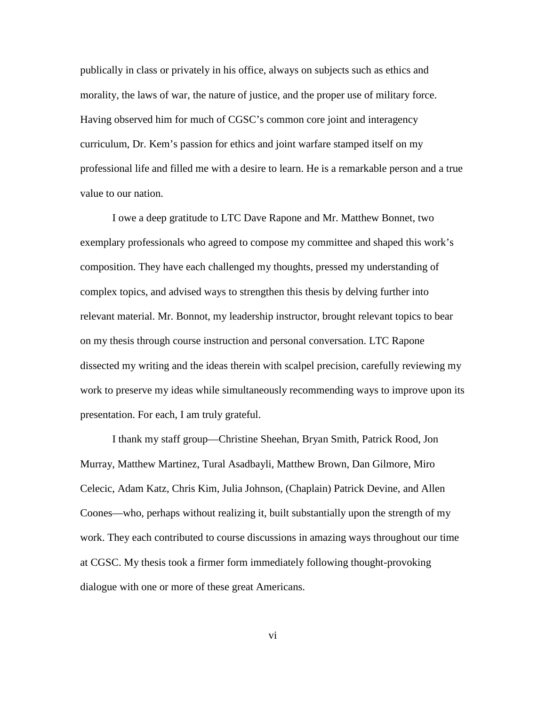publically in class or privately in his office, always on subjects such as ethics and morality, the laws of war, the nature of justice, and the proper use of military force. Having observed him for much of CGSC's common core joint and interagency curriculum, Dr. Kem's passion for ethics and joint warfare stamped itself on my professional life and filled me with a desire to learn. He is a remarkable person and a true value to our nation.

I owe a deep gratitude to LTC Dave Rapone and Mr. Matthew Bonnet, two exemplary professionals who agreed to compose my committee and shaped this work's composition. They have each challenged my thoughts, pressed my understanding of complex topics, and advised ways to strengthen this thesis by delving further into relevant material. Mr. Bonnot, my leadership instructor, brought relevant topics to bear on my thesis through course instruction and personal conversation. LTC Rapone dissected my writing and the ideas therein with scalpel precision, carefully reviewing my work to preserve my ideas while simultaneously recommending ways to improve upon its presentation. For each, I am truly grateful.

I thank my staff group—Christine Sheehan, Bryan Smith, Patrick Rood, Jon Murray, Matthew Martinez, Tural Asadbayli, Matthew Brown, Dan Gilmore, Miro Celecic, Adam Katz, Chris Kim, Julia Johnson, (Chaplain) Patrick Devine, and Allen Coones—who, perhaps without realizing it, built substantially upon the strength of my work. They each contributed to course discussions in amazing ways throughout our time at CGSC. My thesis took a firmer form immediately following thought-provoking dialogue with one or more of these great Americans.

vi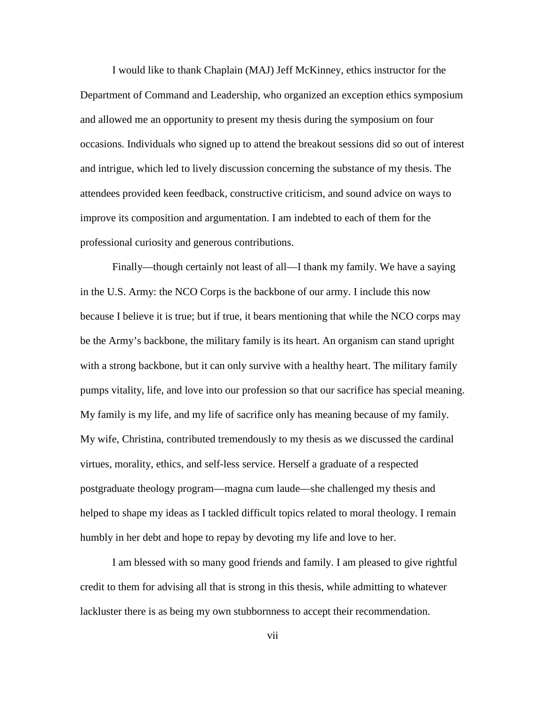I would like to thank Chaplain (MAJ) Jeff McKinney, ethics instructor for the Department of Command and Leadership, who organized an exception ethics symposium and allowed me an opportunity to present my thesis during the symposium on four occasions. Individuals who signed up to attend the breakout sessions did so out of interest and intrigue, which led to lively discussion concerning the substance of my thesis. The attendees provided keen feedback, constructive criticism, and sound advice on ways to improve its composition and argumentation. I am indebted to each of them for the professional curiosity and generous contributions.

Finally—though certainly not least of all—I thank my family. We have a saying in the U.S. Army: the NCO Corps is the backbone of our army. I include this now because I believe it is true; but if true, it bears mentioning that while the NCO corps may be the Army's backbone, the military family is its heart. An organism can stand upright with a strong backbone, but it can only survive with a healthy heart. The military family pumps vitality, life, and love into our profession so that our sacrifice has special meaning. My family is my life, and my life of sacrifice only has meaning because of my family. My wife, Christina, contributed tremendously to my thesis as we discussed the cardinal virtues, morality, ethics, and self-less service. Herself a graduate of a respected postgraduate theology program—magna cum laude—she challenged my thesis and helped to shape my ideas as I tackled difficult topics related to moral theology. I remain humbly in her debt and hope to repay by devoting my life and love to her.

I am blessed with so many good friends and family. I am pleased to give rightful credit to them for advising all that is strong in this thesis, while admitting to whatever lackluster there is as being my own stubbornness to accept their recommendation.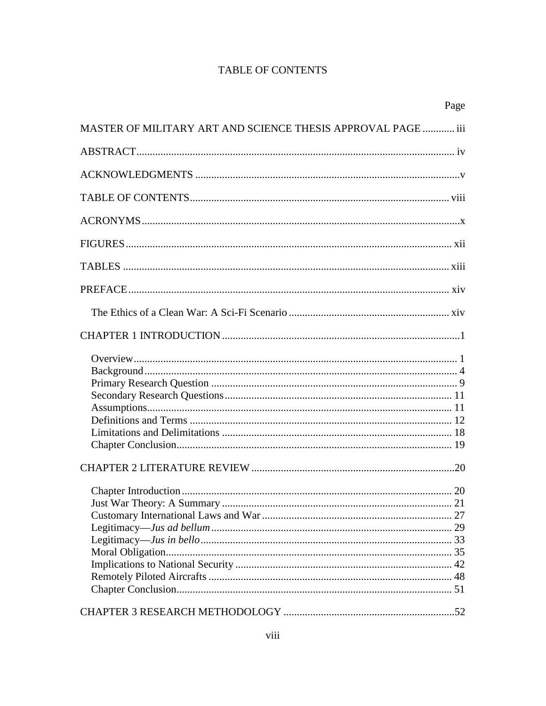# **TABLE OF CONTENTS**

|                                                              | Page |
|--------------------------------------------------------------|------|
| MASTER OF MILITARY ART AND SCIENCE THESIS APPROVAL PAGE  iii |      |
|                                                              |      |
|                                                              |      |
|                                                              |      |
|                                                              |      |
|                                                              |      |
|                                                              |      |
|                                                              |      |
|                                                              |      |
|                                                              |      |
|                                                              |      |
|                                                              |      |
|                                                              |      |
|                                                              |      |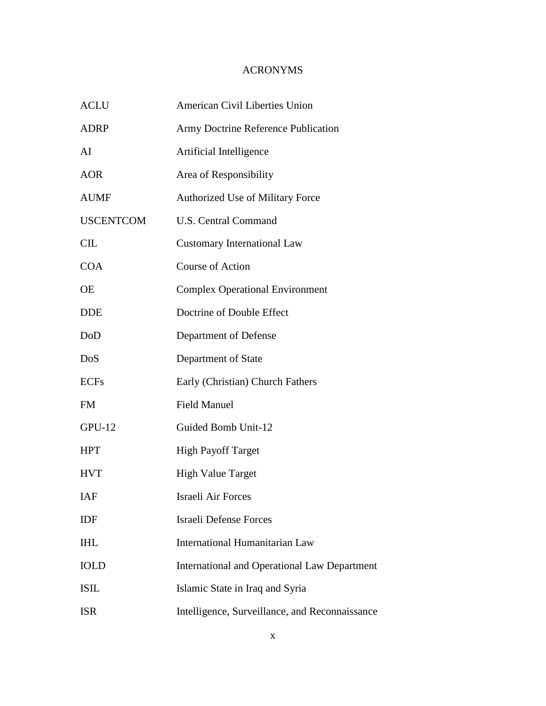# ACRONYMS

| <b>ACLU</b>      | American Civil Liberties Union                 |
|------------------|------------------------------------------------|
| <b>ADRP</b>      | Army Doctrine Reference Publication            |
| AI               | Artificial Intelligence                        |
| <b>AOR</b>       | Area of Responsibility                         |
| <b>AUMF</b>      | Authorized Use of Military Force               |
| <b>USCENTCOM</b> | <b>U.S. Central Command</b>                    |
| CL               | <b>Customary International Law</b>             |
| <b>COA</b>       | <b>Course of Action</b>                        |
| <b>OE</b>        | <b>Complex Operational Environment</b>         |
| <b>DDE</b>       | Doctrine of Double Effect                      |
| DoD              | Department of Defense                          |
| DoS              | Department of State                            |
| <b>ECFs</b>      | Early (Christian) Church Fathers               |
| <b>FM</b>        | <b>Field Manuel</b>                            |
| $GPU-12$         | Guided Bomb Unit-12                            |
| <b>HPT</b>       | <b>High Payoff Target</b>                      |
| <b>HVT</b>       | <b>High Value Target</b>                       |
| IAF              | Israeli Air Forces                             |
| IDF              | <b>Israeli Defense Forces</b>                  |
| <b>IHL</b>       | <b>International Humanitarian Law</b>          |
| <b>IOLD</b>      | International and Operational Law Department   |
| <b>ISIL</b>      | Islamic State in Iraq and Syria                |
| <b>ISR</b>       | Intelligence, Surveillance, and Reconnaissance |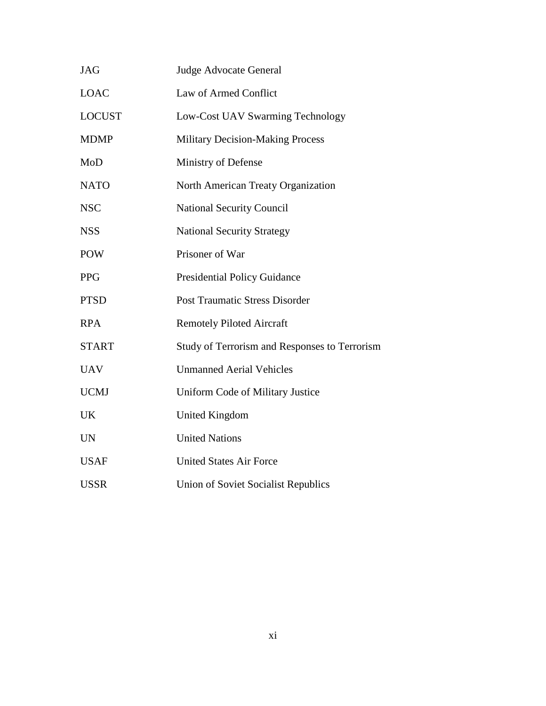| <b>JAG</b>    | <b>Judge Advocate General</b>                 |
|---------------|-----------------------------------------------|
| <b>LOAC</b>   | Law of Armed Conflict                         |
| <b>LOCUST</b> | Low-Cost UAV Swarming Technology              |
| <b>MDMP</b>   | <b>Military Decision-Making Process</b>       |
| MoD           | Ministry of Defense                           |
| <b>NATO</b>   | North American Treaty Organization            |
| <b>NSC</b>    | <b>National Security Council</b>              |
| <b>NSS</b>    | <b>National Security Strategy</b>             |
| <b>POW</b>    | Prisoner of War                               |
| <b>PPG</b>    | <b>Presidential Policy Guidance</b>           |
| <b>PTSD</b>   | <b>Post Traumatic Stress Disorder</b>         |
| <b>RPA</b>    | <b>Remotely Piloted Aircraft</b>              |
| <b>START</b>  | Study of Terrorism and Responses to Terrorism |
| <b>UAV</b>    | <b>Unmanned Aerial Vehicles</b>               |
| <b>UCMJ</b>   | Uniform Code of Military Justice              |
| <b>UK</b>     | United Kingdom                                |
| <b>UN</b>     | <b>United Nations</b>                         |
| <b>USAF</b>   | <b>United States Air Force</b>                |
| <b>USSR</b>   | Union of Soviet Socialist Republics           |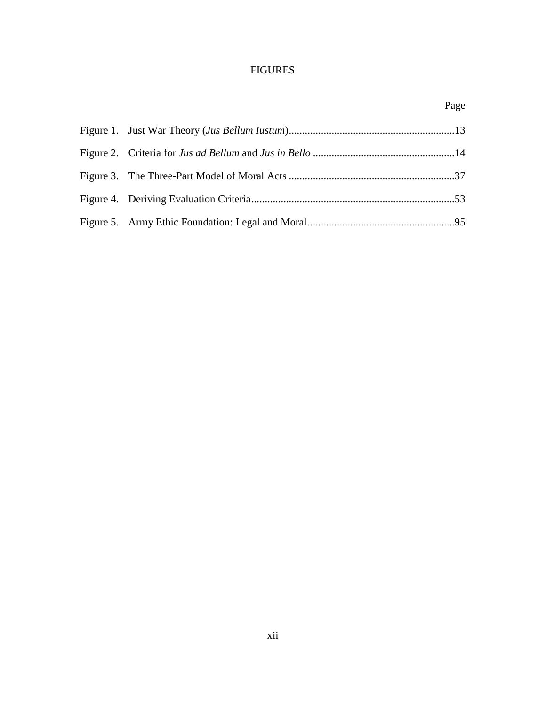# FIGURES

Page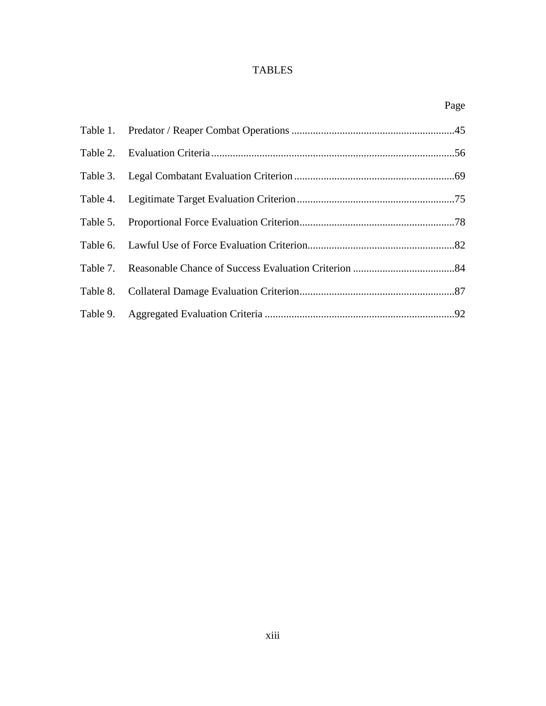# TABLES

|  | Page |
|--|------|
|  |      |
|  |      |
|  |      |
|  |      |
|  |      |
|  |      |
|  |      |
|  |      |
|  |      |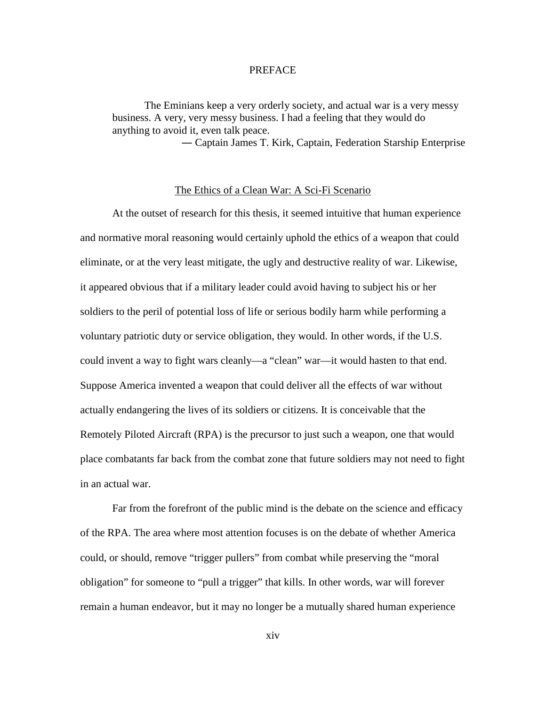## PREFACE

The Eminians keep a very orderly society, and actual war is a very messy business. A very, very messy business. I had a feeling that they would do anything to avoid it, even talk peace.

― Captain James T. Kirk, Captain, Federation Starship Enterprise

## The Ethics of a Clean War: A Sci-Fi Scenario

At the outset of research for this thesis, it seemed intuitive that human experience and normative moral reasoning would certainly uphold the ethics of a weapon that could eliminate, or at the very least mitigate, the ugly and destructive reality of war. Likewise, it appeared obvious that if a military leader could avoid having to subject his or her soldiers to the peril of potential loss of life or serious bodily harm while performing a voluntary patriotic duty or service obligation, they would. In other words, if the U.S. could invent a way to fight wars cleanly—a "clean" war—it would hasten to that end. Suppose America invented a weapon that could deliver all the effects of war without actually endangering the lives of its soldiers or citizens. It is conceivable that the Remotely Piloted Aircraft (RPA) is the precursor to just such a weapon, one that would place combatants far back from the combat zone that future soldiers may not need to fight in an actual war.

Far from the forefront of the public mind is the debate on the science and efficacy of the RPA. The area where most attention focuses is on the debate of whether America could, or should, remove "trigger pullers" from combat while preserving the "moral obligation" for someone to "pull a trigger" that kills. In other words, war will forever remain a human endeavor, but it may no longer be a mutually shared human experience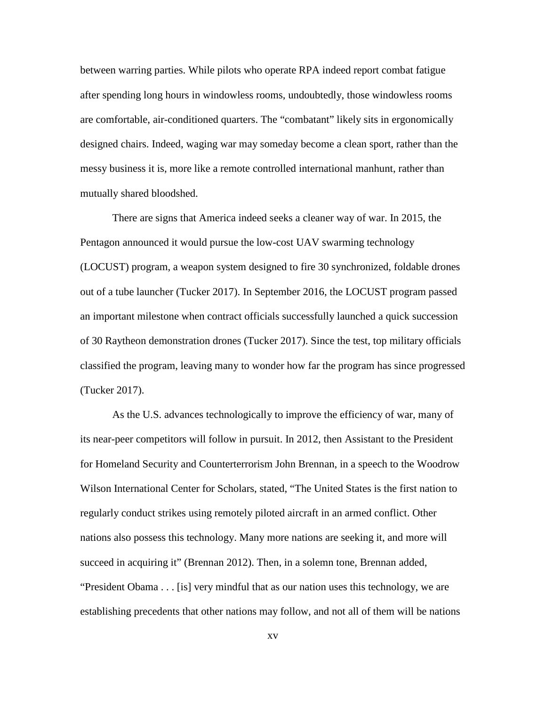between warring parties. While pilots who operate RPA indeed report combat fatigue after spending long hours in windowless rooms, undoubtedly, those windowless rooms are comfortable, air-conditioned quarters. The "combatant" likely sits in ergonomically designed chairs. Indeed, waging war may someday become a clean sport, rather than the messy business it is, more like a remote controlled international manhunt, rather than mutually shared bloodshed.

There are signs that America indeed seeks a cleaner way of war. In 2015, the Pentagon announced it would pursue the low-cost UAV swarming technology (LOCUST) program, a weapon system designed to fire 30 synchronized, foldable drones out of a tube launcher (Tucker 2017). In September 2016, the LOCUST program passed an important milestone when contract officials successfully launched a quick succession of 30 Raytheon demonstration drones (Tucker 2017). Since the test, top military officials classified the program, leaving many to wonder how far the program has since progressed (Tucker 2017).

As the U.S. advances technologically to improve the efficiency of war, many of its near-peer competitors will follow in pursuit. In 2012, then Assistant to the President for Homeland Security and Counterterrorism John Brennan, in a speech to the Woodrow Wilson International Center for Scholars, stated, "The United States is the first nation to regularly conduct strikes using remotely piloted aircraft in an armed conflict. Other nations also possess this technology. Many more nations are seeking it, and more will succeed in acquiring it" (Brennan 2012). Then, in a solemn tone, Brennan added, "President Obama . . . [is] very mindful that as our nation uses this technology, we are establishing precedents that other nations may follow, and not all of them will be nations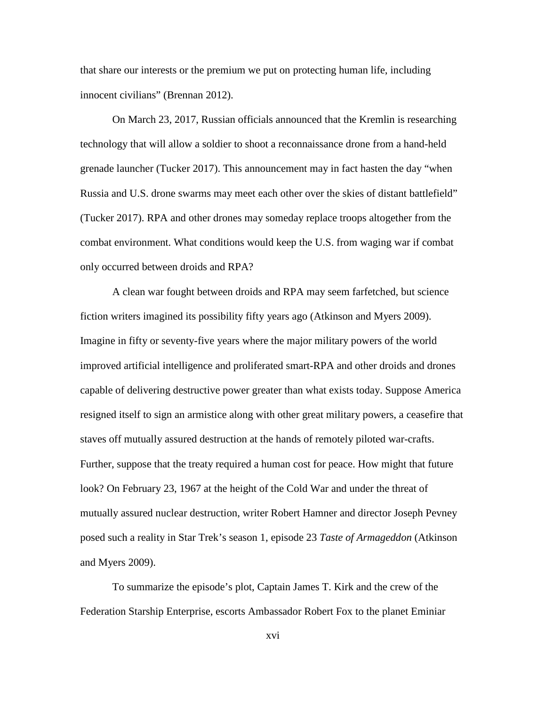that share our interests or the premium we put on protecting human life, including innocent civilians" (Brennan 2012).

On March 23, 2017, Russian officials announced that the Kremlin is researching technology that will allow a soldier to shoot a reconnaissance drone from a hand-held grenade launcher (Tucker 2017). This announcement may in fact hasten the day "when Russia and U.S. drone swarms may meet each other over the skies of distant battlefield" (Tucker 2017). RPA and other drones may someday replace troops altogether from the combat environment. What conditions would keep the U.S. from waging war if combat only occurred between droids and RPA?

A clean war fought between droids and RPA may seem farfetched, but science fiction writers imagined its possibility fifty years ago (Atkinson and Myers 2009). Imagine in fifty or seventy-five years where the major military powers of the world improved artificial intelligence and proliferated smart-RPA and other droids and drones capable of delivering destructive power greater than what exists today. Suppose America resigned itself to sign an armistice along with other great military powers, a ceasefire that staves off mutually assured destruction at the hands of remotely piloted war-crafts. Further, suppose that the treaty required a human cost for peace. How might that future look? On February 23, 1967 at the height of the Cold War and under the threat of mutually assured nuclear destruction, writer Robert Hamner and director Joseph Pevney posed such a reality in Star Trek's season 1, episode 23 *Taste of Armageddon* (Atkinson and Myers 2009).

To summarize the episode's plot, Captain James T. Kirk and the crew of the Federation Starship Enterprise, escorts Ambassador Robert Fox to the planet Eminiar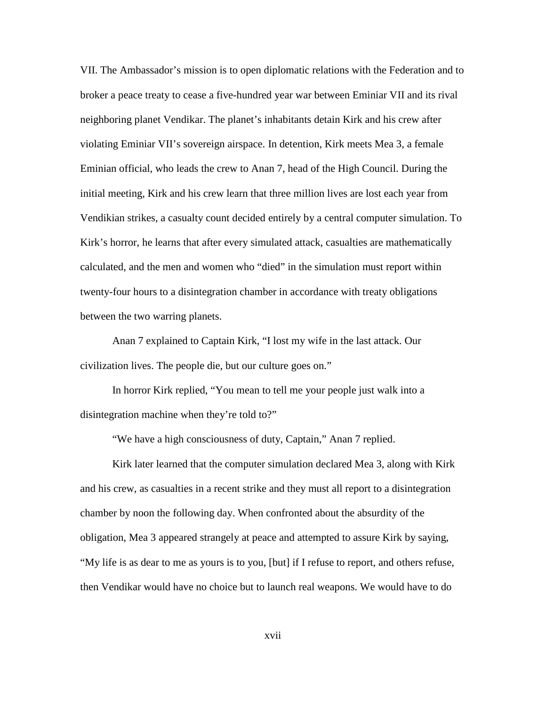VII. The Ambassador's mission is to open diplomatic relations with the Federation and to broker a peace treaty to cease a five-hundred year war between Eminiar VII and its rival neighboring planet Vendikar. The planet's inhabitants detain Kirk and his crew after violating Eminiar VII's sovereign airspace. In detention, Kirk meets Mea 3, a female Eminian official, who leads the crew to Anan 7, head of the High Council. During the initial meeting, Kirk and his crew learn that three million lives are lost each year from Vendikian strikes, a casualty count decided entirely by a central computer simulation. To Kirk's horror, he learns that after every simulated attack, casualties are mathematically calculated, and the men and women who "died" in the simulation must report within twenty-four hours to a disintegration chamber in accordance with treaty obligations between the two warring planets.

Anan 7 explained to Captain Kirk, "I lost my wife in the last attack. Our civilization lives. The people die, but our culture goes on."

In horror Kirk replied, "You mean to tell me your people just walk into a disintegration machine when they're told to?"

"We have a high consciousness of duty, Captain," Anan 7 replied.

Kirk later learned that the computer simulation declared Mea 3, along with Kirk and his crew, as casualties in a recent strike and they must all report to a disintegration chamber by noon the following day. When confronted about the absurdity of the obligation, Mea 3 appeared strangely at peace and attempted to assure Kirk by saying, "My life is as dear to me as yours is to you, [but] if I refuse to report, and others refuse, then Vendikar would have no choice but to launch real weapons. We would have to do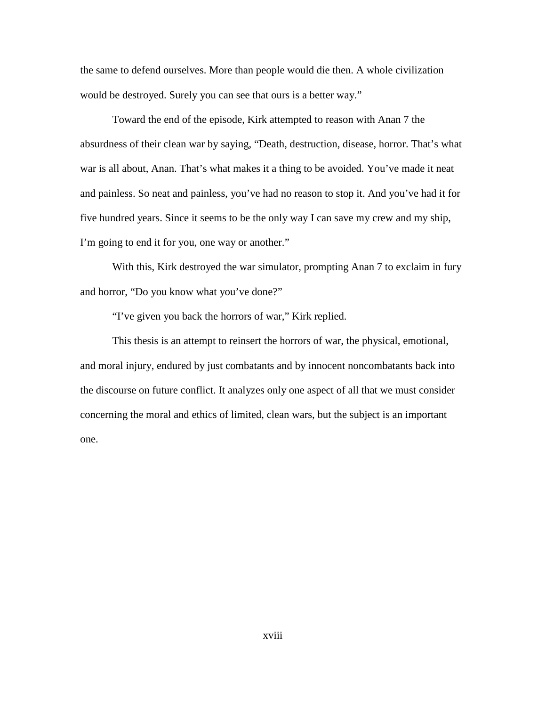the same to defend ourselves. More than people would die then. A whole civilization would be destroyed. Surely you can see that ours is a better way."

Toward the end of the episode, Kirk attempted to reason with Anan 7 the absurdness of their clean war by saying, "Death, destruction, disease, horror. That's what war is all about, Anan. That's what makes it a thing to be avoided. You've made it neat and painless. So neat and painless, you've had no reason to stop it. And you've had it for five hundred years. Since it seems to be the only way I can save my crew and my ship, I'm going to end it for you, one way or another."

With this, Kirk destroyed the war simulator, prompting Anan 7 to exclaim in fury and horror, "Do you know what you've done?"

"I've given you back the horrors of war," Kirk replied.

This thesis is an attempt to reinsert the horrors of war, the physical, emotional, and moral injury, endured by just combatants and by innocent noncombatants back into the discourse on future conflict. It analyzes only one aspect of all that we must consider concerning the moral and ethics of limited, clean wars, but the subject is an important one.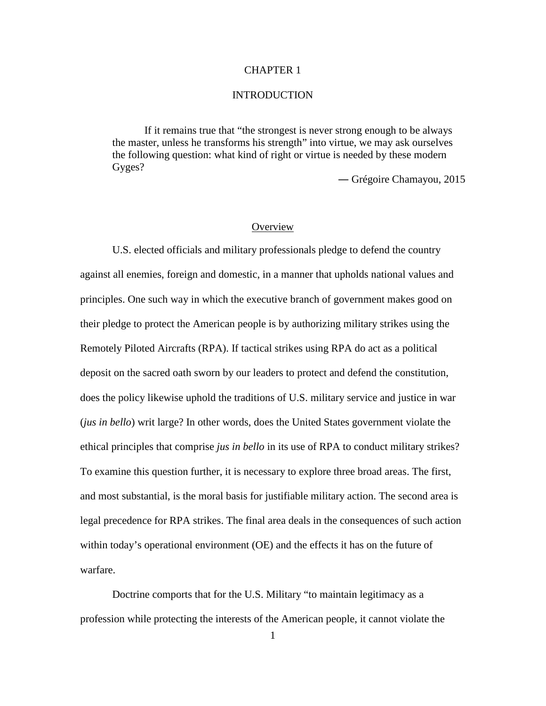## CHAPTER 1

## **INTRODUCTION**

If it remains true that "the strongest is never strong enough to be always the master, unless he transforms his strength" into virtue, we may ask ourselves the following question: what kind of right or virtue is needed by these modern Gyges?

― Grégoire Chamayou, 2015

## **Overview**

U.S. elected officials and military professionals pledge to defend the country against all enemies, foreign and domestic, in a manner that upholds national values and principles. One such way in which the executive branch of government makes good on their pledge to protect the American people is by authorizing military strikes using the Remotely Piloted Aircrafts (RPA). If tactical strikes using RPA do act as a political deposit on the sacred oath sworn by our leaders to protect and defend the constitution, does the policy likewise uphold the traditions of U.S. military service and justice in war (*jus in bello*) writ large? In other words, does the United States government violate the ethical principles that comprise *jus in bello* in its use of RPA to conduct military strikes? To examine this question further, it is necessary to explore three broad areas. The first, and most substantial, is the moral basis for justifiable military action. The second area is legal precedence for RPA strikes. The final area deals in the consequences of such action within today's operational environment (OE) and the effects it has on the future of warfare.

Doctrine comports that for the U.S. Military "to maintain legitimacy as a profession while protecting the interests of the American people, it cannot violate the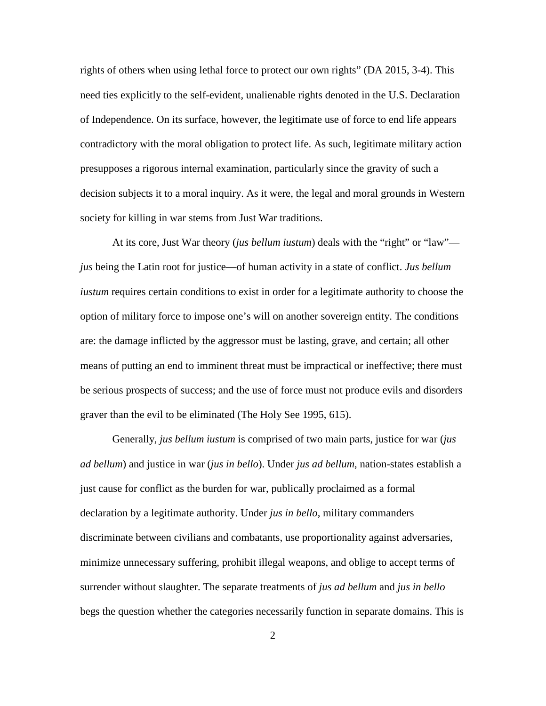rights of others when using lethal force to protect our own rights" (DA 2015, 3-4). This need ties explicitly to the self-evident, unalienable rights denoted in the U.S. Declaration of Independence. On its surface, however, the legitimate use of force to end life appears contradictory with the moral obligation to protect life. As such, legitimate military action presupposes a rigorous internal examination, particularly since the gravity of such a decision subjects it to a moral inquiry. As it were, the legal and moral grounds in Western society for killing in war stems from Just War traditions.

At its core, Just War theory (*jus bellum iustum*) deals with the "right" or "law" *jus* being the Latin root for justice—of human activity in a state of conflict. *Jus bellum iustum* requires certain conditions to exist in order for a legitimate authority to choose the option of military force to impose one's will on another sovereign entity. The conditions are: the damage inflicted by the aggressor must be lasting, grave, and certain; all other means of putting an end to imminent threat must be impractical or ineffective; there must be serious prospects of success; and the use of force must not produce evils and disorders graver than the evil to be eliminated (The Holy See 1995, 615).

Generally, *jus bellum iustum* is comprised of two main parts, justice for war (*jus ad bellum*) and justice in war (*jus in bello*). Under *jus ad bellum*, nation-states establish a just cause for conflict as the burden for war, publically proclaimed as a formal declaration by a legitimate authority. Under *jus in bello*, military commanders discriminate between civilians and combatants, use proportionality against adversaries, minimize unnecessary suffering, prohibit illegal weapons, and oblige to accept terms of surrender without slaughter. The separate treatments of *jus ad bellum* and *jus in bello* begs the question whether the categories necessarily function in separate domains. This is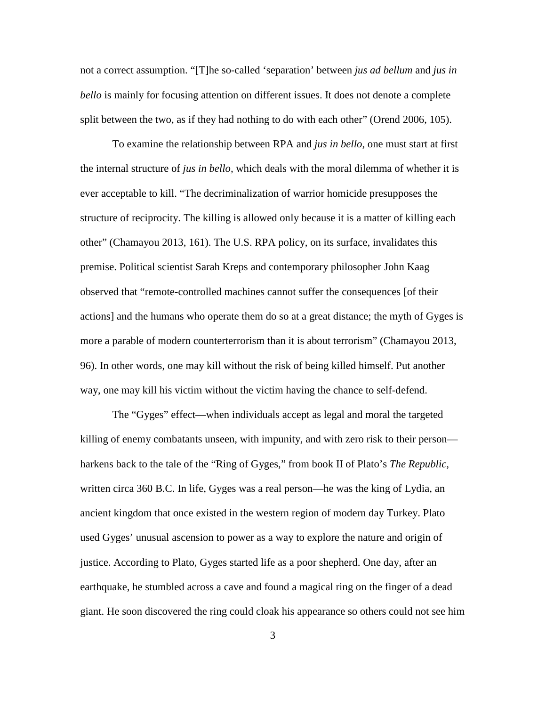not a correct assumption. "[T]he so-called 'separation' between *jus ad bellum* and *jus in bello* is mainly for focusing attention on different issues. It does not denote a complete split between the two, as if they had nothing to do with each other" (Orend 2006, 105).

To examine the relationship between RPA and *jus in bello*, one must start at first the internal structure of *jus in bello,* which deals with the moral dilemma of whether it is ever acceptable to kill. "The decriminalization of warrior homicide presupposes the structure of reciprocity. The killing is allowed only because it is a matter of killing each other" (Chamayou 2013, 161). The U.S. RPA policy, on its surface, invalidates this premise. Political scientist Sarah Kreps and contemporary philosopher John Kaag observed that "remote-controlled machines cannot suffer the consequences [of their actions] and the humans who operate them do so at a great distance; the myth of Gyges is more a parable of modern counterterrorism than it is about terrorism" (Chamayou 2013, 96). In other words, one may kill without the risk of being killed himself. Put another way, one may kill his victim without the victim having the chance to self-defend.

The "Gyges" effect—when individuals accept as legal and moral the targeted killing of enemy combatants unseen, with impunity, and with zero risk to their person harkens back to the tale of the "Ring of Gyges," from book II of Plato's *The Republic,* written circa 360 B.C. In life, Gyges was a real person—he was the king of Lydia, an ancient kingdom that once existed in the western region of modern day Turkey. Plato used Gyges' unusual ascension to power as a way to explore the nature and origin of justice. According to Plato, Gyges started life as a poor shepherd. One day, after an earthquake, he stumbled across a cave and found a magical ring on the finger of a dead giant. He soon discovered the ring could cloak his appearance so others could not see him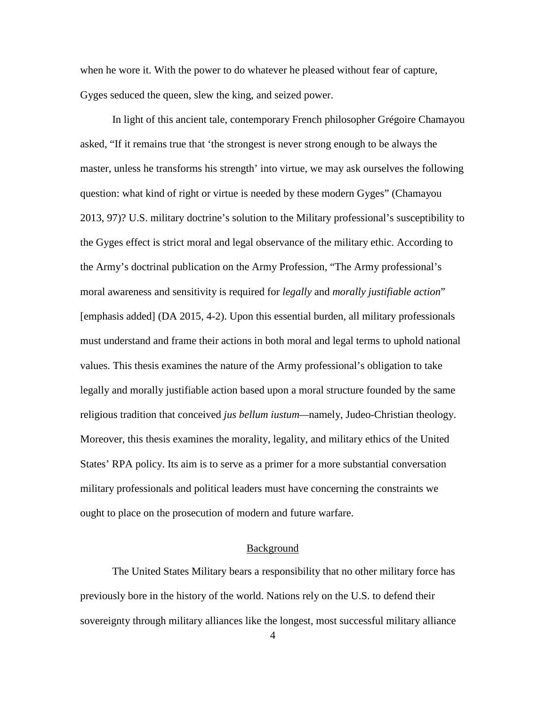when he wore it. With the power to do whatever he pleased without fear of capture, Gyges seduced the queen, slew the king, and seized power.

In light of this ancient tale, contemporary French philosopher Grégoire Chamayou asked, "If it remains true that 'the strongest is never strong enough to be always the master, unless he transforms his strength' into virtue, we may ask ourselves the following question: what kind of right or virtue is needed by these modern Gyges" (Chamayou 2013, 97)? U.S. military doctrine's solution to the Military professional's susceptibility to the Gyges effect is strict moral and legal observance of the military ethic. According to the Army's doctrinal publication on the Army Profession, "The Army professional's moral awareness and sensitivity is required for *legally* and *morally justifiable action*" [emphasis added] (DA 2015, 4-2). Upon this essential burden, all military professionals must understand and frame their actions in both moral and legal terms to uphold national values. This thesis examines the nature of the Army professional's obligation to take legally and morally justifiable action based upon a moral structure founded by the same religious tradition that conceived *jus bellum iustum—*namely, Judeo-Christian theology. Moreover, this thesis examines the morality, legality, and military ethics of the United States' RPA policy. Its aim is to serve as a primer for a more substantial conversation military professionals and political leaders must have concerning the constraints we ought to place on the prosecution of modern and future warfare.

## **Background**

The United States Military bears a responsibility that no other military force has previously bore in the history of the world. Nations rely on the U.S. to defend their sovereignty through military alliances like the longest, most successful military alliance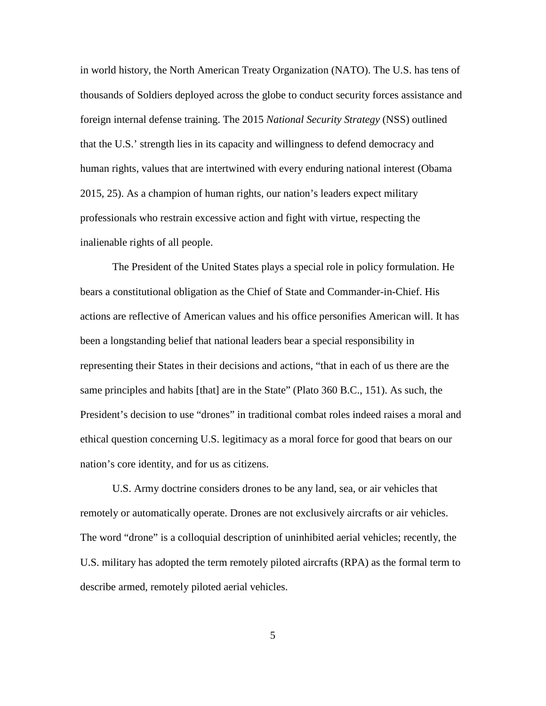in world history, the North American Treaty Organization (NATO). The U.S. has tens of thousands of Soldiers deployed across the globe to conduct security forces assistance and foreign internal defense training. The 2015 *National Security Strategy* (NSS) outlined that the U.S.' strength lies in its capacity and willingness to defend democracy and human rights, values that are intertwined with every enduring national interest (Obama 2015, 25). As a champion of human rights, our nation's leaders expect military professionals who restrain excessive action and fight with virtue, respecting the inalienable rights of all people.

The President of the United States plays a special role in policy formulation. He bears a constitutional obligation as the Chief of State and Commander-in-Chief. His actions are reflective of American values and his office personifies American will. It has been a longstanding belief that national leaders bear a special responsibility in representing their States in their decisions and actions, "that in each of us there are the same principles and habits [that] are in the State" (Plato 360 B.C., 151). As such, the President's decision to use "drones" in traditional combat roles indeed raises a moral and ethical question concerning U.S. legitimacy as a moral force for good that bears on our nation's core identity, and for us as citizens.

U.S. Army doctrine considers drones to be any land, sea, or air vehicles that remotely or automatically operate. Drones are not exclusively aircrafts or air vehicles. The word "drone" is a colloquial description of uninhibited aerial vehicles; recently, the U.S. military has adopted the term remotely piloted aircrafts (RPA) as the formal term to describe armed, remotely piloted aerial vehicles.

5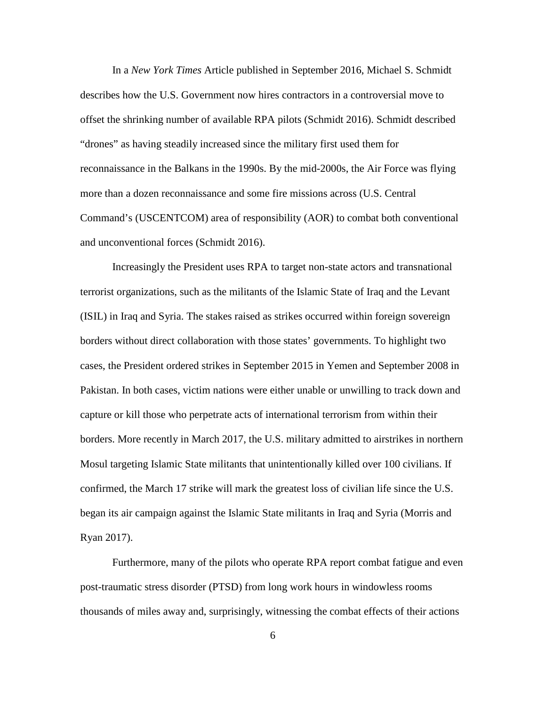In a *New York Times* Article published in September 2016, Michael S. Schmidt describes how the U.S. Government now hires contractors in a controversial move to offset the shrinking number of available RPA pilots (Schmidt 2016). Schmidt described "drones" as having steadily increased since the military first used them for reconnaissance in the Balkans in the 1990s. By the mid-2000s, the Air Force was flying more than a dozen reconnaissance and some fire missions across (U.S. Central Command's (USCENTCOM) area of responsibility (AOR) to combat both conventional and unconventional forces (Schmidt 2016).

Increasingly the President uses RPA to target non-state actors and transnational terrorist organizations, such as the militants of the Islamic State of Iraq and the Levant (ISIL) in Iraq and Syria. The stakes raised as strikes occurred within foreign sovereign borders without direct collaboration with those states' governments. To highlight two cases, the President ordered strikes in September 2015 in Yemen and September 2008 in Pakistan. In both cases, victim nations were either unable or unwilling to track down and capture or kill those who perpetrate acts of international terrorism from within their borders. More recently in March 2017, the U.S. military admitted to airstrikes in northern Mosul targeting Islamic State militants that unintentionally killed over 100 civilians. If confirmed, the March 17 strike will mark the greatest loss of civilian life since the U.S. began its air campaign against the Islamic State militants in Iraq and Syria (Morris and Ryan 2017).

Furthermore, many of the pilots who operate RPA report combat fatigue and even post-traumatic stress disorder (PTSD) from long work hours in windowless rooms thousands of miles away and, surprisingly, witnessing the combat effects of their actions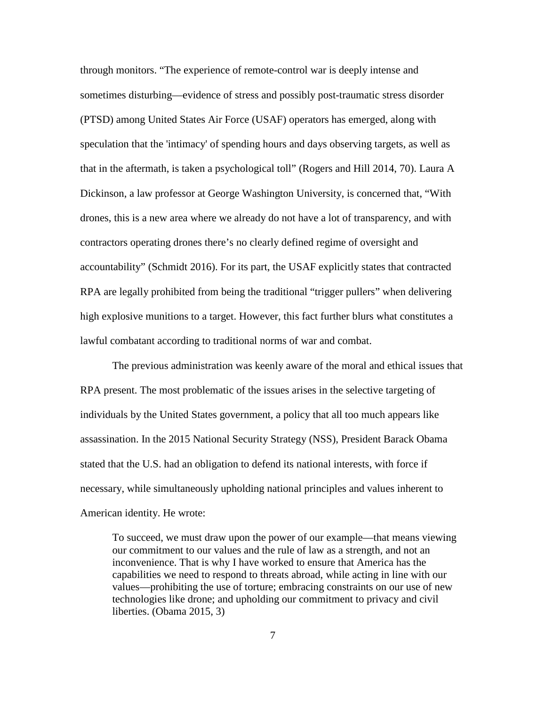through monitors. "The experience of remote-control war is deeply intense and sometimes disturbing—evidence of stress and possibly post-traumatic stress disorder (PTSD) among United States Air Force (USAF) operators has emerged, along with speculation that the 'intimacy' of spending hours and days observing targets, as well as that in the aftermath, is taken a psychological toll" (Rogers and Hill 2014, 70). Laura A Dickinson, a law professor at George Washington University, is concerned that, "With drones, this is a new area where we already do not have a lot of transparency, and with contractors operating drones there's no clearly defined regime of oversight and accountability" (Schmidt 2016). For its part, the USAF explicitly states that contracted RPA are legally prohibited from being the traditional "trigger pullers" when delivering high explosive munitions to a target. However, this fact further blurs what constitutes a lawful combatant according to traditional norms of war and combat.

The previous administration was keenly aware of the moral and ethical issues that RPA present. The most problematic of the issues arises in the selective targeting of individuals by the United States government, a policy that all too much appears like assassination. In the 2015 National Security Strategy (NSS), President Barack Obama stated that the U.S. had an obligation to defend its national interests, with force if necessary, while simultaneously upholding national principles and values inherent to American identity. He wrote:

To succeed, we must draw upon the power of our example—that means viewing our commitment to our values and the rule of law as a strength, and not an inconvenience. That is why I have worked to ensure that America has the capabilities we need to respond to threats abroad, while acting in line with our values—prohibiting the use of torture; embracing constraints on our use of new technologies like drone; and upholding our commitment to privacy and civil liberties. (Obama 2015, 3)

7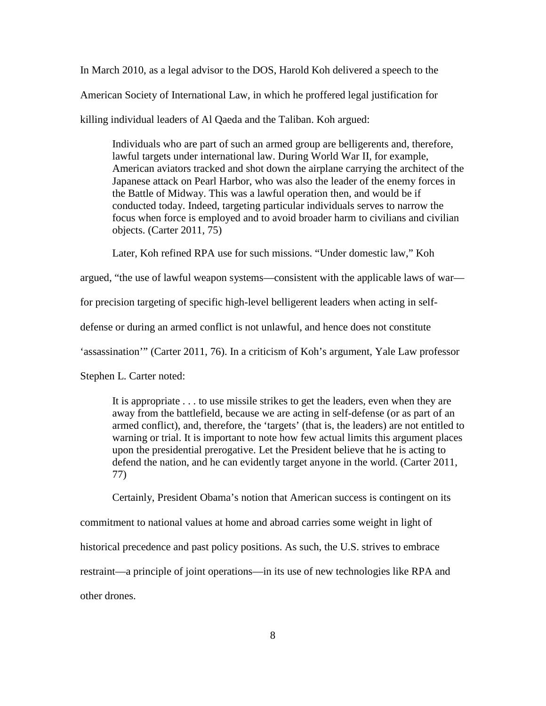In March 2010, as a legal advisor to the DOS, Harold Koh delivered a speech to the American Society of International Law, in which he proffered legal justification for killing individual leaders of Al Qaeda and the Taliban. Koh argued:

Individuals who are part of such an armed group are belligerents and, therefore, lawful targets under international law. During World War II, for example, American aviators tracked and shot down the airplane carrying the architect of the Japanese attack on Pearl Harbor, who was also the leader of the enemy forces in the Battle of Midway. This was a lawful operation then, and would be if conducted today. Indeed, targeting particular individuals serves to narrow the focus when force is employed and to avoid broader harm to civilians and civilian objects. (Carter 2011, 75)

Later, Koh refined RPA use for such missions. "Under domestic law," Koh

argued, "the use of lawful weapon systems—consistent with the applicable laws of war—

for precision targeting of specific high-level belligerent leaders when acting in self-

defense or during an armed conflict is not unlawful, and hence does not constitute

'assassination'" (Carter 2011, 76). In a criticism of Koh's argument, Yale Law professor

Stephen L. Carter noted:

It is appropriate . . . to use missile strikes to get the leaders, even when they are away from the battlefield, because we are acting in self-defense (or as part of an armed conflict), and, therefore, the 'targets' (that is, the leaders) are not entitled to warning or trial. It is important to note how few actual limits this argument places upon the presidential prerogative. Let the President believe that he is acting to defend the nation, and he can evidently target anyone in the world. (Carter 2011, 77)

Certainly, President Obama's notion that American success is contingent on its commitment to national values at home and abroad carries some weight in light of historical precedence and past policy positions. As such, the U.S. strives to embrace restraint—a principle of joint operations—in its use of new technologies like RPA and other drones.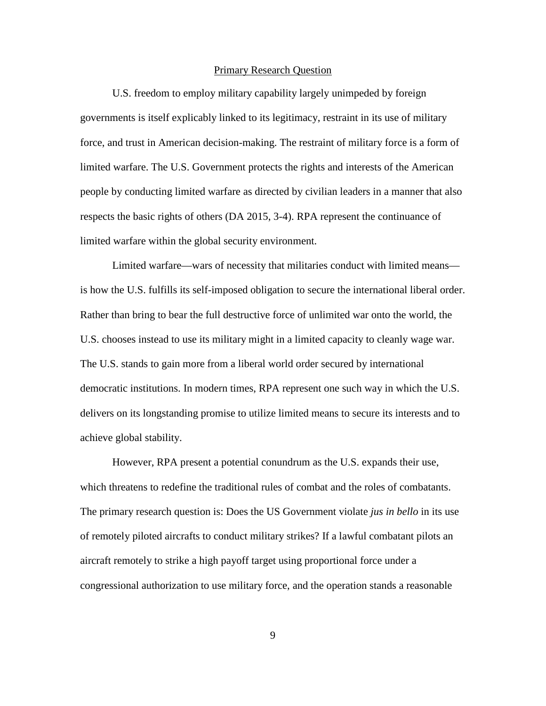### Primary Research Question

U.S. freedom to employ military capability largely unimpeded by foreign governments is itself explicably linked to its legitimacy, restraint in its use of military force, and trust in American decision-making. The restraint of military force is a form of limited warfare. The U.S. Government protects the rights and interests of the American people by conducting limited warfare as directed by civilian leaders in a manner that also respects the basic rights of others (DA 2015, 3-4). RPA represent the continuance of limited warfare within the global security environment.

Limited warfare—wars of necessity that militaries conduct with limited means is how the U.S. fulfills its self-imposed obligation to secure the international liberal order. Rather than bring to bear the full destructive force of unlimited war onto the world, the U.S. chooses instead to use its military might in a limited capacity to cleanly wage war. The U.S. stands to gain more from a liberal world order secured by international democratic institutions. In modern times, RPA represent one such way in which the U.S. delivers on its longstanding promise to utilize limited means to secure its interests and to achieve global stability.

However, RPA present a potential conundrum as the U.S. expands their use, which threatens to redefine the traditional rules of combat and the roles of combatants. The primary research question is: Does the US Government violate *jus in bello* in its use of remotely piloted aircrafts to conduct military strikes? If a lawful combatant pilots an aircraft remotely to strike a high payoff target using proportional force under a congressional authorization to use military force, and the operation stands a reasonable

9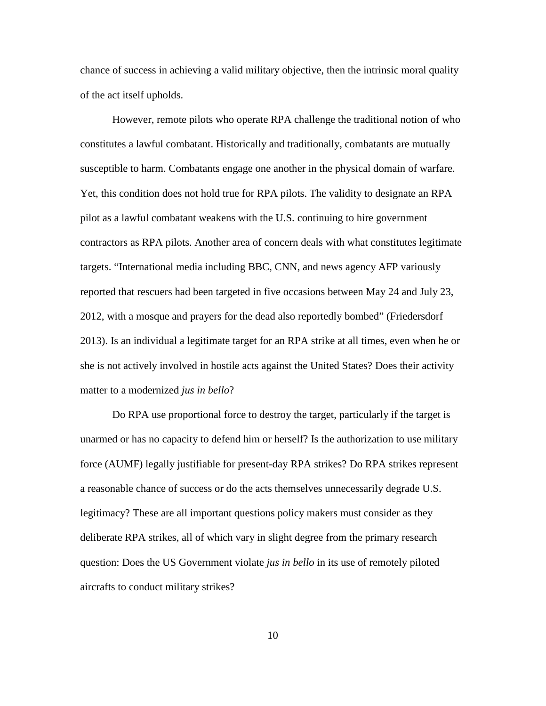chance of success in achieving a valid military objective, then the intrinsic moral quality of the act itself upholds.

However, remote pilots who operate RPA challenge the traditional notion of who constitutes a lawful combatant. Historically and traditionally, combatants are mutually susceptible to harm. Combatants engage one another in the physical domain of warfare. Yet, this condition does not hold true for RPA pilots. The validity to designate an RPA pilot as a lawful combatant weakens with the U.S. continuing to hire government contractors as RPA pilots. Another area of concern deals with what constitutes legitimate targets. "International media including BBC, CNN, and news agency AFP variously reported that rescuers had been targeted in five occasions between May 24 and July 23, 2012, with a mosque and prayers for the dead also reportedly bombed" (Friedersdorf 2013). Is an individual a legitimate target for an RPA strike at all times, even when he or she is not actively involved in hostile acts against the United States? Does their activity matter to a modernized *jus in bello*?

Do RPA use proportional force to destroy the target, particularly if the target is unarmed or has no capacity to defend him or herself? Is the authorization to use military force (AUMF) legally justifiable for present-day RPA strikes? Do RPA strikes represent a reasonable chance of success or do the acts themselves unnecessarily degrade U.S. legitimacy? These are all important questions policy makers must consider as they deliberate RPA strikes, all of which vary in slight degree from the primary research question: Does the US Government violate *jus in bello* in its use of remotely piloted aircrafts to conduct military strikes?

10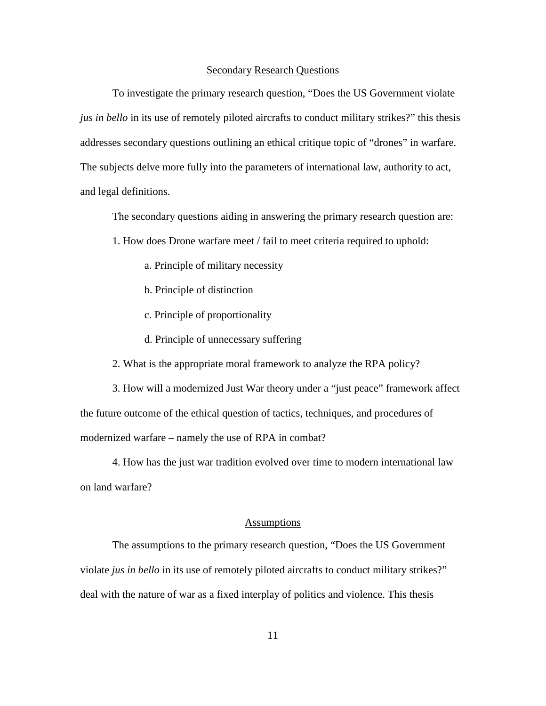#### Secondary Research Questions

To investigate the primary research question, "Does the US Government violate *jus in bello* in its use of remotely piloted aircrafts to conduct military strikes?" this thesis addresses secondary questions outlining an ethical critique topic of "drones" in warfare. The subjects delve more fully into the parameters of international law, authority to act, and legal definitions.

The secondary questions aiding in answering the primary research question are:

- 1. How does Drone warfare meet / fail to meet criteria required to uphold:
	- a. Principle of military necessity
	- b. Principle of distinction
	- c. Principle of proportionality
	- d. Principle of unnecessary suffering
- 2. What is the appropriate moral framework to analyze the RPA policy?

3. How will a modernized Just War theory under a "just peace" framework affect the future outcome of the ethical question of tactics, techniques, and procedures of modernized warfare – namely the use of RPA in combat?

4. How has the just war tradition evolved over time to modern international law on land warfare?

## Assumptions

The assumptions to the primary research question, "Does the US Government violate *jus in bello* in its use of remotely piloted aircrafts to conduct military strikes?" deal with the nature of war as a fixed interplay of politics and violence. This thesis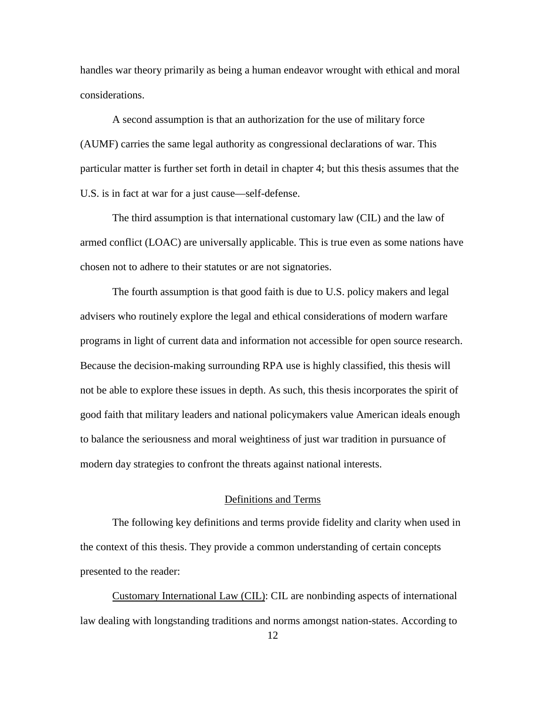handles war theory primarily as being a human endeavor wrought with ethical and moral considerations.

A second assumption is that an authorization for the use of military force (AUMF) carries the same legal authority as congressional declarations of war. This particular matter is further set forth in detail in chapter 4; but this thesis assumes that the U.S. is in fact at war for a just cause—self-defense.

The third assumption is that international customary law (CIL) and the law of armed conflict (LOAC) are universally applicable. This is true even as some nations have chosen not to adhere to their statutes or are not signatories.

The fourth assumption is that good faith is due to U.S. policy makers and legal advisers who routinely explore the legal and ethical considerations of modern warfare programs in light of current data and information not accessible for open source research. Because the decision-making surrounding RPA use is highly classified, this thesis will not be able to explore these issues in depth. As such, this thesis incorporates the spirit of good faith that military leaders and national policymakers value American ideals enough to balance the seriousness and moral weightiness of just war tradition in pursuance of modern day strategies to confront the threats against national interests.

## Definitions and Terms

The following key definitions and terms provide fidelity and clarity when used in the context of this thesis. They provide a common understanding of certain concepts presented to the reader:

Customary International Law (CIL): CIL are nonbinding aspects of international law dealing with longstanding traditions and norms amongst nation-states. According to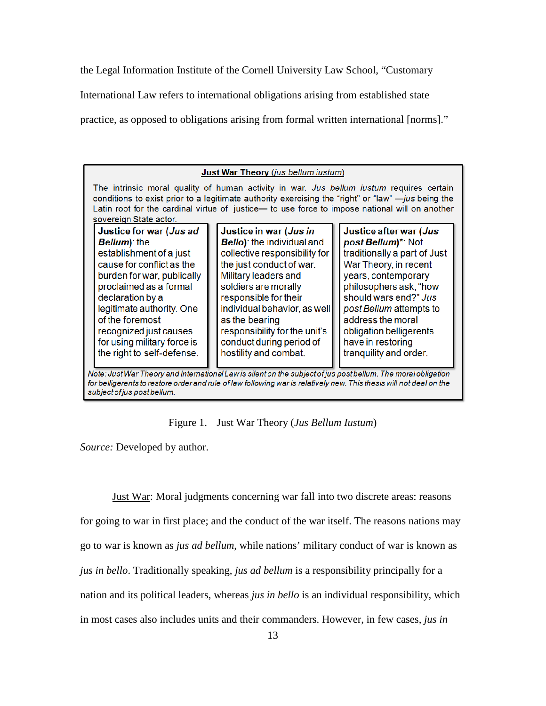the Legal Information Institute of the Cornell University Law School, "Customary

International Law refers to international obligations arising from established state

practice, as opposed to obligations arising from formal written international [norms]."

| Just War Theory (jus bellum iustum)                                                                                                                                                                                                                                                                                          |                                                                                                                                                                                                                                                                                                                    |  |                                                                                                                                                                                                                                                                                                                                            |  |                                                                                                                                                                                                                                                                                                           |  |
|------------------------------------------------------------------------------------------------------------------------------------------------------------------------------------------------------------------------------------------------------------------------------------------------------------------------------|--------------------------------------------------------------------------------------------------------------------------------------------------------------------------------------------------------------------------------------------------------------------------------------------------------------------|--|--------------------------------------------------------------------------------------------------------------------------------------------------------------------------------------------------------------------------------------------------------------------------------------------------------------------------------------------|--|-----------------------------------------------------------------------------------------------------------------------------------------------------------------------------------------------------------------------------------------------------------------------------------------------------------|--|
| The intrinsic moral quality of human activity in war. Jus bellum iustum requires certain<br>conditions to exist prior to a legitimate authority exercising the "right" or "law" $-jus$ being the<br>Latin root for the cardinal virtue of justice- to use force to impose national will on another<br>sovereign State actor. |                                                                                                                                                                                                                                                                                                                    |  |                                                                                                                                                                                                                                                                                                                                            |  |                                                                                                                                                                                                                                                                                                           |  |
|                                                                                                                                                                                                                                                                                                                              | Justice for war (Jus ad<br>Bellum): the<br>establishment of a just<br>cause for conflict as the<br>burden for war, publically<br>proclaimed as a formal<br>declaration by a<br>legitimate authority. One<br>of the foremost<br>recognized just causes<br>for using military force is<br>the right to self-defense. |  | Justice in war (Jus in<br><b>Bello)</b> : the individual and<br>collective responsibility for<br>the just conduct of war.<br>Military leaders and<br>soldiers are morally<br>responsible for their<br>individual behavior, as well<br>as the bearing<br>responsibility for the unit's<br>conduct during period of<br>hostility and combat. |  | Justice after war (Jus<br>post Bellum)*: Not<br>traditionally a part of Just<br>War Theory, in recent<br>years, contemporary<br>philosophers ask, "how<br>should wars end?" Jus<br>post Bellum attempts to<br>address the moral<br>obligation belligerents<br>have in restoring<br>tranquility and order. |  |
| Note: Just War Theory and International Law is silent on the subject of jus post bellum. The moral obligation<br>for belligerents to restore order and rule of law following war is relatively new. This thesis will not deal on the                                                                                         |                                                                                                                                                                                                                                                                                                                    |  |                                                                                                                                                                                                                                                                                                                                            |  |                                                                                                                                                                                                                                                                                                           |  |

Figure 1. Just War Theory (*Jus Bellum Iustum*)

*Source:* Developed by author.

subject of jus post bellum.

Just War: Moral judgments concerning war fall into two discrete areas: reasons for going to war in first place; and the conduct of the war itself. The reasons nations may go to war is known as *jus ad bellum*, while nations' military conduct of war is known as *jus in bello*. Traditionally speaking, *jus ad bellum* is a responsibility principally for a nation and its political leaders, whereas *jus in bello* is an individual responsibility, which in most cases also includes units and their commanders. However, in few cases, *jus in*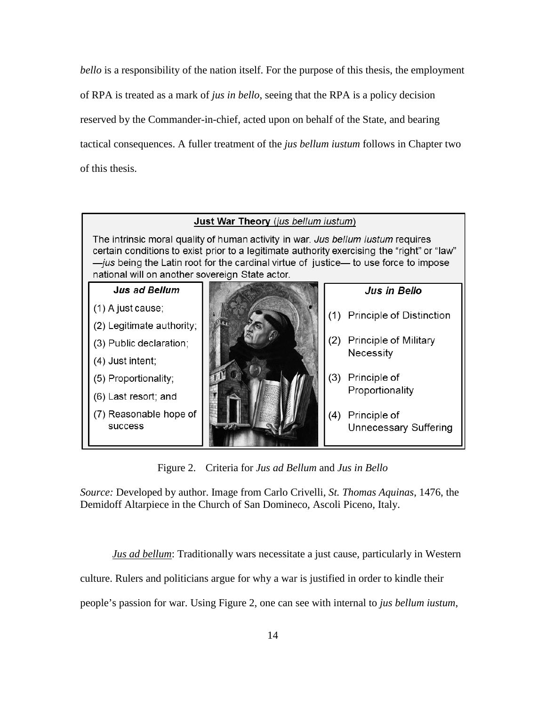*bello* is a responsibility of the nation itself. For the purpose of this thesis, the employment of RPA is treated as a mark of *jus in bello*, seeing that the RPA is a policy decision reserved by the Commander-in-chief, acted upon on behalf of the State, and bearing tactical consequences. A fuller treatment of the *jus bellum iustum* follows in Chapter two of this thesis.

## Just War Theory (jus bellum justum)

The intrinsic moral quality of human activity in war. Jus bellum iustum requires certain conditions to exist prior to a legitimate authority exercising the "right" or "law" -jus being the Latin root for the cardinal virtue of justice- to use force to impose national will on another sovereign State actor.



Figure 2. Criteria for *Jus ad Bellum* and *Jus in Bello*

*Source:* Developed by author. Image from Carlo Crivelli, *St. Thomas Aquinas*, 1476, the Demidoff Altarpiece in the Church of San Domineco, Ascoli Piceno, Italy.

*Jus ad bellum*: Traditionally wars necessitate a just cause, particularly in Western

culture. Rulers and politicians argue for why a war is justified in order to kindle their

people's passion for war. Using Figure 2, one can see with internal to *jus bellum iustum*,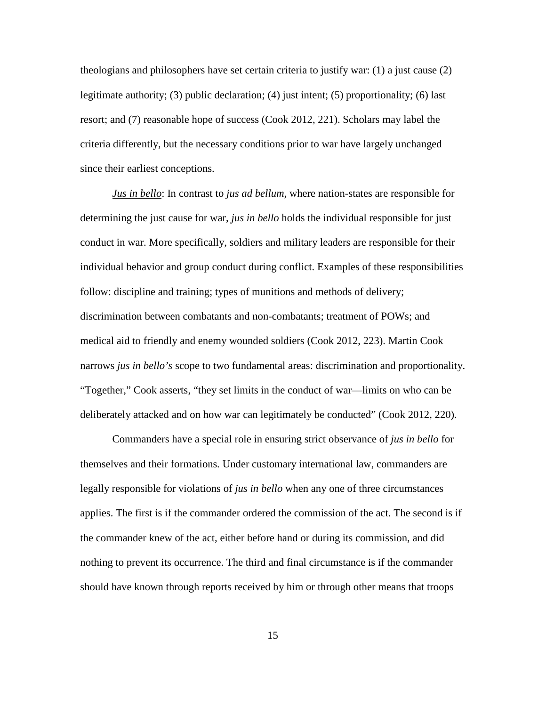theologians and philosophers have set certain criteria to justify war: (1) a just cause (2) legitimate authority; (3) public declaration; (4) just intent; (5) proportionality; (6) last resort; and (7) reasonable hope of success (Cook 2012, 221). Scholars may label the criteria differently, but the necessary conditions prior to war have largely unchanged since their earliest conceptions.

*Jus in bello*: In contrast to *jus ad bellum,* where nation-states are responsible for determining the just cause for war, *jus in bello* holds the individual responsible for just conduct in war. More specifically, soldiers and military leaders are responsible for their individual behavior and group conduct during conflict. Examples of these responsibilities follow: discipline and training; types of munitions and methods of delivery; discrimination between combatants and non-combatants; treatment of POWs; and medical aid to friendly and enemy wounded soldiers (Cook 2012, 223). Martin Cook narrows *jus in bello's* scope to two fundamental areas: discrimination and proportionality. "Together," Cook asserts, "they set limits in the conduct of war—limits on who can be deliberately attacked and on how war can legitimately be conducted" (Cook 2012, 220).

Commanders have a special role in ensuring strict observance of *jus in bello* for themselves and their formations*.* Under customary international law, commanders are legally responsible for violations of *jus in bello* when any one of three circumstances applies. The first is if the commander ordered the commission of the act. The second is if the commander knew of the act, either before hand or during its commission, and did nothing to prevent its occurrence. The third and final circumstance is if the commander should have known through reports received by him or through other means that troops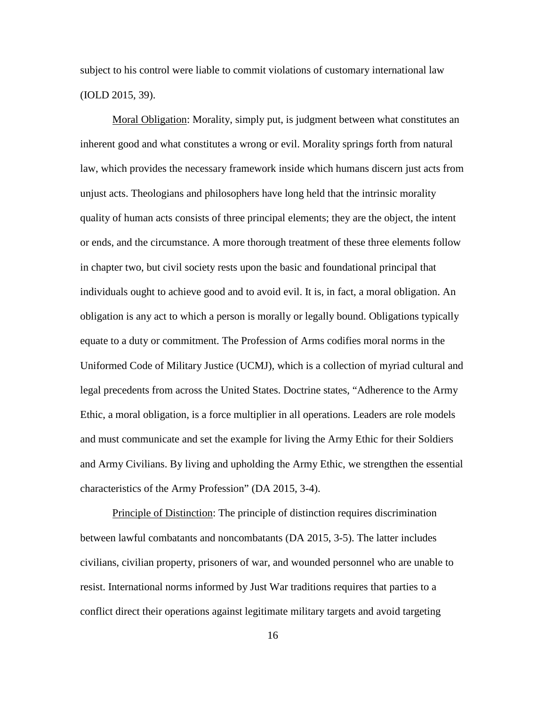subject to his control were liable to commit violations of customary international law (IOLD 2015, 39).

Moral Obligation: Morality, simply put, is judgment between what constitutes an inherent good and what constitutes a wrong or evil. Morality springs forth from natural law, which provides the necessary framework inside which humans discern just acts from unjust acts. Theologians and philosophers have long held that the intrinsic morality quality of human acts consists of three principal elements; they are the object, the intent or ends, and the circumstance. A more thorough treatment of these three elements follow in chapter two, but civil society rests upon the basic and foundational principal that individuals ought to achieve good and to avoid evil. It is, in fact, a moral obligation. An obligation is any act to which a person is morally or legally bound. Obligations typically equate to a duty or commitment. The Profession of Arms codifies moral norms in the Uniformed Code of Military Justice (UCMJ), which is a collection of myriad cultural and legal precedents from across the United States. Doctrine states, "Adherence to the Army Ethic, a moral obligation, is a force multiplier in all operations. Leaders are role models and must communicate and set the example for living the Army Ethic for their Soldiers and Army Civilians. By living and upholding the Army Ethic, we strengthen the essential characteristics of the Army Profession" (DA 2015, 3-4).

Principle of Distinction: The principle of distinction requires discrimination between lawful combatants and noncombatants (DA 2015, 3-5). The latter includes civilians, civilian property, prisoners of war, and wounded personnel who are unable to resist. International norms informed by Just War traditions requires that parties to a conflict direct their operations against legitimate military targets and avoid targeting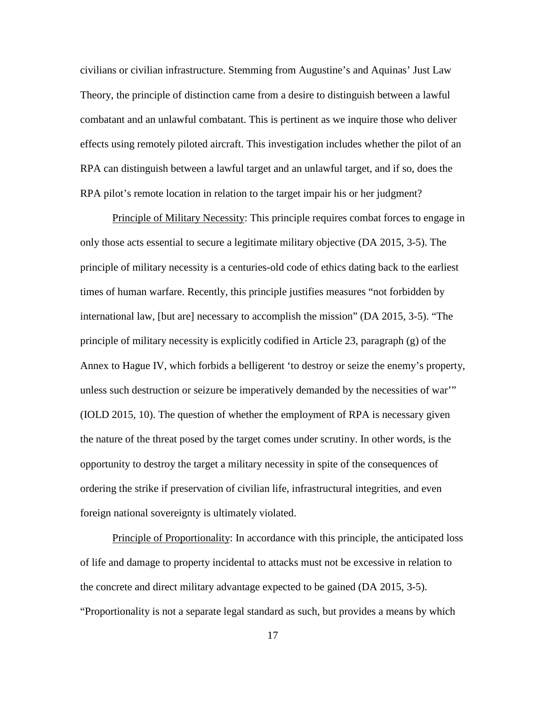civilians or civilian infrastructure. Stemming from Augustine's and Aquinas' Just Law Theory, the principle of distinction came from a desire to distinguish between a lawful combatant and an unlawful combatant. This is pertinent as we inquire those who deliver effects using remotely piloted aircraft. This investigation includes whether the pilot of an RPA can distinguish between a lawful target and an unlawful target, and if so, does the RPA pilot's remote location in relation to the target impair his or her judgment?

Principle of Military Necessity: This principle requires combat forces to engage in only those acts essential to secure a legitimate military objective (DA 2015, 3-5). The principle of military necessity is a centuries-old code of ethics dating back to the earliest times of human warfare. Recently, this principle justifies measures "not forbidden by international law, [but are] necessary to accomplish the mission" (DA 2015, 3-5). "The principle of military necessity is explicitly codified in Article 23, paragraph (g) of the Annex to Hague IV, which forbids a belligerent 'to destroy or seize the enemy's property, unless such destruction or seizure be imperatively demanded by the necessities of war'" (IOLD 2015, 10). The question of whether the employment of RPA is necessary given the nature of the threat posed by the target comes under scrutiny. In other words, is the opportunity to destroy the target a military necessity in spite of the consequences of ordering the strike if preservation of civilian life, infrastructural integrities, and even foreign national sovereignty is ultimately violated.

Principle of Proportionality: In accordance with this principle, the anticipated loss of life and damage to property incidental to attacks must not be excessive in relation to the concrete and direct military advantage expected to be gained (DA 2015, 3-5). "Proportionality is not a separate legal standard as such, but provides a means by which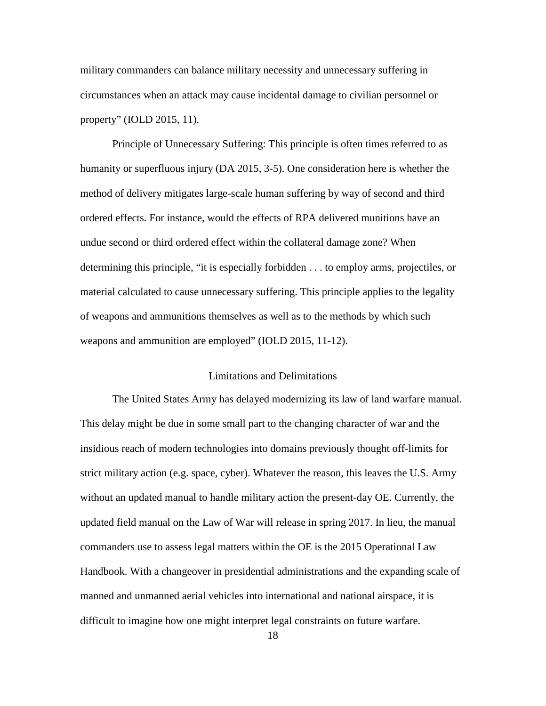military commanders can balance military necessity and unnecessary suffering in circumstances when an attack may cause incidental damage to civilian personnel or property" (IOLD 2015, 11).

Principle of Unnecessary Suffering: This principle is often times referred to as humanity or superfluous injury (DA 2015, 3-5). One consideration here is whether the method of delivery mitigates large-scale human suffering by way of second and third ordered effects. For instance, would the effects of RPA delivered munitions have an undue second or third ordered effect within the collateral damage zone? When determining this principle, "it is especially forbidden . . . to employ arms, projectiles, or material calculated to cause unnecessary suffering. This principle applies to the legality of weapons and ammunitions themselves as well as to the methods by which such weapons and ammunition are employed" (IOLD 2015, 11-12).

#### Limitations and Delimitations

The United States Army has delayed modernizing its law of land warfare manual. This delay might be due in some small part to the changing character of war and the insidious reach of modern technologies into domains previously thought off-limits for strict military action (e.g. space, cyber). Whatever the reason, this leaves the U.S. Army without an updated manual to handle military action the present-day OE. Currently, the updated field manual on the Law of War will release in spring 2017. In lieu, the manual commanders use to assess legal matters within the OE is the 2015 Operational Law Handbook. With a changeover in presidential administrations and the expanding scale of manned and unmanned aerial vehicles into international and national airspace, it is difficult to imagine how one might interpret legal constraints on future warfare.

18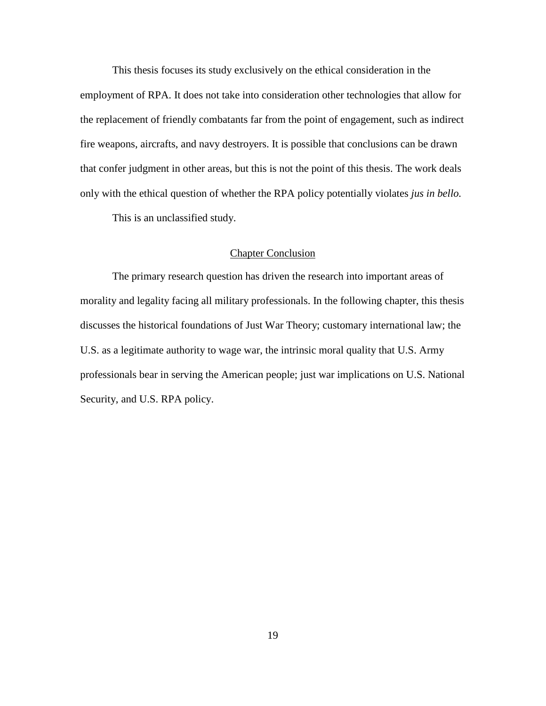This thesis focuses its study exclusively on the ethical consideration in the employment of RPA. It does not take into consideration other technologies that allow for the replacement of friendly combatants far from the point of engagement, such as indirect fire weapons, aircrafts, and navy destroyers. It is possible that conclusions can be drawn that confer judgment in other areas, but this is not the point of this thesis. The work deals only with the ethical question of whether the RPA policy potentially violates *jus in bello.*

This is an unclassified study.

#### Chapter Conclusion

The primary research question has driven the research into important areas of morality and legality facing all military professionals. In the following chapter, this thesis discusses the historical foundations of Just War Theory; customary international law; the U.S. as a legitimate authority to wage war, the intrinsic moral quality that U.S. Army professionals bear in serving the American people; just war implications on U.S. National Security, and U.S. RPA policy.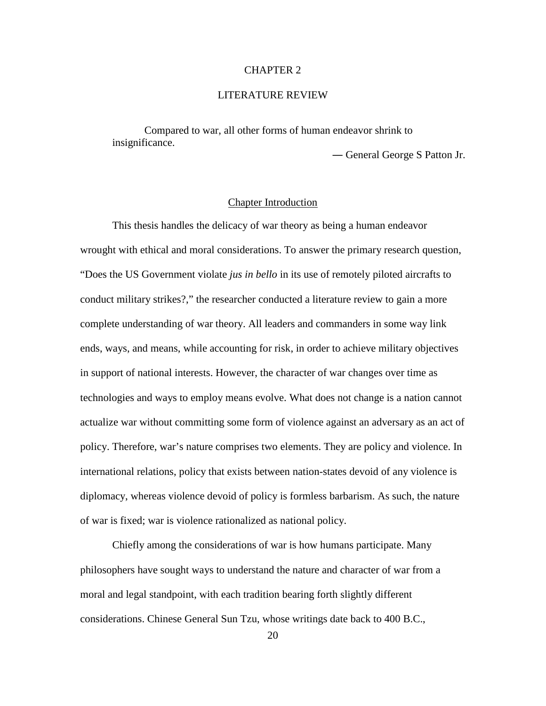# CHAPTER 2

## LITERATURE REVIEW

Compared to war, all other forms of human endeavor shrink to insignificance.

― General George S Patton Jr.

# Chapter Introduction

This thesis handles the delicacy of war theory as being a human endeavor wrought with ethical and moral considerations. To answer the primary research question, "Does the US Government violate *jus in bello* in its use of remotely piloted aircrafts to conduct military strikes?," the researcher conducted a literature review to gain a more complete understanding of war theory. All leaders and commanders in some way link ends, ways, and means, while accounting for risk, in order to achieve military objectives in support of national interests. However, the character of war changes over time as technologies and ways to employ means evolve. What does not change is a nation cannot actualize war without committing some form of violence against an adversary as an act of policy. Therefore, war's nature comprises two elements. They are policy and violence. In international relations, policy that exists between nation-states devoid of any violence is diplomacy, whereas violence devoid of policy is formless barbarism. As such, the nature of war is fixed; war is violence rationalized as national policy.

Chiefly among the considerations of war is how humans participate. Many philosophers have sought ways to understand the nature and character of war from a moral and legal standpoint, with each tradition bearing forth slightly different considerations. Chinese General Sun Tzu, whose writings date back to 400 B.C.,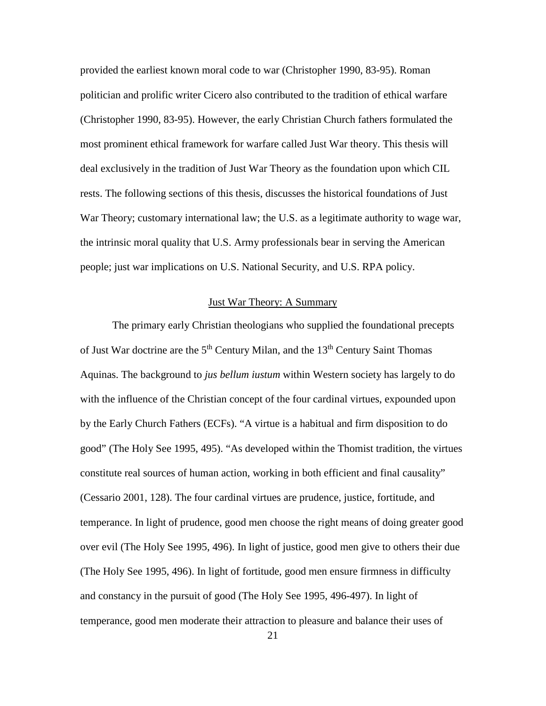provided the earliest known moral code to war (Christopher 1990, 83-95). Roman politician and prolific writer Cicero also contributed to the tradition of ethical warfare (Christopher 1990, 83-95). However, the early Christian Church fathers formulated the most prominent ethical framework for warfare called Just War theory. This thesis will deal exclusively in the tradition of Just War Theory as the foundation upon which CIL rests. The following sections of this thesis, discusses the historical foundations of Just War Theory; customary international law; the U.S. as a legitimate authority to wage war, the intrinsic moral quality that U.S. Army professionals bear in serving the American people; just war implications on U.S. National Security, and U.S. RPA policy.

#### Just War Theory: A Summary

The primary early Christian theologians who supplied the foundational precepts of Just War doctrine are the  $5<sup>th</sup>$  Century Milan, and the  $13<sup>th</sup>$  Century Saint Thomas Aquinas. The background to *jus bellum iustum* within Western society has largely to do with the influence of the Christian concept of the four cardinal virtues, expounded upon by the Early Church Fathers (ECFs). "A virtue is a habitual and firm disposition to do good" (The Holy See 1995, 495). "As developed within the Thomist tradition, the virtues constitute real sources of human action, working in both efficient and final causality" (Cessario 2001, 128). The four cardinal virtues are prudence, justice, fortitude, and temperance. In light of prudence, good men choose the right means of doing greater good over evil (The Holy See 1995, 496). In light of justice, good men give to others their due (The Holy See 1995, 496). In light of fortitude, good men ensure firmness in difficulty and constancy in the pursuit of good (The Holy See 1995, 496-497). In light of temperance, good men moderate their attraction to pleasure and balance their uses of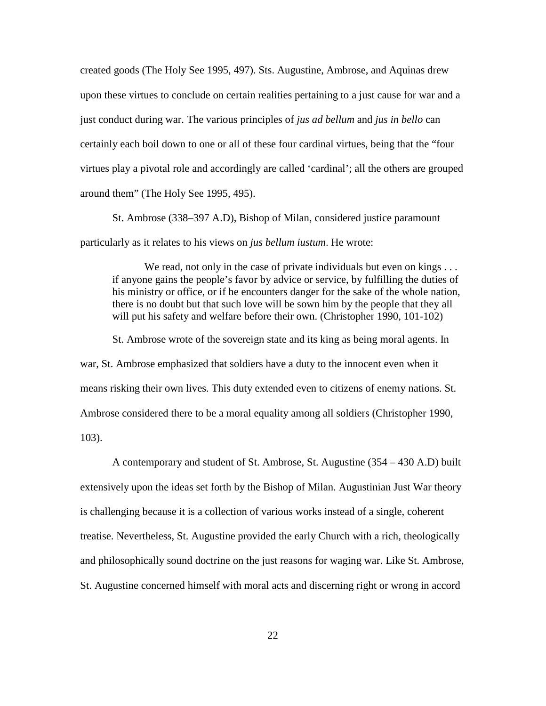created goods (The Holy See 1995, 497). Sts. Augustine, Ambrose, and Aquinas drew upon these virtues to conclude on certain realities pertaining to a just cause for war and a just conduct during war. The various principles of *jus ad bellum* and *jus in bello* can certainly each boil down to one or all of these four cardinal virtues, being that the "four virtues play a pivotal role and accordingly are called 'cardinal'; all the others are grouped around them" (The Holy See 1995, 495).

St. Ambrose (338–397 A.D), Bishop of Milan, considered justice paramount particularly as it relates to his views on *jus bellum iustum*. He wrote:

We read, not only in the case of private individuals but even on kings . . . if anyone gains the people's favor by advice or service, by fulfilling the duties of his ministry or office, or if he encounters danger for the sake of the whole nation, there is no doubt but that such love will be sown him by the people that they all will put his safety and welfare before their own. (Christopher 1990, 101-102)

St. Ambrose wrote of the sovereign state and its king as being moral agents. In war, St. Ambrose emphasized that soldiers have a duty to the innocent even when it means risking their own lives. This duty extended even to citizens of enemy nations. St. Ambrose considered there to be a moral equality among all soldiers (Christopher 1990, 103).

A contemporary and student of St. Ambrose, St. Augustine (354 – 430 A.D) built extensively upon the ideas set forth by the Bishop of Milan. Augustinian Just War theory is challenging because it is a collection of various works instead of a single, coherent treatise. Nevertheless, St. Augustine provided the early Church with a rich, theologically and philosophically sound doctrine on the just reasons for waging war. Like St. Ambrose, St. Augustine concerned himself with moral acts and discerning right or wrong in accord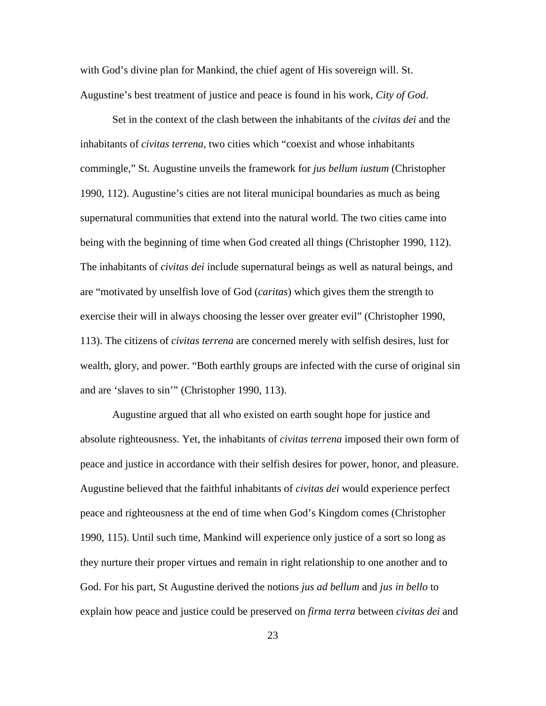with God's divine plan for Mankind, the chief agent of His sovereign will. St. Augustine's best treatment of justice and peace is found in his work, *City of God*.

Set in the context of the clash between the inhabitants of the *civitas dei* and the inhabitants of *civitas terrena,* two cities which "coexist and whose inhabitants commingle," St. Augustine unveils the framework for *jus bellum iustum* (Christopher 1990, 112). Augustine's cities are not literal municipal boundaries as much as being supernatural communities that extend into the natural world. The two cities came into being with the beginning of time when God created all things (Christopher 1990, 112). The inhabitants of *civitas dei* include supernatural beings as well as natural beings, and are "motivated by unselfish love of God (*caritas*) which gives them the strength to exercise their will in always choosing the lesser over greater evil" (Christopher 1990, 113). The citizens of *civitas terrena* are concerned merely with selfish desires, lust for wealth, glory, and power. "Both earthly groups are infected with the curse of original sin and are 'slaves to sin'" (Christopher 1990, 113).

Augustine argued that all who existed on earth sought hope for justice and absolute righteousness. Yet, the inhabitants of *civitas terrena* imposed their own form of peace and justice in accordance with their selfish desires for power, honor, and pleasure. Augustine believed that the faithful inhabitants of *civitas dei* would experience perfect peace and righteousness at the end of time when God's Kingdom comes (Christopher 1990, 115). Until such time, Mankind will experience only justice of a sort so long as they nurture their proper virtues and remain in right relationship to one another and to God. For his part, St Augustine derived the notions *jus ad bellum* and *jus in bello* to explain how peace and justice could be preserved on *firma terra* between *civitas dei* and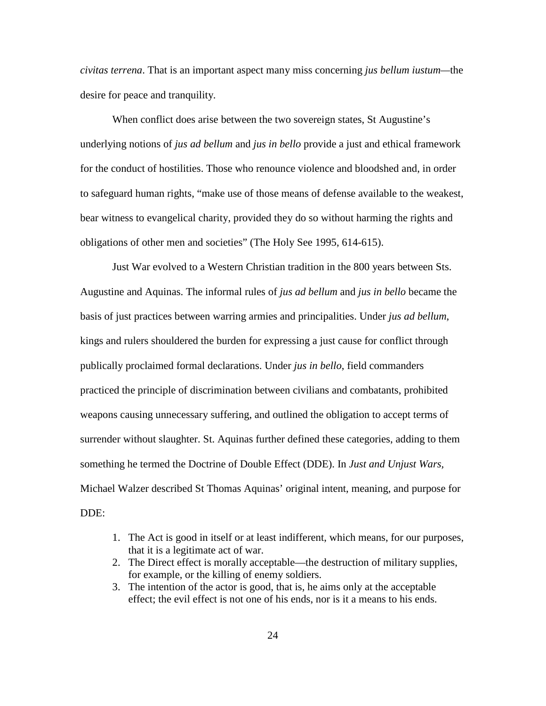*civitas terrena*. That is an important aspect many miss concerning *jus bellum iustum—*the desire for peace and tranquility.

When conflict does arise between the two sovereign states, St Augustine's underlying notions of *jus ad bellum* and *jus in bello* provide a just and ethical framework for the conduct of hostilities. Those who renounce violence and bloodshed and, in order to safeguard human rights, "make use of those means of defense available to the weakest, bear witness to evangelical charity, provided they do so without harming the rights and obligations of other men and societies" (The Holy See 1995, 614-615).

Just War evolved to a Western Christian tradition in the 800 years between Sts. Augustine and Aquinas. The informal rules of *jus ad bellum* and *jus in bello* became the basis of just practices between warring armies and principalities. Under *jus ad bellum*, kings and rulers shouldered the burden for expressing a just cause for conflict through publically proclaimed formal declarations. Under *jus in bello*, field commanders practiced the principle of discrimination between civilians and combatants, prohibited weapons causing unnecessary suffering, and outlined the obligation to accept terms of surrender without slaughter. St. Aquinas further defined these categories, adding to them something he termed the Doctrine of Double Effect (DDE). In *Just and Unjust Wars,*  Michael Walzer described St Thomas Aquinas' original intent, meaning, and purpose for DDE:

- 1. The Act is good in itself or at least indifferent, which means, for our purposes, that it is a legitimate act of war.
- 2. The Direct effect is morally acceptable—the destruction of military supplies, for example, or the killing of enemy soldiers.
- 3. The intention of the actor is good, that is, he aims only at the acceptable effect; the evil effect is not one of his ends, nor is it a means to his ends.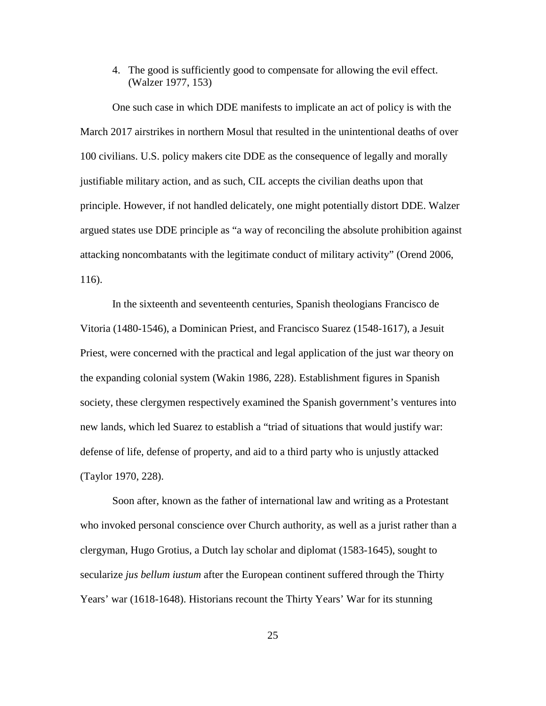4. The good is sufficiently good to compensate for allowing the evil effect. (Walzer 1977, 153)

One such case in which DDE manifests to implicate an act of policy is with the March 2017 airstrikes in northern Mosul that resulted in the unintentional deaths of over 100 civilians. U.S. policy makers cite DDE as the consequence of legally and morally justifiable military action, and as such, CIL accepts the civilian deaths upon that principle. However, if not handled delicately, one might potentially distort DDE. Walzer argued states use DDE principle as "a way of reconciling the absolute prohibition against attacking noncombatants with the legitimate conduct of military activity" (Orend 2006, 116).

In the sixteenth and seventeenth centuries, Spanish theologians Francisco de Vitoria (1480-1546), a Dominican Priest, and Francisco Suarez (1548-1617), a Jesuit Priest, were concerned with the practical and legal application of the just war theory on the expanding colonial system (Wakin 1986, 228). Establishment figures in Spanish society, these clergymen respectively examined the Spanish government's ventures into new lands, which led Suarez to establish a "triad of situations that would justify war: defense of life, defense of property, and aid to a third party who is unjustly attacked (Taylor 1970, 228).

Soon after, known as the father of international law and writing as a Protestant who invoked personal conscience over Church authority, as well as a jurist rather than a clergyman, Hugo Grotius, a Dutch lay scholar and diplomat (1583-1645), sought to secularize *jus bellum iustum* after the European continent suffered through the Thirty Years' war (1618-1648). Historians recount the Thirty Years' War for its stunning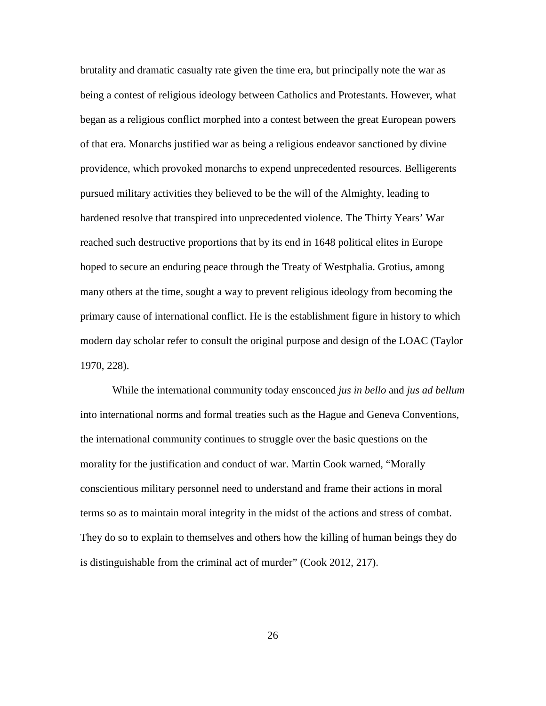brutality and dramatic casualty rate given the time era, but principally note the war as being a contest of religious ideology between Catholics and Protestants. However, what began as a religious conflict morphed into a contest between the great European powers of that era. Monarchs justified war as being a religious endeavor sanctioned by divine providence, which provoked monarchs to expend unprecedented resources. Belligerents pursued military activities they believed to be the will of the Almighty, leading to hardened resolve that transpired into unprecedented violence. The Thirty Years' War reached such destructive proportions that by its end in 1648 political elites in Europe hoped to secure an enduring peace through the Treaty of Westphalia. Grotius, among many others at the time, sought a way to prevent religious ideology from becoming the primary cause of international conflict. He is the establishment figure in history to which modern day scholar refer to consult the original purpose and design of the LOAC (Taylor 1970, 228).

While the international community today ensconced *jus in bello* and *jus ad bellum* into international norms and formal treaties such as the Hague and Geneva Conventions, the international community continues to struggle over the basic questions on the morality for the justification and conduct of war. Martin Cook warned, "Morally conscientious military personnel need to understand and frame their actions in moral terms so as to maintain moral integrity in the midst of the actions and stress of combat. They do so to explain to themselves and others how the killing of human beings they do is distinguishable from the criminal act of murder" (Cook 2012, 217).

26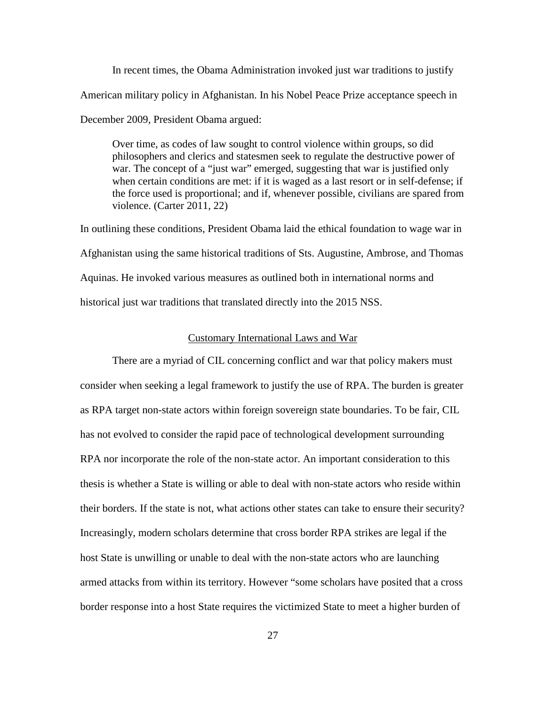In recent times, the Obama Administration invoked just war traditions to justify American military policy in Afghanistan. In his Nobel Peace Prize acceptance speech in December 2009, President Obama argued:

Over time, as codes of law sought to control violence within groups, so did philosophers and clerics and statesmen seek to regulate the destructive power of war. The concept of a "just war" emerged, suggesting that war is justified only when certain conditions are met: if it is waged as a last resort or in self-defense; if the force used is proportional; and if, whenever possible, civilians are spared from violence. (Carter 2011, 22)

In outlining these conditions, President Obama laid the ethical foundation to wage war in Afghanistan using the same historical traditions of Sts. Augustine, Ambrose, and Thomas Aquinas. He invoked various measures as outlined both in international norms and historical just war traditions that translated directly into the 2015 NSS.

## Customary International Laws and War

There are a myriad of CIL concerning conflict and war that policy makers must consider when seeking a legal framework to justify the use of RPA. The burden is greater as RPA target non-state actors within foreign sovereign state boundaries. To be fair, CIL has not evolved to consider the rapid pace of technological development surrounding RPA nor incorporate the role of the non-state actor. An important consideration to this thesis is whether a State is willing or able to deal with non-state actors who reside within their borders. If the state is not, what actions other states can take to ensure their security? Increasingly, modern scholars determine that cross border RPA strikes are legal if the host State is unwilling or unable to deal with the non-state actors who are launching armed attacks from within its territory. However "some scholars have posited that a cross border response into a host State requires the victimized State to meet a higher burden of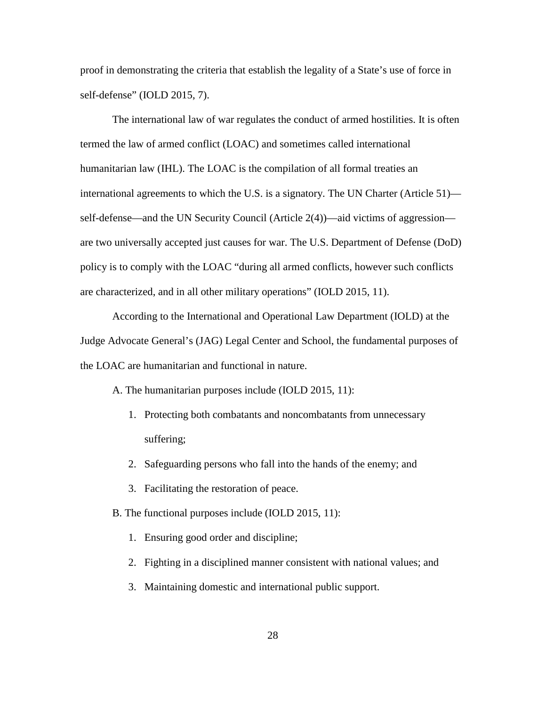proof in demonstrating the criteria that establish the legality of a State's use of force in self-defense" (IOLD 2015, 7).

The international law of war regulates the conduct of armed hostilities. It is often termed the law of armed conflict (LOAC) and sometimes called international humanitarian law (IHL). The LOAC is the compilation of all formal treaties an international agreements to which the U.S. is a signatory. The UN Charter (Article 51) self-defense—and the UN Security Council (Article 2(4))—aid victims of aggression are two universally accepted just causes for war. The U.S. Department of Defense (DoD) policy is to comply with the LOAC "during all armed conflicts, however such conflicts are characterized, and in all other military operations" (IOLD 2015, 11).

According to the International and Operational Law Department (IOLD) at the Judge Advocate General's (JAG) Legal Center and School, the fundamental purposes of the LOAC are humanitarian and functional in nature.

A. The humanitarian purposes include (IOLD 2015, 11):

- 1. Protecting both combatants and noncombatants from unnecessary suffering;
- 2. Safeguarding persons who fall into the hands of the enemy; and
- 3. Facilitating the restoration of peace.
- B. The functional purposes include (IOLD 2015, 11):
	- 1. Ensuring good order and discipline;
	- 2. Fighting in a disciplined manner consistent with national values; and
	- 3. Maintaining domestic and international public support.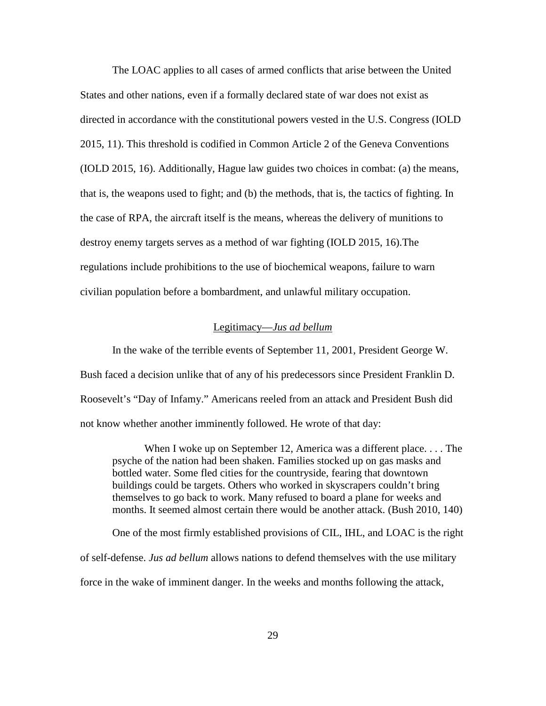The LOAC applies to all cases of armed conflicts that arise between the United States and other nations, even if a formally declared state of war does not exist as directed in accordance with the constitutional powers vested in the U.S. Congress (IOLD 2015, 11). This threshold is codified in Common Article 2 of the Geneva Conventions (IOLD 2015, 16). Additionally, Hague law guides two choices in combat: (a) the means, that is, the weapons used to fight; and (b) the methods, that is, the tactics of fighting. In the case of RPA, the aircraft itself is the means, whereas the delivery of munitions to destroy enemy targets serves as a method of war fighting (IOLD 2015, 16).The regulations include prohibitions to the use of biochemical weapons, failure to warn civilian population before a bombardment, and unlawful military occupation.

#### Legitimacy—*Jus ad bellum*

In the wake of the terrible events of September 11, 2001, President George W. Bush faced a decision unlike that of any of his predecessors since President Franklin D. Roosevelt's "Day of Infamy." Americans reeled from an attack and President Bush did not know whether another imminently followed. He wrote of that day:

When I woke up on September 12, America was a different place. . . . The psyche of the nation had been shaken. Families stocked up on gas masks and bottled water. Some fled cities for the countryside, fearing that downtown buildings could be targets. Others who worked in skyscrapers couldn't bring themselves to go back to work. Many refused to board a plane for weeks and months. It seemed almost certain there would be another attack. (Bush 2010, 140)

One of the most firmly established provisions of CIL, IHL, and LOAC is the right of self-defense. *Jus ad bellum* allows nations to defend themselves with the use military force in the wake of imminent danger. In the weeks and months following the attack,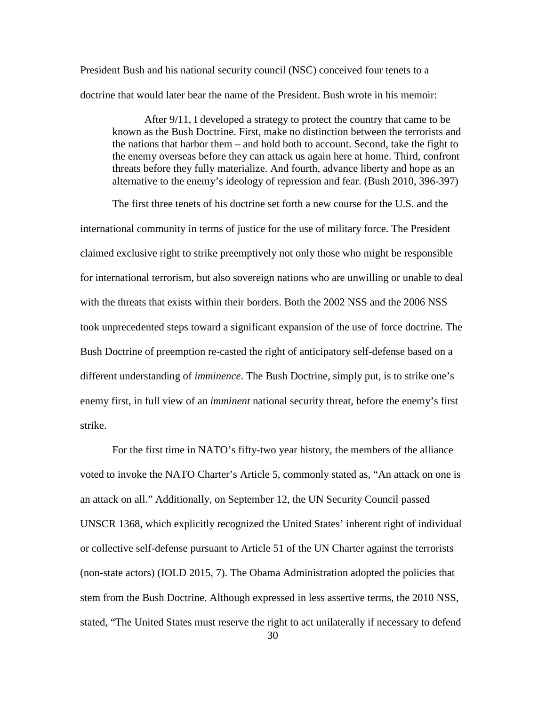President Bush and his national security council (NSC) conceived four tenets to a doctrine that would later bear the name of the President. Bush wrote in his memoir:

After 9/11, I developed a strategy to protect the country that came to be known as the Bush Doctrine. First, make no distinction between the terrorists and the nations that harbor them – and hold both to account. Second, take the fight to the enemy overseas before they can attack us again here at home. Third, confront threats before they fully materialize. And fourth, advance liberty and hope as an alternative to the enemy's ideology of repression and fear. (Bush 2010, 396-397)

The first three tenets of his doctrine set forth a new course for the U.S. and the international community in terms of justice for the use of military force. The President claimed exclusive right to strike preemptively not only those who might be responsible for international terrorism, but also sovereign nations who are unwilling or unable to deal with the threats that exists within their borders. Both the 2002 NSS and the 2006 NSS took unprecedented steps toward a significant expansion of the use of force doctrine. The Bush Doctrine of preemption re-casted the right of anticipatory self-defense based on a different understanding of *imminence*. The Bush Doctrine, simply put, is to strike one's enemy first, in full view of an *imminent* national security threat, before the enemy's first strike.

For the first time in NATO's fifty-two year history, the members of the alliance voted to invoke the NATO Charter's Article 5, commonly stated as, "An attack on one is an attack on all." Additionally, on September 12, the UN Security Council passed UNSCR 1368, which explicitly recognized the United States' inherent right of individual or collective self-defense pursuant to Article 51 of the UN Charter against the terrorists (non-state actors) (IOLD 2015, 7). The Obama Administration adopted the policies that stem from the Bush Doctrine. Although expressed in less assertive terms, the 2010 NSS, stated, "The United States must reserve the right to act unilaterally if necessary to defend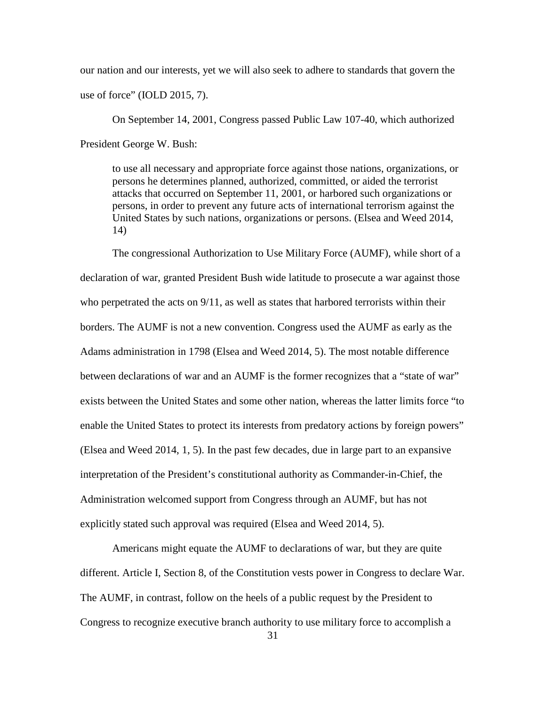our nation and our interests, yet we will also seek to adhere to standards that govern the use of force" (IOLD 2015, 7).

On September 14, 2001, Congress passed Public Law 107-40, which authorized President George W. Bush:

to use all necessary and appropriate force against those nations, organizations, or persons he determines planned, authorized, committed, or aided the terrorist attacks that occurred on September 11, 2001, or harbored such organizations or persons, in order to prevent any future acts of international terrorism against the United States by such nations, organizations or persons. (Elsea and Weed 2014, 14)

The congressional Authorization to Use Military Force (AUMF), while short of a declaration of war, granted President Bush wide latitude to prosecute a war against those who perpetrated the acts on 9/11, as well as states that harbored terrorists within their borders. The AUMF is not a new convention. Congress used the AUMF as early as the Adams administration in 1798 (Elsea and Weed 2014, 5). The most notable difference between declarations of war and an AUMF is the former recognizes that a "state of war" exists between the United States and some other nation, whereas the latter limits force "to enable the United States to protect its interests from predatory actions by foreign powers" (Elsea and Weed 2014, 1, 5). In the past few decades, due in large part to an expansive interpretation of the President's constitutional authority as Commander-in-Chief, the Administration welcomed support from Congress through an AUMF, but has not explicitly stated such approval was required (Elsea and Weed 2014, 5).

Americans might equate the AUMF to declarations of war, but they are quite different. Article I, Section 8, of the Constitution vests power in Congress to declare War. The AUMF, in contrast, follow on the heels of a public request by the President to Congress to recognize executive branch authority to use military force to accomplish a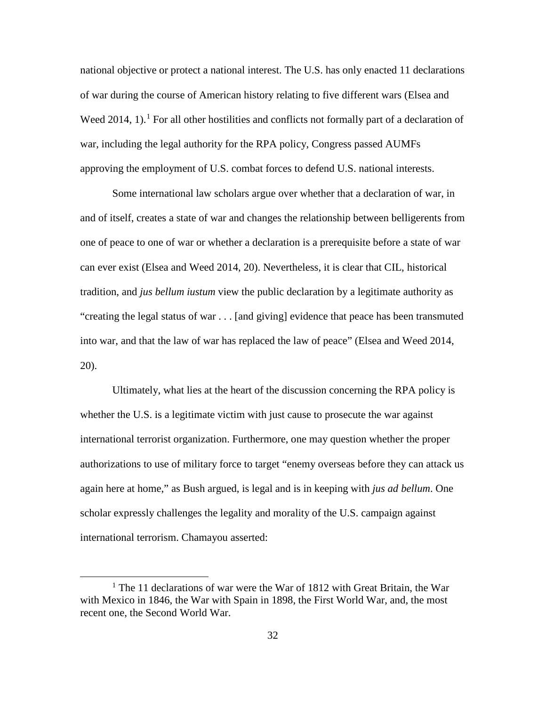national objective or protect a national interest. The U.S. has only enacted 11 declarations of war during the course of American history relating to five different wars (Elsea and Weed 20[1](#page-49-0)4, 1).<sup>1</sup> For all other hostilities and conflicts not formally part of a declaration of war, including the legal authority for the RPA policy, Congress passed AUMFs approving the employment of U.S. combat forces to defend U.S. national interests.

Some international law scholars argue over whether that a declaration of war, in and of itself, creates a state of war and changes the relationship between belligerents from one of peace to one of war or whether a declaration is a prerequisite before a state of war can ever exist (Elsea and Weed 2014, 20). Nevertheless, it is clear that CIL, historical tradition, and *jus bellum iustum* view the public declaration by a legitimate authority as "creating the legal status of war . . . [and giving] evidence that peace has been transmuted into war, and that the law of war has replaced the law of peace" (Elsea and Weed 2014, 20).

Ultimately, what lies at the heart of the discussion concerning the RPA policy is whether the U.S. is a legitimate victim with just cause to prosecute the war against international terrorist organization. Furthermore, one may question whether the proper authorizations to use of military force to target "enemy overseas before they can attack us again here at home," as Bush argued, is legal and is in keeping with *jus ad bellum*. One scholar expressly challenges the legality and morality of the U.S. campaign against international terrorism. Chamayou asserted:

<span id="page-49-0"></span><sup>&</sup>lt;sup>1</sup> The 11 declarations of war were the War of 1812 with Great Britain, the War with Mexico in 1846, the War with Spain in 1898, the First World War, and, the most recent one, the Second World War.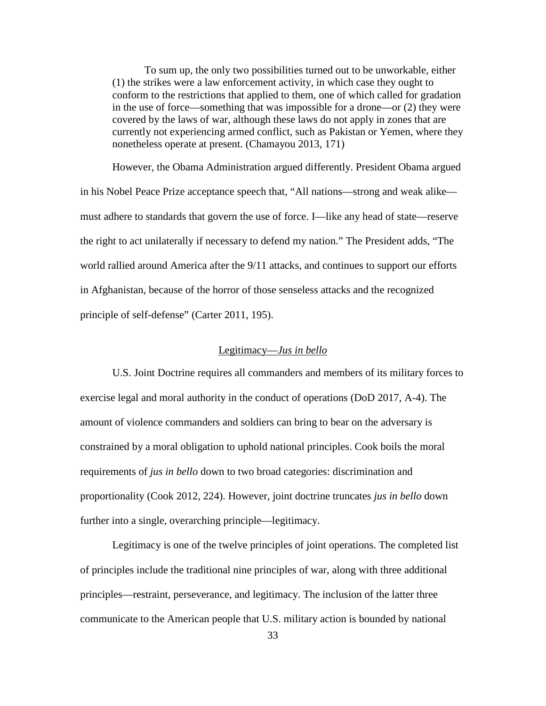To sum up, the only two possibilities turned out to be unworkable, either (1) the strikes were a law enforcement activity, in which case they ought to conform to the restrictions that applied to them, one of which called for gradation in the use of force—something that was impossible for a drone—or (2) they were covered by the laws of war, although these laws do not apply in zones that are currently not experiencing armed conflict, such as Pakistan or Yemen, where they nonetheless operate at present. (Chamayou 2013, 171)

However, the Obama Administration argued differently. President Obama argued in his Nobel Peace Prize acceptance speech that, "All nations—strong and weak alike must adhere to standards that govern the use of force. I—like any head of state—reserve the right to act unilaterally if necessary to defend my nation." The President adds, "The world rallied around America after the 9/11 attacks, and continues to support our efforts in Afghanistan, because of the horror of those senseless attacks and the recognized principle of self-defense" (Carter 2011, 195).

## Legitimacy—*Jus in bello*

U.S. Joint Doctrine requires all commanders and members of its military forces to exercise legal and moral authority in the conduct of operations (DoD 2017, A-4). The amount of violence commanders and soldiers can bring to bear on the adversary is constrained by a moral obligation to uphold national principles. Cook boils the moral requirements of *jus in bello* down to two broad categories: discrimination and proportionality (Cook 2012, 224). However, joint doctrine truncates *jus in bello* down further into a single, overarching principle—legitimacy.

Legitimacy is one of the twelve principles of joint operations. The completed list of principles include the traditional nine principles of war, along with three additional principles—restraint, perseverance, and legitimacy. The inclusion of the latter three communicate to the American people that U.S. military action is bounded by national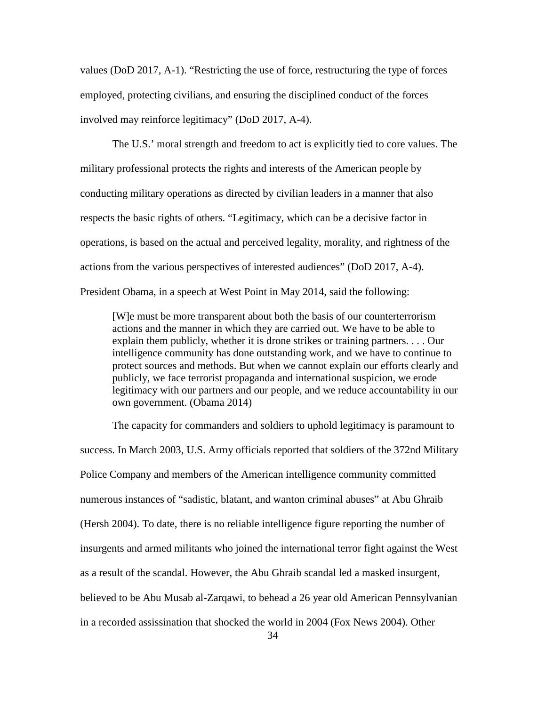values (DoD 2017, A-1). "Restricting the use of force, restructuring the type of forces employed, protecting civilians, and ensuring the disciplined conduct of the forces involved may reinforce legitimacy" (DoD 2017, A-4).

The U.S.' moral strength and freedom to act is explicitly tied to core values. The military professional protects the rights and interests of the American people by conducting military operations as directed by civilian leaders in a manner that also respects the basic rights of others. "Legitimacy, which can be a decisive factor in operations, is based on the actual and perceived legality, morality, and rightness of the actions from the various perspectives of interested audiences" (DoD 2017, A-4). President Obama, in a speech at West Point in May 2014, said the following:

[W]e must be more transparent about both the basis of our counterterrorism actions and the manner in which they are carried out. We have to be able to explain them publicly, whether it is drone strikes or training partners. . . . Our intelligence community has done outstanding work, and we have to continue to protect sources and methods. But when we cannot explain our efforts clearly and publicly, we face terrorist propaganda and international suspicion, we erode legitimacy with our partners and our people, and we reduce accountability in our own government. (Obama 2014)

The capacity for commanders and soldiers to uphold legitimacy is paramount to success. In March 2003, U.S. Army officials reported that soldiers of the 372nd Military Police Company and members of the American intelligence community committed numerous instances of "sadistic, blatant, and wanton criminal abuses" at Abu Ghraib (Hersh 2004). To date, there is no reliable intelligence figure reporting the number of insurgents and armed militants who joined the international terror fight against the West as a result of the scandal. However, the Abu Ghraib scandal led a masked insurgent, believed to be Abu Musab al-Zarqawi, to behead a 26 year old American Pennsylvanian in a recorded assissination that shocked the world in 2004 (Fox News 2004). Other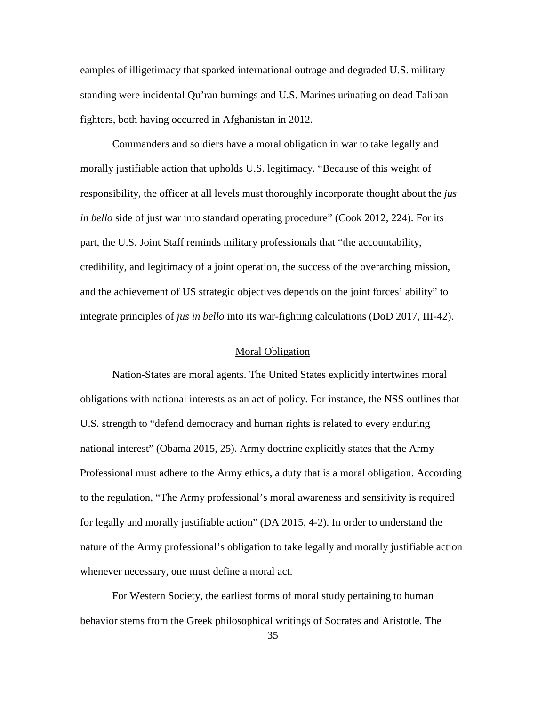eamples of illigetimacy that sparked international outrage and degraded U.S. military standing were incidental Qu'ran burnings and U.S. Marines urinating on dead Taliban fighters, both having occurred in Afghanistan in 2012.

Commanders and soldiers have a moral obligation in war to take legally and morally justifiable action that upholds U.S. legitimacy. "Because of this weight of responsibility, the officer at all levels must thoroughly incorporate thought about the *jus in bello* side of just war into standard operating procedure" (Cook 2012, 224). For its part, the U.S. Joint Staff reminds military professionals that "the accountability, credibility, and legitimacy of a joint operation, the success of the overarching mission, and the achievement of US strategic objectives depends on the joint forces' ability" to integrate principles of *jus in bello* into its war-fighting calculations (DoD 2017, III-42).

## Moral Obligation

Nation-States are moral agents. The United States explicitly intertwines moral obligations with national interests as an act of policy. For instance, the NSS outlines that U.S. strength to "defend democracy and human rights is related to every enduring national interest" (Obama 2015, 25). Army doctrine explicitly states that the Army Professional must adhere to the Army ethics, a duty that is a moral obligation. According to the regulation, "The Army professional's moral awareness and sensitivity is required for legally and morally justifiable action" (DA 2015, 4-2). In order to understand the nature of the Army professional's obligation to take legally and morally justifiable action whenever necessary, one must define a moral act.

For Western Society, the earliest forms of moral study pertaining to human behavior stems from the Greek philosophical writings of Socrates and Aristotle. The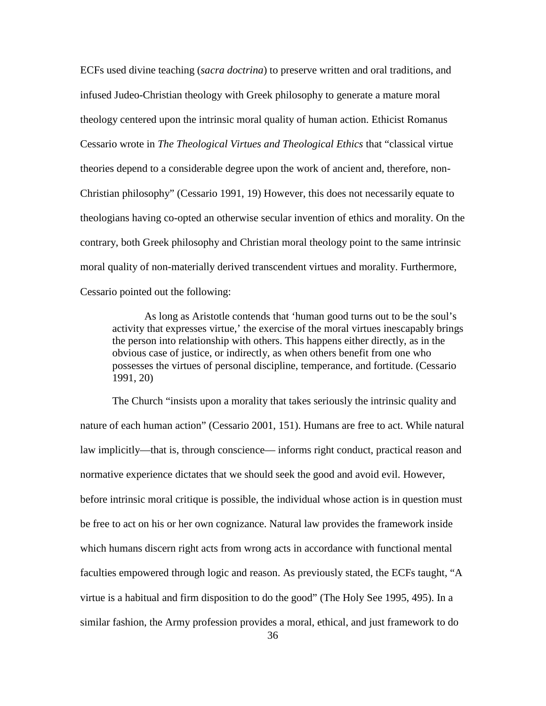ECFs used divine teaching (*sacra doctrina*) to preserve written and oral traditions, and infused Judeo-Christian theology with Greek philosophy to generate a mature moral theology centered upon the intrinsic moral quality of human action. Ethicist Romanus Cessario wrote in *The Theological Virtues and Theological Ethics* that "classical virtue theories depend to a considerable degree upon the work of ancient and, therefore, non-Christian philosophy" (Cessario 1991, 19) However, this does not necessarily equate to theologians having co-opted an otherwise secular invention of ethics and morality. On the contrary, both Greek philosophy and Christian moral theology point to the same intrinsic moral quality of non-materially derived transcendent virtues and morality. Furthermore, Cessario pointed out the following:

As long as Aristotle contends that 'human good turns out to be the soul's activity that expresses virtue,' the exercise of the moral virtues inescapably brings the person into relationship with others. This happens either directly, as in the obvious case of justice, or indirectly, as when others benefit from one who possesses the virtues of personal discipline, temperance, and fortitude. (Cessario 1991, 20)

The Church "insists upon a morality that takes seriously the intrinsic quality and nature of each human action" (Cessario 2001, 151). Humans are free to act. While natural law implicitly—that is, through conscience— informs right conduct, practical reason and normative experience dictates that we should seek the good and avoid evil. However, before intrinsic moral critique is possible, the individual whose action is in question must be free to act on his or her own cognizance. Natural law provides the framework inside which humans discern right acts from wrong acts in accordance with functional mental faculties empowered through logic and reason. As previously stated, the ECFs taught, "A virtue is a habitual and firm disposition to do the good" (The Holy See 1995, 495). In a similar fashion, the Army profession provides a moral, ethical, and just framework to do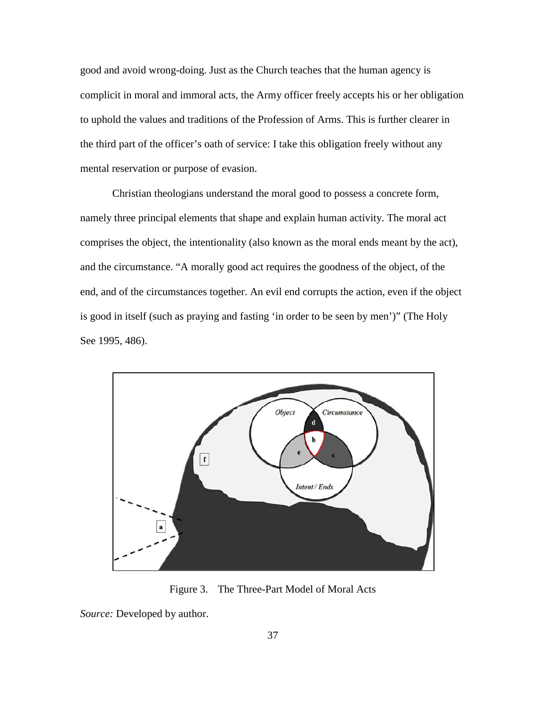good and avoid wrong-doing. Just as the Church teaches that the human agency is complicit in moral and immoral acts, the Army officer freely accepts his or her obligation to uphold the values and traditions of the Profession of Arms. This is further clearer in the third part of the officer's oath of service: I take this obligation freely without any mental reservation or purpose of evasion.

Christian theologians understand the moral good to possess a concrete form, namely three principal elements that shape and explain human activity. The moral act comprises the object, the intentionality (also known as the moral ends meant by the act), and the circumstance. "A morally good act requires the goodness of the object, of the end, and of the circumstances together. An evil end corrupts the action, even if the object is good in itself (such as praying and fasting 'in order to be seen by men')" (The Holy See 1995, 486).



Figure 3. The Three-Part Model of Moral Acts

*Source:* Developed by author.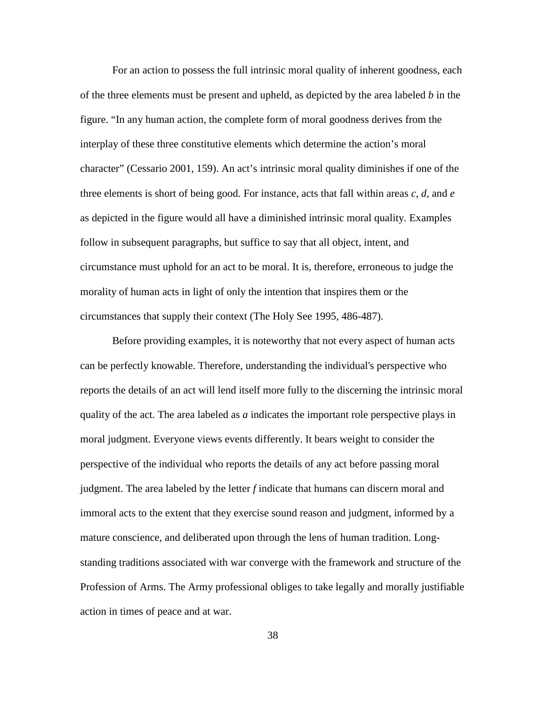For an action to possess the full intrinsic moral quality of inherent goodness, each of the three elements must be present and upheld, as depicted by the area labeled *b* in the figure. "In any human action, the complete form of moral goodness derives from the interplay of these three constitutive elements which determine the action's moral character" (Cessario 2001, 159). An act's intrinsic moral quality diminishes if one of the three elements is short of being good. For instance, acts that fall within areas *c, d,* and *e* as depicted in the figure would all have a diminished intrinsic moral quality. Examples follow in subsequent paragraphs, but suffice to say that all object, intent, and circumstance must uphold for an act to be moral. It is, therefore, erroneous to judge the morality of human acts in light of only the intention that inspires them or the circumstances that supply their context (The Holy See 1995, 486-487).

Before providing examples, it is noteworthy that not every aspect of human acts can be perfectly knowable. Therefore, understanding the individual's perspective who reports the details of an act will lend itself more fully to the discerning the intrinsic moral quality of the act. The area labeled as *a* indicates the important role perspective plays in moral judgment. Everyone views events differently. It bears weight to consider the perspective of the individual who reports the details of any act before passing moral judgment. The area labeled by the letter *f* indicate that humans can discern moral and immoral acts to the extent that they exercise sound reason and judgment, informed by a mature conscience, and deliberated upon through the lens of human tradition. Longstanding traditions associated with war converge with the framework and structure of the Profession of Arms. The Army professional obliges to take legally and morally justifiable action in times of peace and at war.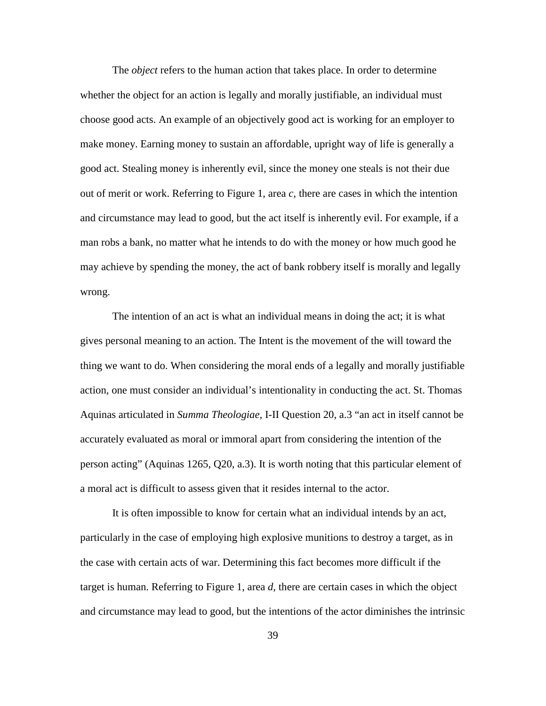The *object* refers to the human action that takes place. In order to determine whether the object for an action is legally and morally justifiable, an individual must choose good acts. An example of an objectively good act is working for an employer to make money. Earning money to sustain an affordable, upright way of life is generally a good act. Stealing money is inherently evil, since the money one steals is not their due out of merit or work. Referring to Figure 1, area *c,* there are cases in which the intention and circumstance may lead to good, but the act itself is inherently evil. For example, if a man robs a bank, no matter what he intends to do with the money or how much good he may achieve by spending the money, the act of bank robbery itself is morally and legally wrong.

The intention of an act is what an individual means in doing the act; it is what gives personal meaning to an action. The Intent is the movement of the will toward the thing we want to do. When considering the moral ends of a legally and morally justifiable action*,* one must consider an individual's intentionality in conducting the act. St. Thomas Aquinas articulated in *Summa Theologiae*, I-II Question 20, a.3 "an act in itself cannot be accurately evaluated as moral or immoral apart from considering the intention of the person acting" (Aquinas 1265, Q20, a.3). It is worth noting that this particular element of a moral act is difficult to assess given that it resides internal to the actor.

It is often impossible to know for certain what an individual intends by an act, particularly in the case of employing high explosive munitions to destroy a target, as in the case with certain acts of war. Determining this fact becomes more difficult if the target is human. Referring to Figure 1, area *d,* there are certain cases in which the object and circumstance may lead to good, but the intentions of the actor diminishes the intrinsic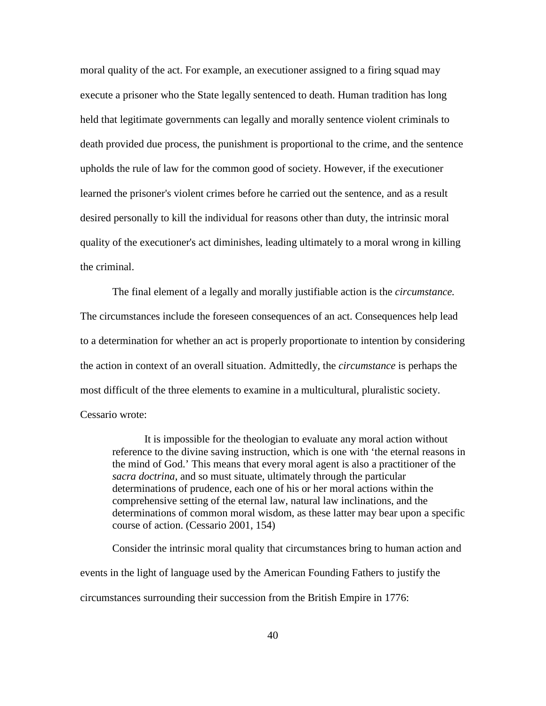moral quality of the act. For example, an executioner assigned to a firing squad may execute a prisoner who the State legally sentenced to death. Human tradition has long held that legitimate governments can legally and morally sentence violent criminals to death provided due process, the punishment is proportional to the crime, and the sentence upholds the rule of law for the common good of society. However, if the executioner learned the prisoner's violent crimes before he carried out the sentence, and as a result desired personally to kill the individual for reasons other than duty, the intrinsic moral quality of the executioner's act diminishes, leading ultimately to a moral wrong in killing the criminal.

The final element of a legally and morally justifiable action is the *circumstance.*  The circumstances include the foreseen consequences of an act. Consequences help lead to a determination for whether an act is properly proportionate to intention by considering the action in context of an overall situation. Admittedly, the *circumstance* is perhaps the most difficult of the three elements to examine in a multicultural, pluralistic society. Cessario wrote:

It is impossible for the theologian to evaluate any moral action without reference to the divine saving instruction, which is one with 'the eternal reasons in the mind of God.' This means that every moral agent is also a practitioner of the *sacra doctrina*, and so must situate, ultimately through the particular determinations of prudence, each one of his or her moral actions within the comprehensive setting of the eternal law, natural law inclinations, and the determinations of common moral wisdom, as these latter may bear upon a specific course of action. (Cessario 2001, 154)

Consider the intrinsic moral quality that circumstances bring to human action and events in the light of language used by the American Founding Fathers to justify the circumstances surrounding their succession from the British Empire in 1776: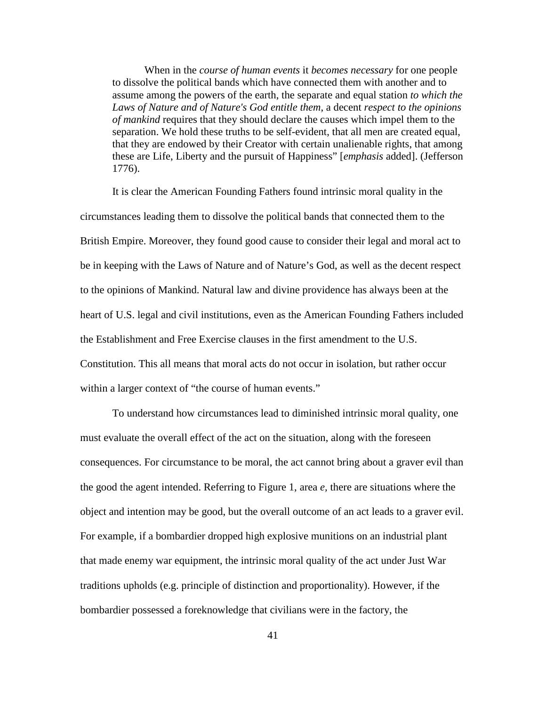When in the *course of human events* it *becomes necessary* for one people to dissolve the political bands which have connected them with another and to assume among the powers of the earth, the separate and equal station *to which the Laws of Nature and of Nature's God entitle them*, a decent *respect to the opinions of mankind* requires that they should declare the causes which impel them to the separation. We hold these truths to be self-evident, that all men are created equal, that they are endowed by their Creator with certain unalienable rights, that among these are Life, Liberty and the pursuit of Happiness" [*emphasis* added]. (Jefferson 1776).

It is clear the American Founding Fathers found intrinsic moral quality in the circumstances leading them to dissolve the political bands that connected them to the British Empire. Moreover, they found good cause to consider their legal and moral act to be in keeping with the Laws of Nature and of Nature's God, as well as the decent respect to the opinions of Mankind. Natural law and divine providence has always been at the heart of U.S. legal and civil institutions, even as the American Founding Fathers included the Establishment and Free Exercise clauses in the first amendment to the U.S. Constitution. This all means that moral acts do not occur in isolation, but rather occur within a larger context of "the course of human events."

To understand how circumstances lead to diminished intrinsic moral quality, one must evaluate the overall effect of the act on the situation, along with the foreseen consequences. For circumstance to be moral, the act cannot bring about a graver evil than the good the agent intended. Referring to Figure 1, area *e,* there are situations where the object and intention may be good, but the overall outcome of an act leads to a graver evil. For example, if a bombardier dropped high explosive munitions on an industrial plant that made enemy war equipment, the intrinsic moral quality of the act under Just War traditions upholds (e.g. principle of distinction and proportionality). However, if the bombardier possessed a foreknowledge that civilians were in the factory, the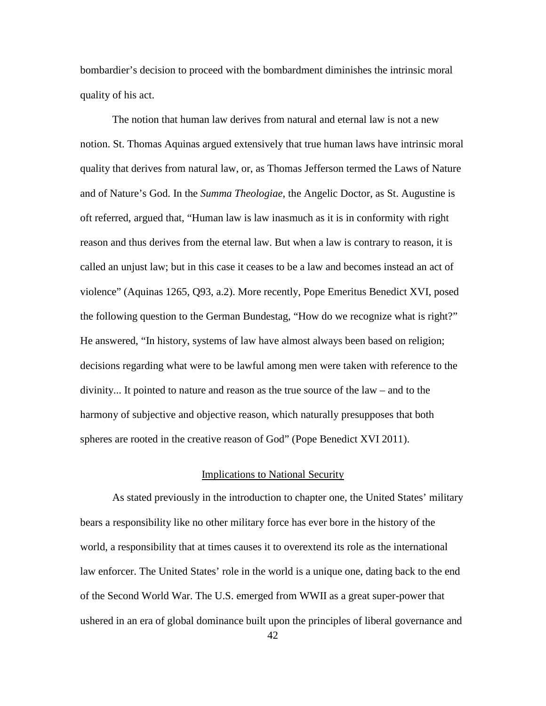bombardier's decision to proceed with the bombardment diminishes the intrinsic moral quality of his act.

The notion that human law derives from natural and eternal law is not a new notion. St. Thomas Aquinas argued extensively that true human laws have intrinsic moral quality that derives from natural law, or, as Thomas Jefferson termed the Laws of Nature and of Nature's God. In the *Summa Theologiae*, the Angelic Doctor, as St. Augustine is oft referred, argued that, "Human law is law inasmuch as it is in conformity with right reason and thus derives from the eternal law. But when a law is contrary to reason, it is called an unjust law; but in this case it ceases to be a law and becomes instead an act of violence" (Aquinas 1265, Q93, a.2). More recently, Pope Emeritus Benedict XVI, posed the following question to the German Bundestag, "How do we recognize what is right?" He answered, "In history, systems of law have almost always been based on religion; decisions regarding what were to be lawful among men were taken with reference to the divinity... It pointed to nature and reason as the true source of the law – and to the harmony of subjective and objective reason, which naturally presupposes that both spheres are rooted in the creative reason of God" (Pope Benedict XVI 2011).

#### Implications to National Security

As stated previously in the introduction to chapter one, the United States' military bears a responsibility like no other military force has ever bore in the history of the world, a responsibility that at times causes it to overextend its role as the international law enforcer. The United States' role in the world is a unique one, dating back to the end of the Second World War. The U.S. emerged from WWII as a great super-power that ushered in an era of global dominance built upon the principles of liberal governance and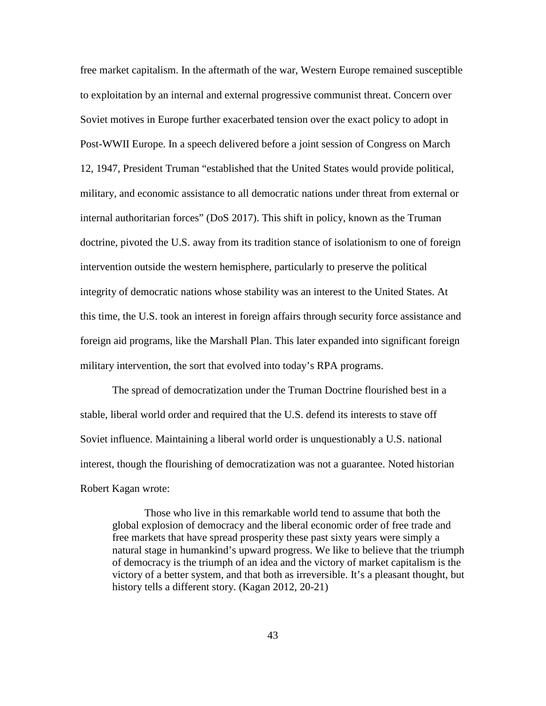free market capitalism. In the aftermath of the war, Western Europe remained susceptible to exploitation by an internal and external progressive communist threat. Concern over Soviet motives in Europe further exacerbated tension over the exact policy to adopt in Post-WWII Europe. In a speech delivered before a joint session of Congress on March 12, 1947, President Truman "established that the United States would provide political, military, and economic assistance to all democratic nations under threat from external or internal authoritarian forces" (DoS 2017). This shift in policy, known as the Truman doctrine, pivoted the U.S. away from its tradition stance of isolationism to one of foreign intervention outside the western hemisphere, particularly to preserve the political integrity of democratic nations whose stability was an interest to the United States. At this time, the U.S. took an interest in foreign affairs through security force assistance and foreign aid programs, like the Marshall Plan. This later expanded into significant foreign military intervention, the sort that evolved into today's RPA programs.

The spread of democratization under the Truman Doctrine flourished best in a stable, liberal world order and required that the U.S. defend its interests to stave off Soviet influence. Maintaining a liberal world order is unquestionably a U.S. national interest, though the flourishing of democratization was not a guarantee. Noted historian Robert Kagan wrote:

Those who live in this remarkable world tend to assume that both the global explosion of democracy and the liberal economic order of free trade and free markets that have spread prosperity these past sixty years were simply a natural stage in humankind's upward progress. We like to believe that the triumph of democracy is the triumph of an idea and the victory of market capitalism is the victory of a better system, and that both as irreversible. It's a pleasant thought, but history tells a different story. (Kagan 2012, 20-21)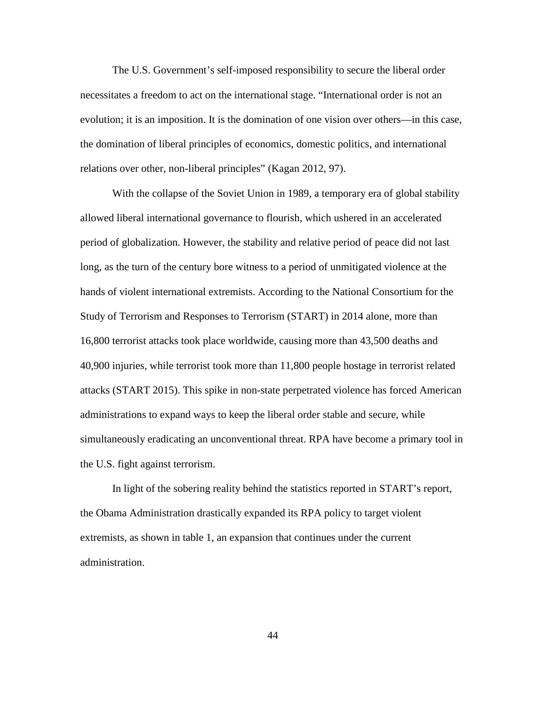The U.S. Government's self-imposed responsibility to secure the liberal order necessitates a freedom to act on the international stage. "International order is not an evolution; it is an imposition. It is the domination of one vision over others—in this case, the domination of liberal principles of economics, domestic politics, and international relations over other, non-liberal principles" (Kagan 2012, 97).

With the collapse of the Soviet Union in 1989, a temporary era of global stability allowed liberal international governance to flourish, which ushered in an accelerated period of globalization. However, the stability and relative period of peace did not last long, as the turn of the century bore witness to a period of unmitigated violence at the hands of violent international extremists. According to the National Consortium for the Study of Terrorism and Responses to Terrorism (START) in 2014 alone, more than 16,800 terrorist attacks took place worldwide, causing more than 43,500 deaths and 40,900 injuries, while terrorist took more than 11,800 people hostage in terrorist related attacks (START 2015). This spike in non-state perpetrated violence has forced American administrations to expand ways to keep the liberal order stable and secure, while simultaneously eradicating an unconventional threat. RPA have become a primary tool in the U.S. fight against terrorism.

In light of the sobering reality behind the statistics reported in START's report, the Obama Administration drastically expanded its RPA policy to target violent extremists, as shown in table 1, an expansion that continues under the current administration.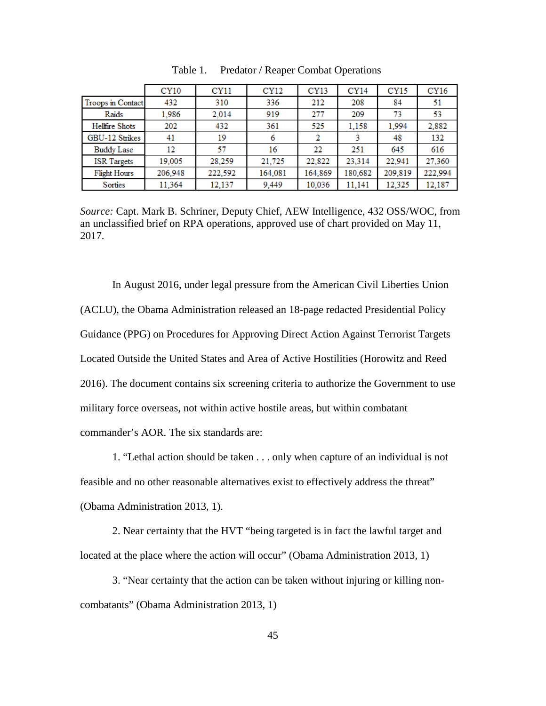|                     | CY10    | CY <sub>11</sub> | <b>CY12</b> | CY13    | <b>CY14</b> | <b>CY15</b> | CY16    |
|---------------------|---------|------------------|-------------|---------|-------------|-------------|---------|
| Troops in Contact   | 432     | 310              | 336         | 212     | 208         | 84          | 51      |
| Raids               | 1,986   | 2,014            | 919         | 277     | 209         | 73          | 53      |
| Hellfire Shots      | 202     | 432              | 361         | 525     | 1,158       | 1.994       | 2,882   |
| GBU-12 Strikes      | 41      | 19               | 6           | 2       |             | 48          | 132     |
| <b>Buddy Lase</b>   | 12      | 57               | 16          | 22      | 251         | 645         | 616     |
| <b>ISR</b> Targets  | 19,005  | 28.259           | 21,725      | 22,822  | 23,314      | 22.941      | 27,360  |
| <b>Flight Hours</b> | 206,948 | 222,592          | 164,081     | 164,869 | 180,682     | 209,819     | 222,994 |
| Sorties             | 11,364  | 12,137           | 9,449       | 10,036  | 11,141      | 12.325      | 12,187  |

Table 1. Predator / Reaper Combat Operations

*Source:* Capt. Mark B. Schriner, Deputy Chief, AEW Intelligence, 432 OSS/WOC, from an unclassified brief on RPA operations, approved use of chart provided on May 11, 2017.

In August 2016, under legal pressure from the American Civil Liberties Union (ACLU), the Obama Administration released an 18-page redacted Presidential Policy Guidance (PPG) on Procedures for Approving Direct Action Against Terrorist Targets Located Outside the United States and Area of Active Hostilities (Horowitz and Reed 2016). The document contains six screening criteria to authorize the Government to use military force overseas, not within active hostile areas, but within combatant commander's AOR. The six standards are:

1. "Lethal action should be taken . . . only when capture of an individual is not feasible and no other reasonable alternatives exist to effectively address the threat" (Obama Administration 2013, 1).

2. Near certainty that the HVT "being targeted is in fact the lawful target and located at the place where the action will occur" (Obama Administration 2013, 1)

3. "Near certainty that the action can be taken without injuring or killing noncombatants" (Obama Administration 2013, 1)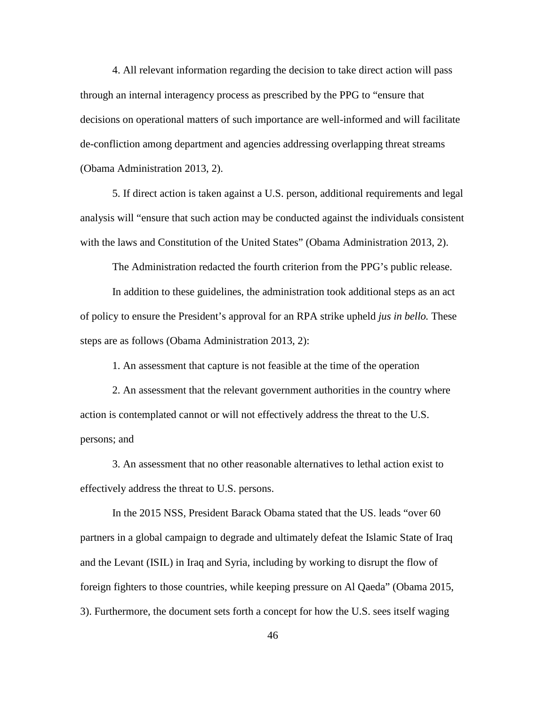4. All relevant information regarding the decision to take direct action will pass through an internal interagency process as prescribed by the PPG to "ensure that decisions on operational matters of such importance are well-informed and will facilitate de-confliction among department and agencies addressing overlapping threat streams (Obama Administration 2013, 2).

5. If direct action is taken against a U.S. person, additional requirements and legal analysis will "ensure that such action may be conducted against the individuals consistent with the laws and Constitution of the United States" (Obama Administration 2013, 2).

The Administration redacted the fourth criterion from the PPG's public release.

In addition to these guidelines, the administration took additional steps as an act of policy to ensure the President's approval for an RPA strike upheld *jus in bello.* These steps are as follows (Obama Administration 2013, 2):

1. An assessment that capture is not feasible at the time of the operation

2. An assessment that the relevant government authorities in the country where action is contemplated cannot or will not effectively address the threat to the U.S. persons; and

3. An assessment that no other reasonable alternatives to lethal action exist to effectively address the threat to U.S. persons.

In the 2015 NSS, President Barack Obama stated that the US. leads "over 60 partners in a global campaign to degrade and ultimately defeat the Islamic State of Iraq and the Levant (ISIL) in Iraq and Syria, including by working to disrupt the flow of foreign fighters to those countries, while keeping pressure on Al Qaeda" (Obama 2015, 3). Furthermore, the document sets forth a concept for how the U.S. sees itself waging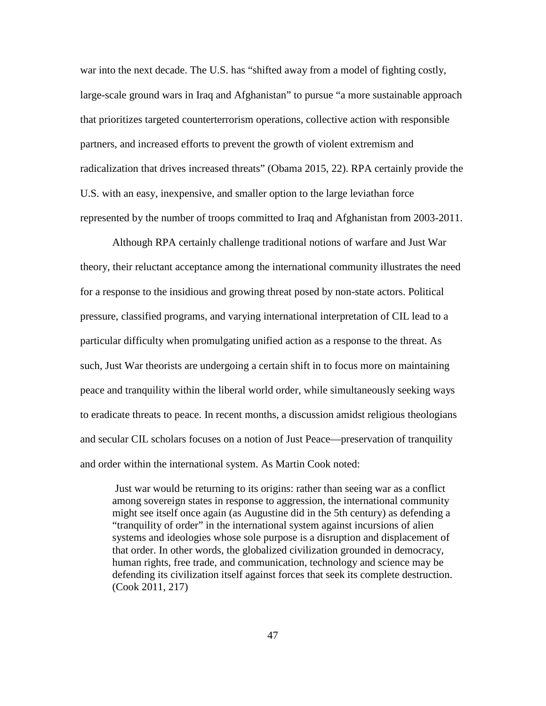war into the next decade. The U.S. has "shifted away from a model of fighting costly, large-scale ground wars in Iraq and Afghanistan" to pursue "a more sustainable approach that prioritizes targeted counterterrorism operations, collective action with responsible partners, and increased efforts to prevent the growth of violent extremism and radicalization that drives increased threats" (Obama 2015, 22). RPA certainly provide the U.S. with an easy, inexpensive, and smaller option to the large leviathan force represented by the number of troops committed to Iraq and Afghanistan from 2003-2011.

Although RPA certainly challenge traditional notions of warfare and Just War theory, their reluctant acceptance among the international community illustrates the need for a response to the insidious and growing threat posed by non-state actors. Political pressure, classified programs, and varying international interpretation of CIL lead to a particular difficulty when promulgating unified action as a response to the threat. As such, Just War theorists are undergoing a certain shift in to focus more on maintaining peace and tranquility within the liberal world order, while simultaneously seeking ways to eradicate threats to peace. In recent months, a discussion amidst religious theologians and secular CIL scholars focuses on a notion of Just Peace—preservation of tranquility and order within the international system. As Martin Cook noted:

Just war would be returning to its origins: rather than seeing war as a conflict among sovereign states in response to aggression, the international community might see itself once again (as Augustine did in the 5th century) as defending a "tranquility of order" in the international system against incursions of alien systems and ideologies whose sole purpose is a disruption and displacement of that order. In other words, the globalized civilization grounded in democracy, human rights, free trade, and communication, technology and science may be defending its civilization itself against forces that seek its complete destruction. (Cook 2011, 217)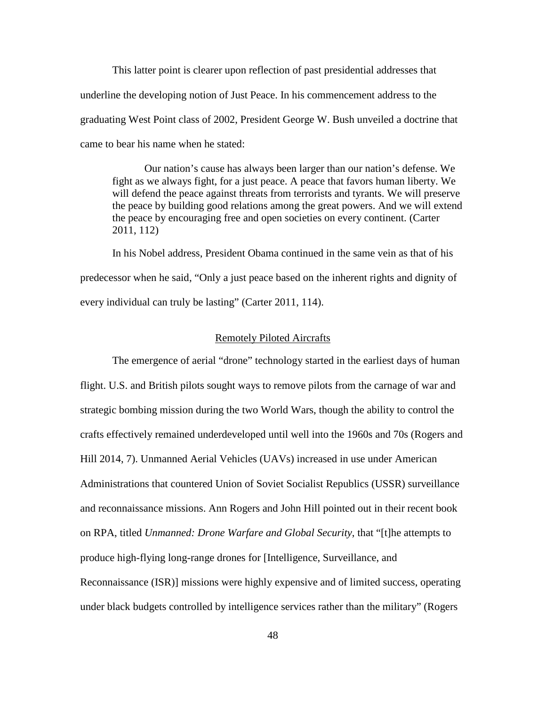This latter point is clearer upon reflection of past presidential addresses that underline the developing notion of Just Peace. In his commencement address to the graduating West Point class of 2002, President George W. Bush unveiled a doctrine that came to bear his name when he stated:

Our nation's cause has always been larger than our nation's defense. We fight as we always fight, for a just peace. A peace that favors human liberty. We will defend the peace against threats from terrorists and tyrants. We will preserve the peace by building good relations among the great powers. And we will extend the peace by encouraging free and open societies on every continent. (Carter 2011, 112)

In his Nobel address, President Obama continued in the same vein as that of his predecessor when he said, "Only a just peace based on the inherent rights and dignity of every individual can truly be lasting" (Carter 2011, 114).

## Remotely Piloted Aircrafts

The emergence of aerial "drone" technology started in the earliest days of human flight. U.S. and British pilots sought ways to remove pilots from the carnage of war and strategic bombing mission during the two World Wars, though the ability to control the crafts effectively remained underdeveloped until well into the 1960s and 70s (Rogers and Hill 2014, 7). Unmanned Aerial Vehicles (UAVs) increased in use under American Administrations that countered Union of Soviet Socialist Republics (USSR) surveillance and reconnaissance missions. Ann Rogers and John Hill pointed out in their recent book on RPA, titled *Unmanned: Drone Warfare and Global Security*, that "[t]he attempts to produce high-flying long-range drones for [Intelligence, Surveillance, and Reconnaissance (ISR)] missions were highly expensive and of limited success, operating under black budgets controlled by intelligence services rather than the military" (Rogers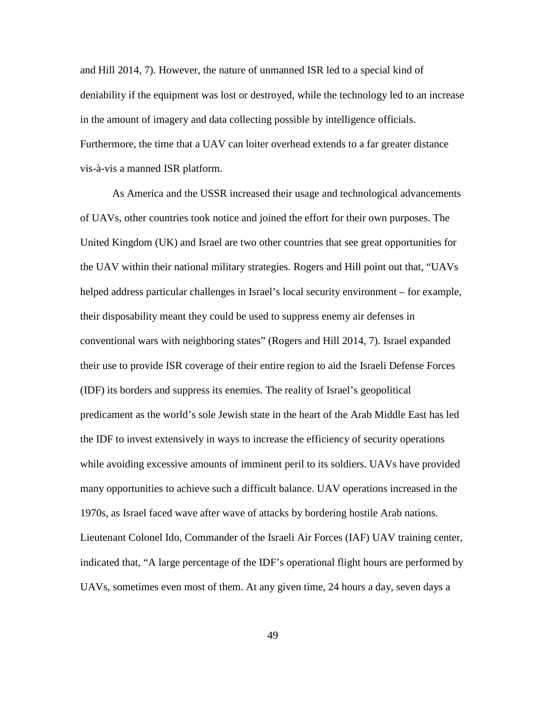and Hill 2014, 7). However, the nature of unmanned ISR led to a special kind of deniability if the equipment was lost or destroyed, while the technology led to an increase in the amount of imagery and data collecting possible by intelligence officials. Furthermore, the time that a UAV can loiter overhead extends to a far greater distance vis-à-vis a manned ISR platform.

As America and the USSR increased their usage and technological advancements of UAVs, other countries took notice and joined the effort for their own purposes. The United Kingdom (UK) and Israel are two other countries that see great opportunities for the UAV within their national military strategies. Rogers and Hill point out that, "UAVs helped address particular challenges in Israel's local security environment – for example, their disposability meant they could be used to suppress enemy air defenses in conventional wars with neighboring states" (Rogers and Hill 2014, 7). Israel expanded their use to provide ISR coverage of their entire region to aid the Israeli Defense Forces (IDF) its borders and suppress its enemies. The reality of Israel's geopolitical predicament as the world's sole Jewish state in the heart of the Arab Middle East has led the IDF to invest extensively in ways to increase the efficiency of security operations while avoiding excessive amounts of imminent peril to its soldiers. UAVs have provided many opportunities to achieve such a difficult balance. UAV operations increased in the 1970s, as Israel faced wave after wave of attacks by bordering hostile Arab nations. Lieutenant Colonel Ido, Commander of the Israeli Air Forces (IAF) UAV training center, indicated that, "A large percentage of the IDF's operational flight hours are performed by UAVs, sometimes even most of them. At any given time, 24 hours a day, seven days a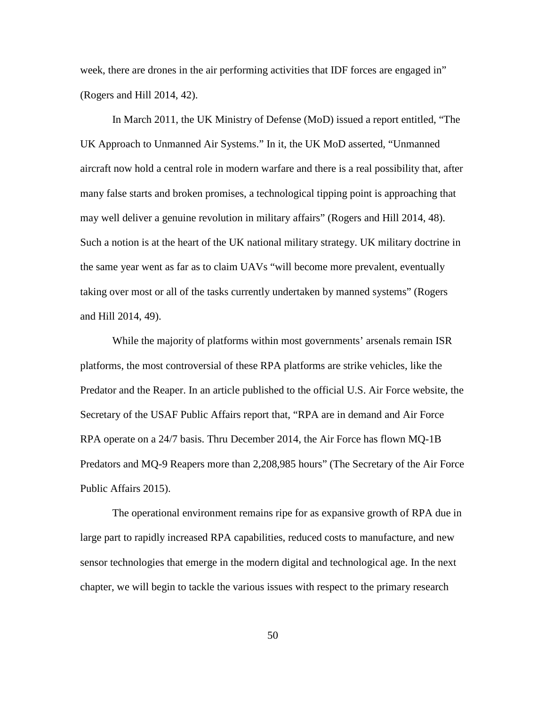week, there are drones in the air performing activities that IDF forces are engaged in" (Rogers and Hill 2014, 42).

In March 2011, the UK Ministry of Defense (MoD) issued a report entitled, "The UK Approach to Unmanned Air Systems." In it, the UK MoD asserted, "Unmanned aircraft now hold a central role in modern warfare and there is a real possibility that, after many false starts and broken promises, a technological tipping point is approaching that may well deliver a genuine revolution in military affairs" (Rogers and Hill 2014, 48). Such a notion is at the heart of the UK national military strategy. UK military doctrine in the same year went as far as to claim UAVs "will become more prevalent, eventually taking over most or all of the tasks currently undertaken by manned systems" (Rogers and Hill 2014, 49).

While the majority of platforms within most governments' arsenals remain ISR platforms, the most controversial of these RPA platforms are strike vehicles, like the Predator and the Reaper. In an article published to the official U.S. Air Force website, the Secretary of the USAF Public Affairs report that, "RPA are in demand and Air Force RPA operate on a 24/7 basis. Thru December 2014, the Air Force has flown MQ-1B Predators and MQ-9 Reapers more than 2,208,985 hours" (The Secretary of the Air Force Public Affairs 2015).

The operational environment remains ripe for as expansive growth of RPA due in large part to rapidly increased RPA capabilities, reduced costs to manufacture, and new sensor technologies that emerge in the modern digital and technological age. In the next chapter, we will begin to tackle the various issues with respect to the primary research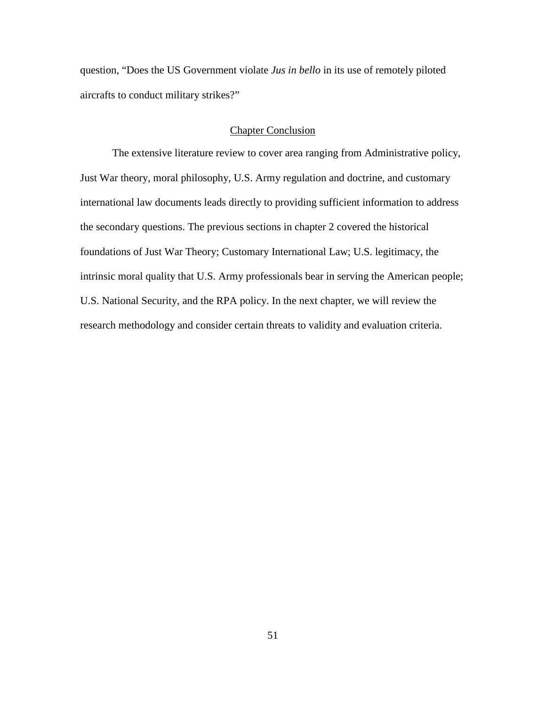question, "Does the US Government violate *Jus in bello* in its use of remotely piloted aircrafts to conduct military strikes?"

# Chapter Conclusion

The extensive literature review to cover area ranging from Administrative policy, Just War theory, moral philosophy, U.S. Army regulation and doctrine, and customary international law documents leads directly to providing sufficient information to address the secondary questions. The previous sections in chapter 2 covered the historical foundations of Just War Theory; Customary International Law; U.S. legitimacy, the intrinsic moral quality that U.S. Army professionals bear in serving the American people; U.S. National Security, and the RPA policy. In the next chapter, we will review the research methodology and consider certain threats to validity and evaluation criteria.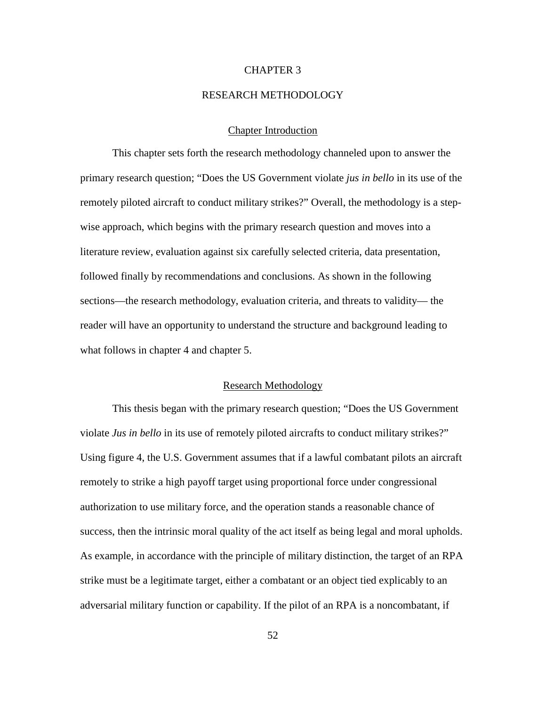## CHAPTER 3

#### RESEARCH METHODOLOGY

## Chapter Introduction

This chapter sets forth the research methodology channeled upon to answer the primary research question; "Does the US Government violate *jus in bello* in its use of the remotely piloted aircraft to conduct military strikes?" Overall, the methodology is a stepwise approach, which begins with the primary research question and moves into a literature review, evaluation against six carefully selected criteria, data presentation, followed finally by recommendations and conclusions. As shown in the following sections—the research methodology, evaluation criteria, and threats to validity— the reader will have an opportunity to understand the structure and background leading to what follows in chapter 4 and chapter 5.

#### Research Methodology

This thesis began with the primary research question; "Does the US Government violate *Jus in bello* in its use of remotely piloted aircrafts to conduct military strikes?" Using figure 4, the U.S. Government assumes that if a lawful combatant pilots an aircraft remotely to strike a high payoff target using proportional force under congressional authorization to use military force, and the operation stands a reasonable chance of success, then the intrinsic moral quality of the act itself as being legal and moral upholds. As example, in accordance with the principle of military distinction, the target of an RPA strike must be a legitimate target, either a combatant or an object tied explicably to an adversarial military function or capability. If the pilot of an RPA is a noncombatant, if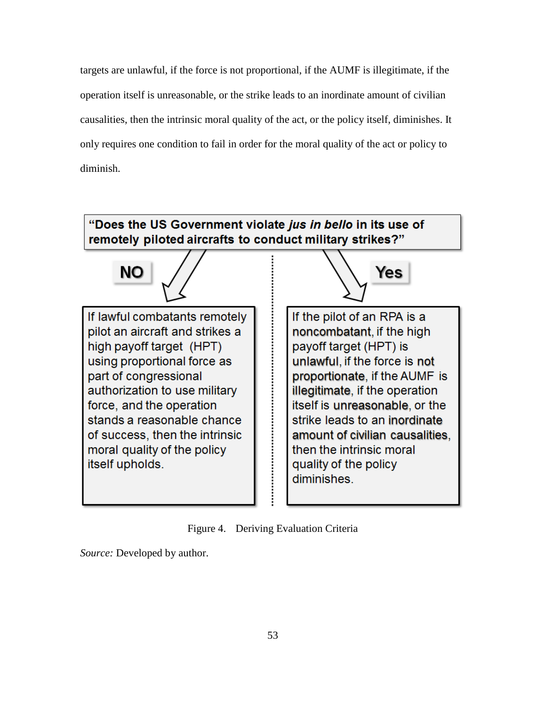targets are unlawful, if the force is not proportional, if the AUMF is illegitimate, if the operation itself is unreasonable, or the strike leads to an inordinate amount of civilian causalities, then the intrinsic moral quality of the act, or the policy itself, diminishes. It only requires one condition to fail in order for the moral quality of the act or policy to diminish.



Figure 4. Deriving Evaluation Criteria

*Source:* Developed by author.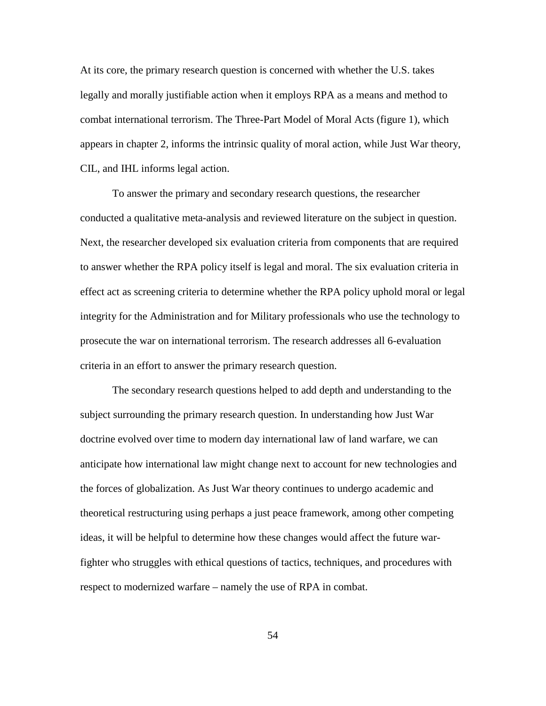At its core, the primary research question is concerned with whether the U.S. takes legally and morally justifiable action when it employs RPA as a means and method to combat international terrorism. The Three-Part Model of Moral Acts (figure 1), which appears in chapter 2, informs the intrinsic quality of moral action, while Just War theory, CIL, and IHL informs legal action.

To answer the primary and secondary research questions, the researcher conducted a qualitative meta-analysis and reviewed literature on the subject in question. Next, the researcher developed six evaluation criteria from components that are required to answer whether the RPA policy itself is legal and moral. The six evaluation criteria in effect act as screening criteria to determine whether the RPA policy uphold moral or legal integrity for the Administration and for Military professionals who use the technology to prosecute the war on international terrorism. The research addresses all 6-evaluation criteria in an effort to answer the primary research question.

The secondary research questions helped to add depth and understanding to the subject surrounding the primary research question. In understanding how Just War doctrine evolved over time to modern day international law of land warfare, we can anticipate how international law might change next to account for new technologies and the forces of globalization. As Just War theory continues to undergo academic and theoretical restructuring using perhaps a just peace framework, among other competing ideas, it will be helpful to determine how these changes would affect the future warfighter who struggles with ethical questions of tactics, techniques, and procedures with respect to modernized warfare – namely the use of RPA in combat.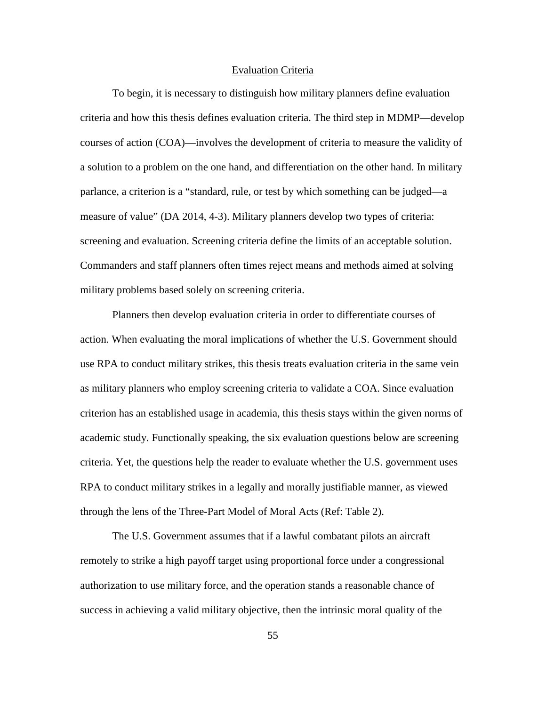## Evaluation Criteria

To begin, it is necessary to distinguish how military planners define evaluation criteria and how this thesis defines evaluation criteria. The third step in MDMP—develop courses of action (COA)—involves the development of criteria to measure the validity of a solution to a problem on the one hand, and differentiation on the other hand. In military parlance, a criterion is a "standard, rule, or test by which something can be judged—a measure of value" (DA 2014, 4-3). Military planners develop two types of criteria: screening and evaluation. Screening criteria define the limits of an acceptable solution. Commanders and staff planners often times reject means and methods aimed at solving military problems based solely on screening criteria.

Planners then develop evaluation criteria in order to differentiate courses of action. When evaluating the moral implications of whether the U.S. Government should use RPA to conduct military strikes, this thesis treats evaluation criteria in the same vein as military planners who employ screening criteria to validate a COA. Since evaluation criterion has an established usage in academia, this thesis stays within the given norms of academic study. Functionally speaking, the six evaluation questions below are screening criteria. Yet, the questions help the reader to evaluate whether the U.S. government uses RPA to conduct military strikes in a legally and morally justifiable manner, as viewed through the lens of the Three-Part Model of Moral Acts (Ref: Table 2).

The U.S. Government assumes that if a lawful combatant pilots an aircraft remotely to strike a high payoff target using proportional force under a congressional authorization to use military force, and the operation stands a reasonable chance of success in achieving a valid military objective, then the intrinsic moral quality of the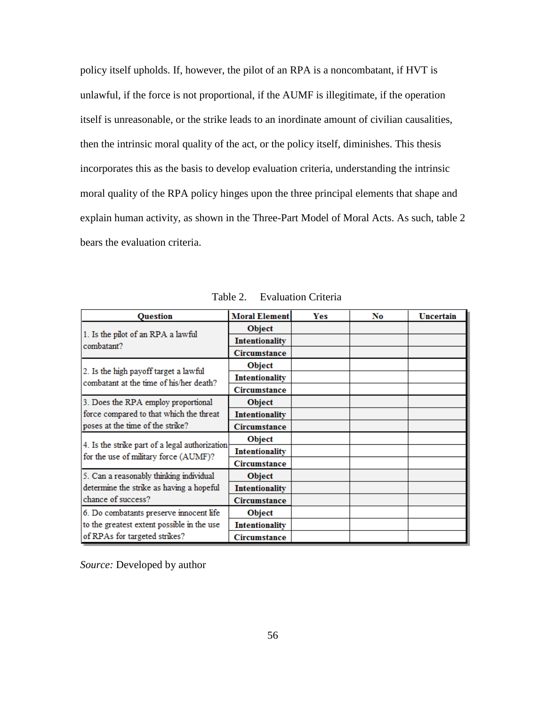policy itself upholds. If, however, the pilot of an RPA is a noncombatant, if HVT is unlawful, if the force is not proportional, if the AUMF is illegitimate, if the operation itself is unreasonable, or the strike leads to an inordinate amount of civilian causalities, then the intrinsic moral quality of the act, or the policy itself, diminishes. This thesis incorporates this as the basis to develop evaluation criteria, understanding the intrinsic moral quality of the RPA policy hinges upon the three principal elements that shape and explain human activity, as shown in the Three-Part Model of Moral Acts. As such, table 2 bears the evaluation criteria.

| <b>Ouestion</b>                                | <b>Moral Element</b>  | Yes | No | Uncertain |
|------------------------------------------------|-----------------------|-----|----|-----------|
| 1. Is the pilot of an RPA a lawful             | Object                |     |    |           |
| combatant?                                     | <b>Intentionality</b> |     |    |           |
|                                                | Circumstance          |     |    |           |
| 2. Is the high payoff target a lawful          | Object                |     |    |           |
| combatant at the time of his/her death?        | <b>Intentionality</b> |     |    |           |
|                                                | Circumstance          |     |    |           |
| 3. Does the RPA employ proportional            | <b>Object</b>         |     |    |           |
| force compared to that which the threat        | <b>Intentionality</b> |     |    |           |
| poses at the time of the strike?               | Circumstance          |     |    |           |
| 4. Is the strike part of a legal authorization | Object                |     |    |           |
| for the use of military force (AUMF)?          | <b>Intentionality</b> |     |    |           |
|                                                | Circumstance          |     |    |           |
| 5. Can a reasonably thinking individual        | <b>Object</b>         |     |    |           |
| determine the strike as having a hopeful       | <b>Intentionality</b> |     |    |           |
| chance of success?                             | Circumstance          |     |    |           |
| 6. Do combatants preserve innocent life        | Object                |     |    |           |
| to the greatest extent possible in the use     | <b>Intentionality</b> |     |    |           |
| of RPAs for targeted strikes?                  | Circumstance          |     |    |           |

Table 2. Evaluation Criteria

*Source:* Developed by author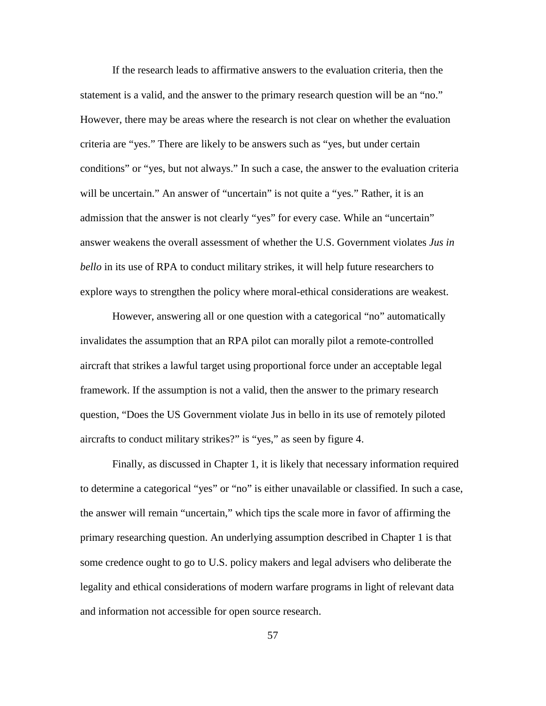If the research leads to affirmative answers to the evaluation criteria, then the statement is a valid, and the answer to the primary research question will be an "no." However, there may be areas where the research is not clear on whether the evaluation criteria are "yes." There are likely to be answers such as "yes, but under certain conditions" or "yes, but not always." In such a case, the answer to the evaluation criteria will be uncertain." An answer of "uncertain" is not quite a "yes." Rather, it is an admission that the answer is not clearly "yes" for every case. While an "uncertain" answer weakens the overall assessment of whether the U.S. Government violates *Jus in bello* in its use of RPA to conduct military strikes, it will help future researchers to explore ways to strengthen the policy where moral-ethical considerations are weakest.

However, answering all or one question with a categorical "no" automatically invalidates the assumption that an RPA pilot can morally pilot a remote-controlled aircraft that strikes a lawful target using proportional force under an acceptable legal framework. If the assumption is not a valid, then the answer to the primary research question, "Does the US Government violate Jus in bello in its use of remotely piloted aircrafts to conduct military strikes?" is "yes," as seen by figure 4.

Finally, as discussed in Chapter 1, it is likely that necessary information required to determine a categorical "yes" or "no" is either unavailable or classified. In such a case, the answer will remain "uncertain," which tips the scale more in favor of affirming the primary researching question. An underlying assumption described in Chapter 1 is that some credence ought to go to U.S. policy makers and legal advisers who deliberate the legality and ethical considerations of modern warfare programs in light of relevant data and information not accessible for open source research.

57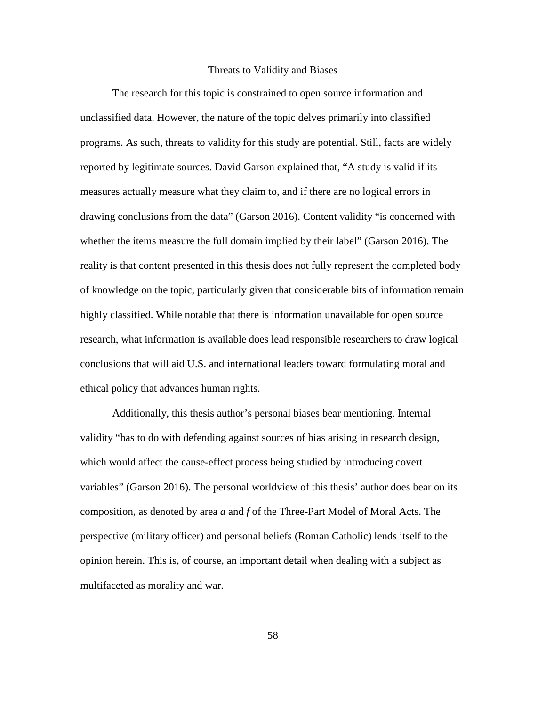#### Threats to Validity and Biases

The research for this topic is constrained to open source information and unclassified data. However, the nature of the topic delves primarily into classified programs. As such, threats to validity for this study are potential. Still, facts are widely reported by legitimate sources. David Garson explained that, "A study is valid if its measures actually measure what they claim to, and if there are no logical errors in drawing conclusions from the data" (Garson 2016). Content validity "is concerned with whether the items measure the full domain implied by their label" (Garson 2016). The reality is that content presented in this thesis does not fully represent the completed body of knowledge on the topic, particularly given that considerable bits of information remain highly classified. While notable that there is information unavailable for open source research, what information is available does lead responsible researchers to draw logical conclusions that will aid U.S. and international leaders toward formulating moral and ethical policy that advances human rights.

Additionally, this thesis author's personal biases bear mentioning. Internal validity "has to do with defending against sources of bias arising in research design, which would affect the cause-effect process being studied by introducing covert variables" (Garson 2016). The personal worldview of this thesis' author does bear on its composition, as denoted by area *a* and *f* of the Three-Part Model of Moral Acts. The perspective (military officer) and personal beliefs (Roman Catholic) lends itself to the opinion herein. This is, of course, an important detail when dealing with a subject as multifaceted as morality and war.

58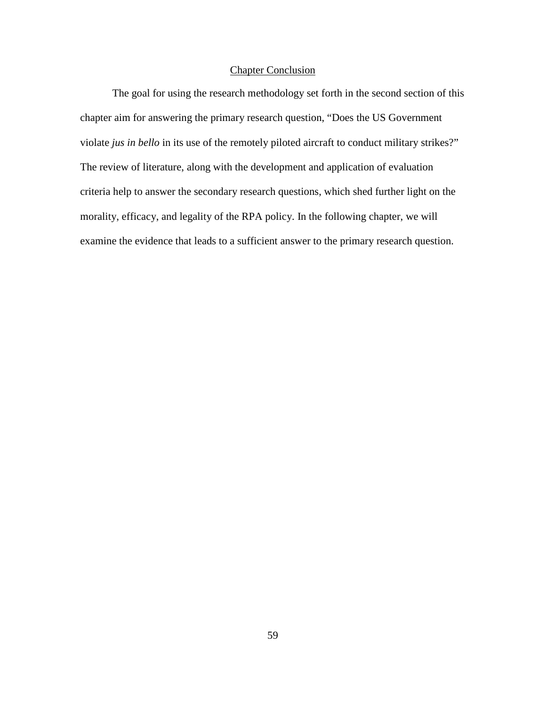# Chapter Conclusion

The goal for using the research methodology set forth in the second section of this chapter aim for answering the primary research question, "Does the US Government violate *jus in bello* in its use of the remotely piloted aircraft to conduct military strikes?" The review of literature, along with the development and application of evaluation criteria help to answer the secondary research questions, which shed further light on the morality, efficacy, and legality of the RPA policy. In the following chapter, we will examine the evidence that leads to a sufficient answer to the primary research question.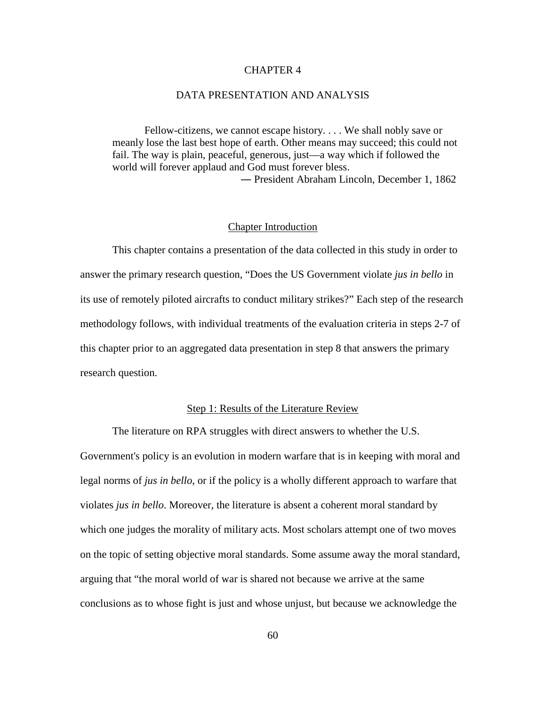## CHAPTER 4

## DATA PRESENTATION AND ANALYSIS

Fellow-citizens, we cannot escape history. . . . We shall nobly save or meanly lose the last best hope of earth. Other means may succeed; this could not fail. The way is plain, peaceful, generous, just—a way which if followed the world will forever applaud and God must forever bless. ― President Abraham Lincoln, December 1, 1862

## Chapter Introduction

This chapter contains a presentation of the data collected in this study in order to answer the primary research question, "Does the US Government violate *jus in bello* in its use of remotely piloted aircrafts to conduct military strikes?" Each step of the research methodology follows, with individual treatments of the evaluation criteria in steps 2-7 of this chapter prior to an aggregated data presentation in step 8 that answers the primary research question.

## Step 1: Results of the Literature Review

The literature on RPA struggles with direct answers to whether the U.S. Government's policy is an evolution in modern warfare that is in keeping with moral and legal norms of *jus in bello*, or if the policy is a wholly different approach to warfare that violates *jus in bello*. Moreover, the literature is absent a coherent moral standard by which one judges the morality of military acts. Most scholars attempt one of two moves on the topic of setting objective moral standards. Some assume away the moral standard, arguing that "the moral world of war is shared not because we arrive at the same conclusions as to whose fight is just and whose unjust, but because we acknowledge the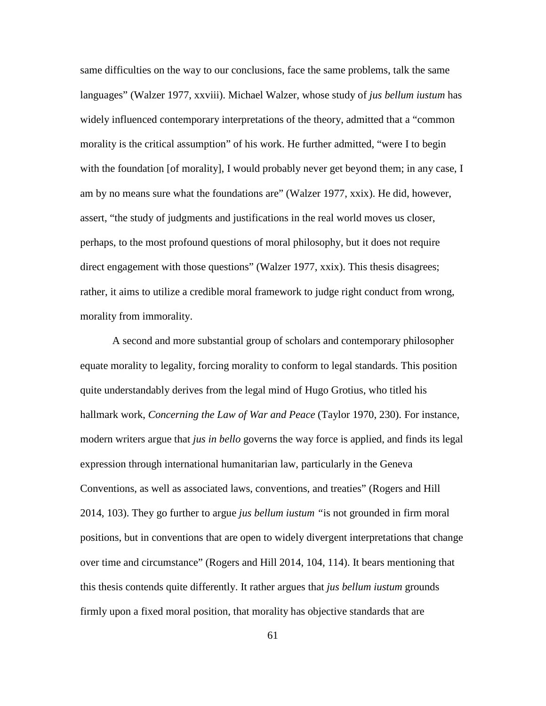same difficulties on the way to our conclusions, face the same problems, talk the same languages" (Walzer 1977, xxviii). Michael Walzer, whose study of *jus bellum iustum* has widely influenced contemporary interpretations of the theory, admitted that a "common morality is the critical assumption" of his work. He further admitted, "were I to begin with the foundation [of morality], I would probably never get beyond them; in any case, I am by no means sure what the foundations are" (Walzer 1977, xxix). He did, however, assert, "the study of judgments and justifications in the real world moves us closer, perhaps, to the most profound questions of moral philosophy, but it does not require direct engagement with those questions" (Walzer 1977, xxix). This thesis disagrees; rather, it aims to utilize a credible moral framework to judge right conduct from wrong, morality from immorality.

A second and more substantial group of scholars and contemporary philosopher equate morality to legality, forcing morality to conform to legal standards. This position quite understandably derives from the legal mind of Hugo Grotius, who titled his hallmark work, *Concerning the Law of War and Peace* (Taylor 1970, 230). For instance, modern writers argue that *jus in bello* governs the way force is applied, and finds its legal expression through international humanitarian law, particularly in the Geneva Conventions, as well as associated laws, conventions, and treaties" (Rogers and Hill 2014, 103). They go further to argue *jus bellum iustum "*is not grounded in firm moral positions, but in conventions that are open to widely divergent interpretations that change over time and circumstance" (Rogers and Hill 2014, 104, 114). It bears mentioning that this thesis contends quite differently. It rather argues that *jus bellum iustum* grounds firmly upon a fixed moral position, that morality has objective standards that are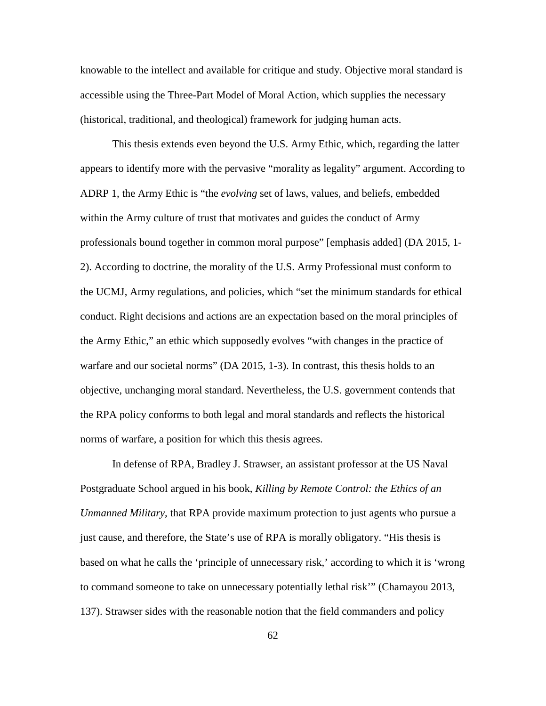knowable to the intellect and available for critique and study. Objective moral standard is accessible using the Three-Part Model of Moral Action, which supplies the necessary (historical, traditional, and theological) framework for judging human acts.

This thesis extends even beyond the U.S. Army Ethic, which, regarding the latter appears to identify more with the pervasive "morality as legality" argument. According to ADRP 1, the Army Ethic is "the *evolving* set of laws, values, and beliefs, embedded within the Army culture of trust that motivates and guides the conduct of Army professionals bound together in common moral purpose" [emphasis added] (DA 2015, 1- 2). According to doctrine, the morality of the U.S. Army Professional must conform to the UCMJ, Army regulations, and policies, which "set the minimum standards for ethical conduct. Right decisions and actions are an expectation based on the moral principles of the Army Ethic," an ethic which supposedly evolves "with changes in the practice of warfare and our societal norms" (DA 2015, 1-3). In contrast, this thesis holds to an objective, unchanging moral standard. Nevertheless, the U.S. government contends that the RPA policy conforms to both legal and moral standards and reflects the historical norms of warfare, a position for which this thesis agrees.

In defense of RPA, Bradley J. Strawser, an assistant professor at the US Naval Postgraduate School argued in his book, *Killing by Remote Control: the Ethics of an Unmanned Military*, that RPA provide maximum protection to just agents who pursue a just cause, and therefore, the State's use of RPA is morally obligatory. "His thesis is based on what he calls the 'principle of unnecessary risk,' according to which it is 'wrong to command someone to take on unnecessary potentially lethal risk'" (Chamayou 2013, 137). Strawser sides with the reasonable notion that the field commanders and policy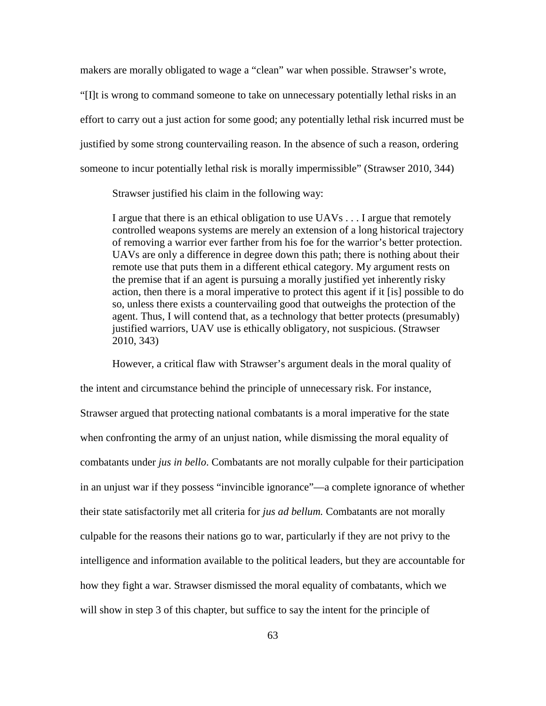makers are morally obligated to wage a "clean" war when possible. Strawser's wrote,

"[I]t is wrong to command someone to take on unnecessary potentially lethal risks in an effort to carry out a just action for some good; any potentially lethal risk incurred must be justified by some strong countervailing reason. In the absence of such a reason, ordering someone to incur potentially lethal risk is morally impermissible" (Strawser 2010, 344)

Strawser justified his claim in the following way:

I argue that there is an ethical obligation to use UAVs . . . I argue that remotely controlled weapons systems are merely an extension of a long historical trajectory of removing a warrior ever farther from his foe for the warrior's better protection. UAVs are only a difference in degree down this path; there is nothing about their remote use that puts them in a different ethical category. My argument rests on the premise that if an agent is pursuing a morally justified yet inherently risky action, then there is a moral imperative to protect this agent if it [is] possible to do so, unless there exists a countervailing good that outweighs the protection of the agent. Thus, I will contend that, as a technology that better protects (presumably) justified warriors, UAV use is ethically obligatory, not suspicious. (Strawser 2010, 343)

However, a critical flaw with Strawser's argument deals in the moral quality of the intent and circumstance behind the principle of unnecessary risk. For instance, Strawser argued that protecting national combatants is a moral imperative for the state when confronting the army of an unjust nation, while dismissing the moral equality of combatants under *jus in bello*. Combatants are not morally culpable for their participation in an unjust war if they possess "invincible ignorance"—a complete ignorance of whether their state satisfactorily met all criteria for *jus ad bellum.* Combatants are not morally culpable for the reasons their nations go to war, particularly if they are not privy to the intelligence and information available to the political leaders, but they are accountable for how they fight a war. Strawser dismissed the moral equality of combatants, which we will show in step 3 of this chapter, but suffice to say the intent for the principle of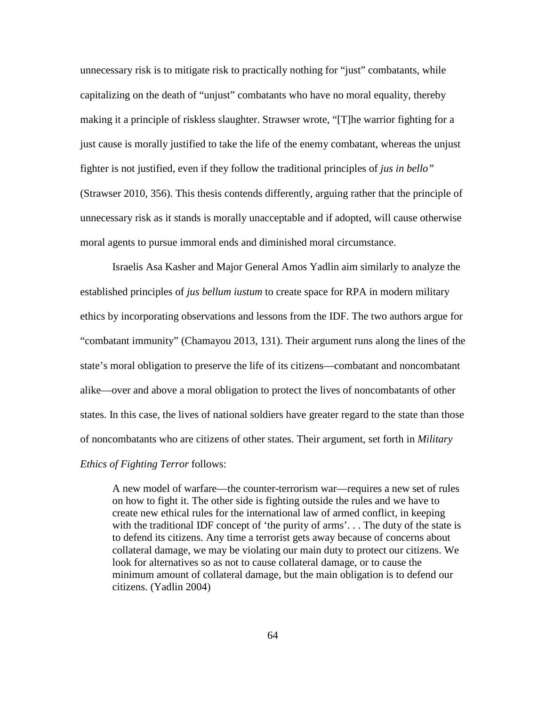unnecessary risk is to mitigate risk to practically nothing for "just" combatants, while capitalizing on the death of "unjust" combatants who have no moral equality, thereby making it a principle of riskless slaughter. Strawser wrote, "[T]he warrior fighting for a just cause is morally justified to take the life of the enemy combatant, whereas the unjust fighter is not justified, even if they follow the traditional principles of *jus in bello"* (Strawser 2010, 356). This thesis contends differently, arguing rather that the principle of unnecessary risk as it stands is morally unacceptable and if adopted, will cause otherwise moral agents to pursue immoral ends and diminished moral circumstance.

Israelis Asa Kasher and Major General Amos Yadlin aim similarly to analyze the established principles of *jus bellum iustum* to create space for RPA in modern military ethics by incorporating observations and lessons from the IDF. The two authors argue for "combatant immunity" (Chamayou 2013, 131). Their argument runs along the lines of the state's moral obligation to preserve the life of its citizens—combatant and noncombatant alike—over and above a moral obligation to protect the lives of noncombatants of other states. In this case, the lives of national soldiers have greater regard to the state than those of noncombatants who are citizens of other states. Their argument, set forth in *Military Ethics of Fighting Terror* follows:

A new model of warfare—the counter-terrorism war—requires a new set of rules on how to fight it. The other side is fighting outside the rules and we have to create new ethical rules for the international law of armed conflict, in keeping with the traditional IDF concept of 'the purity of arms'... The duty of the state is to defend its citizens. Any time a terrorist gets away because of concerns about collateral damage, we may be violating our main duty to protect our citizens. We look for alternatives so as not to cause collateral damage, or to cause the minimum amount of collateral damage, but the main obligation is to defend our citizens. (Yadlin 2004)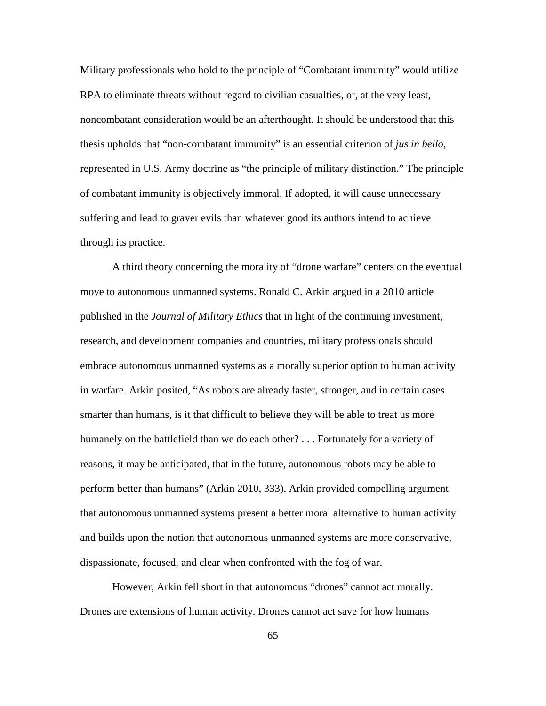Military professionals who hold to the principle of "Combatant immunity" would utilize RPA to eliminate threats without regard to civilian casualties, or, at the very least, noncombatant consideration would be an afterthought. It should be understood that this thesis upholds that "non-combatant immunity" is an essential criterion of *jus in bello*, represented in U.S. Army doctrine as "the principle of military distinction." The principle of combatant immunity is objectively immoral. If adopted, it will cause unnecessary suffering and lead to graver evils than whatever good its authors intend to achieve through its practice.

A third theory concerning the morality of "drone warfare" centers on the eventual move to autonomous unmanned systems. Ronald C. Arkin argued in a 2010 article published in the *Journal of Military Ethics* that in light of the continuing investment, research, and development companies and countries, military professionals should embrace autonomous unmanned systems as a morally superior option to human activity in warfare. Arkin posited, "As robots are already faster, stronger, and in certain cases smarter than humans, is it that difficult to believe they will be able to treat us more humanely on the battlefield than we do each other? . . . Fortunately for a variety of reasons, it may be anticipated, that in the future, autonomous robots may be able to perform better than humans" (Arkin 2010, 333). Arkin provided compelling argument that autonomous unmanned systems present a better moral alternative to human activity and builds upon the notion that autonomous unmanned systems are more conservative, dispassionate, focused, and clear when confronted with the fog of war.

However, Arkin fell short in that autonomous "drones" cannot act morally. Drones are extensions of human activity. Drones cannot act save for how humans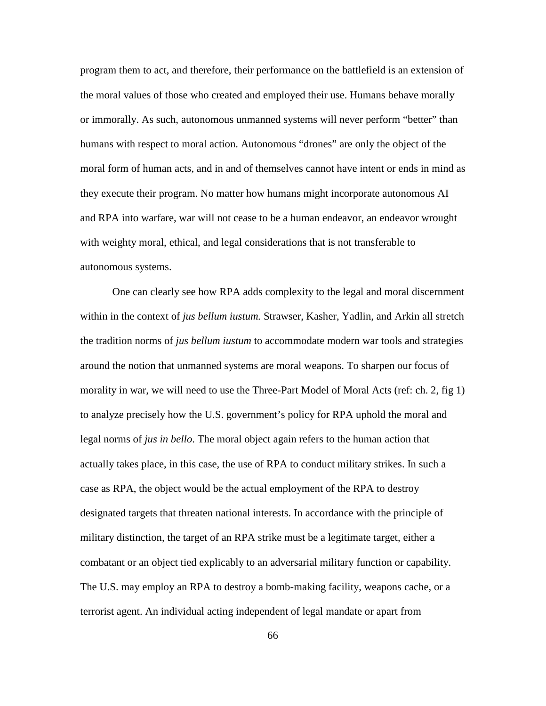program them to act, and therefore, their performance on the battlefield is an extension of the moral values of those who created and employed their use. Humans behave morally or immorally. As such, autonomous unmanned systems will never perform "better" than humans with respect to moral action. Autonomous "drones" are only the object of the moral form of human acts, and in and of themselves cannot have intent or ends in mind as they execute their program. No matter how humans might incorporate autonomous AI and RPA into warfare, war will not cease to be a human endeavor, an endeavor wrought with weighty moral, ethical, and legal considerations that is not transferable to autonomous systems.

One can clearly see how RPA adds complexity to the legal and moral discernment within in the context of *jus bellum iustum.* Strawser, Kasher, Yadlin, and Arkin all stretch the tradition norms of *jus bellum iustum* to accommodate modern war tools and strategies around the notion that unmanned systems are moral weapons. To sharpen our focus of morality in war, we will need to use the Three-Part Model of Moral Acts (ref: ch. 2, fig 1) to analyze precisely how the U.S. government's policy for RPA uphold the moral and legal norms of *jus in bello*. The moral object again refers to the human action that actually takes place, in this case, the use of RPA to conduct military strikes. In such a case as RPA, the object would be the actual employment of the RPA to destroy designated targets that threaten national interests. In accordance with the principle of military distinction, the target of an RPA strike must be a legitimate target, either a combatant or an object tied explicably to an adversarial military function or capability. The U.S. may employ an RPA to destroy a bomb-making facility, weapons cache, or a terrorist agent. An individual acting independent of legal mandate or apart from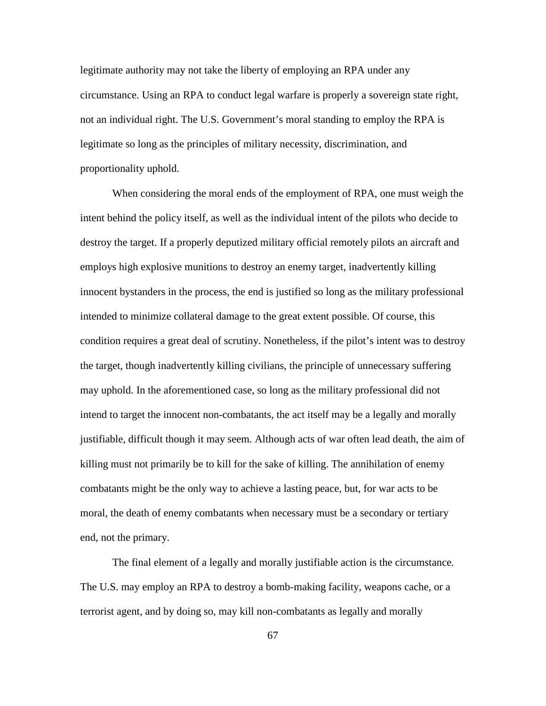legitimate authority may not take the liberty of employing an RPA under any circumstance. Using an RPA to conduct legal warfare is properly a sovereign state right, not an individual right. The U.S. Government's moral standing to employ the RPA is legitimate so long as the principles of military necessity, discrimination, and proportionality uphold.

When considering the moral ends of the employment of RPA, one must weigh the intent behind the policy itself, as well as the individual intent of the pilots who decide to destroy the target. If a properly deputized military official remotely pilots an aircraft and employs high explosive munitions to destroy an enemy target, inadvertently killing innocent bystanders in the process, the end is justified so long as the military professional intended to minimize collateral damage to the great extent possible. Of course, this condition requires a great deal of scrutiny. Nonetheless, if the pilot's intent was to destroy the target, though inadvertently killing civilians, the principle of unnecessary suffering may uphold. In the aforementioned case, so long as the military professional did not intend to target the innocent non-combatants, the act itself may be a legally and morally justifiable, difficult though it may seem*.* Although acts of war often lead death, the aim of killing must not primarily be to kill for the sake of killing. The annihilation of enemy combatants might be the only way to achieve a lasting peace, but, for war acts to be moral, the death of enemy combatants when necessary must be a secondary or tertiary end, not the primary.

The final element of a legally and morally justifiable action is the circumstance*.*  The U.S. may employ an RPA to destroy a bomb-making facility, weapons cache, or a terrorist agent, and by doing so, may kill non-combatants as legally and morally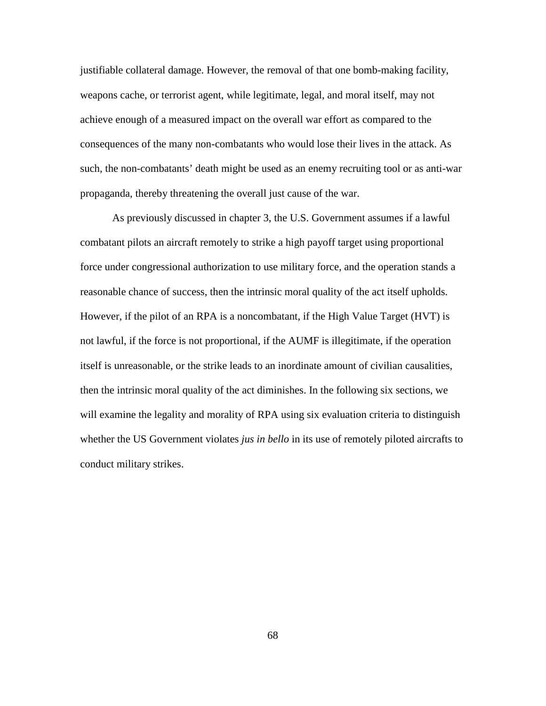justifiable collateral damage. However, the removal of that one bomb-making facility, weapons cache, or terrorist agent, while legitimate, legal, and moral itself, may not achieve enough of a measured impact on the overall war effort as compared to the consequences of the many non-combatants who would lose their lives in the attack. As such, the non-combatants' death might be used as an enemy recruiting tool or as anti-war propaganda, thereby threatening the overall just cause of the war.

As previously discussed in chapter 3, the U.S. Government assumes if a lawful combatant pilots an aircraft remotely to strike a high payoff target using proportional force under congressional authorization to use military force, and the operation stands a reasonable chance of success, then the intrinsic moral quality of the act itself upholds. However, if the pilot of an RPA is a noncombatant, if the High Value Target (HVT) is not lawful, if the force is not proportional, if the AUMF is illegitimate, if the operation itself is unreasonable, or the strike leads to an inordinate amount of civilian causalities, then the intrinsic moral quality of the act diminishes. In the following six sections, we will examine the legality and morality of RPA using six evaluation criteria to distinguish whether the US Government violates *jus in bello* in its use of remotely piloted aircrafts to conduct military strikes.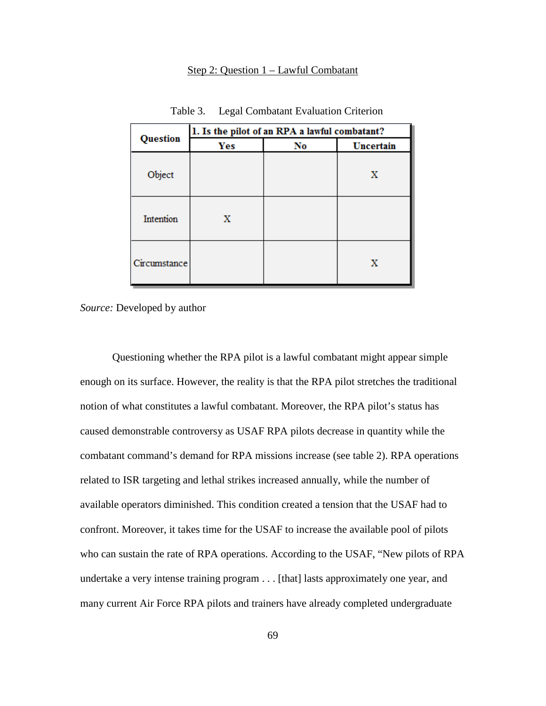### Step 2: Question 1 – Lawful Combatant

|              | 1. Is the pilot of an RPA a lawful combatant? |    |           |  |
|--------------|-----------------------------------------------|----|-----------|--|
| Question     | Yes                                           | No | Uncertain |  |
| Object       |                                               |    | Х         |  |
| Intention    | X                                             |    |           |  |
| Circumstance |                                               |    | Х         |  |

Table 3. Legal Combatant Evaluation Criterion

*Source:* Developed by author

Questioning whether the RPA pilot is a lawful combatant might appear simple enough on its surface. However, the reality is that the RPA pilot stretches the traditional notion of what constitutes a lawful combatant. Moreover, the RPA pilot's status has caused demonstrable controversy as USAF RPA pilots decrease in quantity while the combatant command's demand for RPA missions increase (see table 2). RPA operations related to ISR targeting and lethal strikes increased annually, while the number of available operators diminished. This condition created a tension that the USAF had to confront. Moreover, it takes time for the USAF to increase the available pool of pilots who can sustain the rate of RPA operations. According to the USAF, "New pilots of RPA undertake a very intense training program . . . [that] lasts approximately one year, and many current Air Force RPA pilots and trainers have already completed undergraduate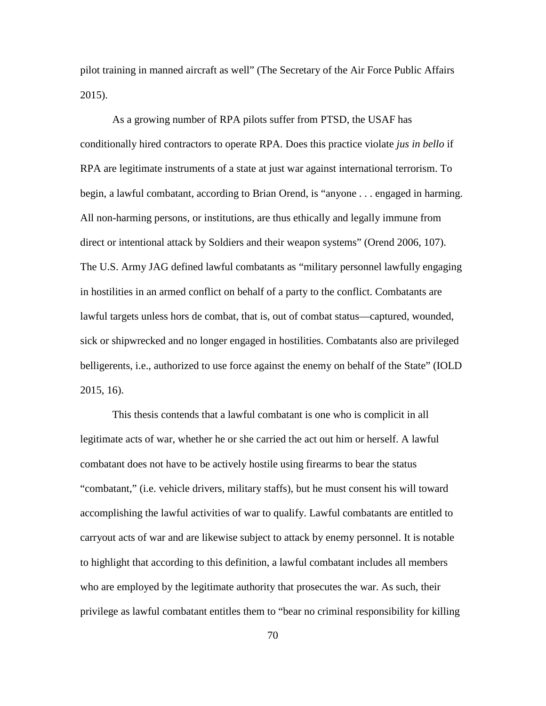pilot training in manned aircraft as well" (The Secretary of the Air Force Public Affairs 2015).

As a growing number of RPA pilots suffer from PTSD, the USAF has conditionally hired contractors to operate RPA. Does this practice violate *jus in bello* if RPA are legitimate instruments of a state at just war against international terrorism. To begin, a lawful combatant, according to Brian Orend, is "anyone . . . engaged in harming. All non-harming persons, or institutions, are thus ethically and legally immune from direct or intentional attack by Soldiers and their weapon systems" (Orend 2006, 107). The U.S. Army JAG defined lawful combatants as "military personnel lawfully engaging in hostilities in an armed conflict on behalf of a party to the conflict. Combatants are lawful targets unless hors de combat, that is, out of combat status—captured, wounded, sick or shipwrecked and no longer engaged in hostilities. Combatants also are privileged belligerents, i.e., authorized to use force against the enemy on behalf of the State" (IOLD 2015, 16).

This thesis contends that a lawful combatant is one who is complicit in all legitimate acts of war, whether he or she carried the act out him or herself. A lawful combatant does not have to be actively hostile using firearms to bear the status "combatant," (i.e. vehicle drivers, military staffs), but he must consent his will toward accomplishing the lawful activities of war to qualify. Lawful combatants are entitled to carryout acts of war and are likewise subject to attack by enemy personnel. It is notable to highlight that according to this definition, a lawful combatant includes all members who are employed by the legitimate authority that prosecutes the war. As such, their privilege as lawful combatant entitles them to "bear no criminal responsibility for killing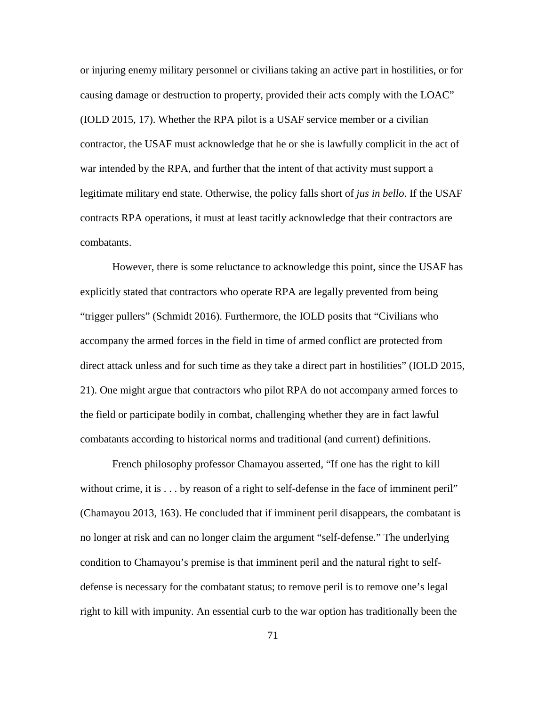or injuring enemy military personnel or civilians taking an active part in hostilities, or for causing damage or destruction to property, provided their acts comply with the LOAC" (IOLD 2015, 17). Whether the RPA pilot is a USAF service member or a civilian contractor, the USAF must acknowledge that he or she is lawfully complicit in the act of war intended by the RPA, and further that the intent of that activity must support a legitimate military end state. Otherwise, the policy falls short of *jus in bello*. If the USAF contracts RPA operations, it must at least tacitly acknowledge that their contractors are combatants.

However, there is some reluctance to acknowledge this point, since the USAF has explicitly stated that contractors who operate RPA are legally prevented from being "trigger pullers" (Schmidt 2016). Furthermore, the IOLD posits that "Civilians who accompany the armed forces in the field in time of armed conflict are protected from direct attack unless and for such time as they take a direct part in hostilities" (IOLD 2015, 21). One might argue that contractors who pilot RPA do not accompany armed forces to the field or participate bodily in combat, challenging whether they are in fact lawful combatants according to historical norms and traditional (and current) definitions.

French philosophy professor Chamayou asserted, "If one has the right to kill without crime, it is . . . by reason of a right to self-defense in the face of imminent peril" (Chamayou 2013, 163). He concluded that if imminent peril disappears, the combatant is no longer at risk and can no longer claim the argument "self-defense." The underlying condition to Chamayou's premise is that imminent peril and the natural right to selfdefense is necessary for the combatant status; to remove peril is to remove one's legal right to kill with impunity. An essential curb to the war option has traditionally been the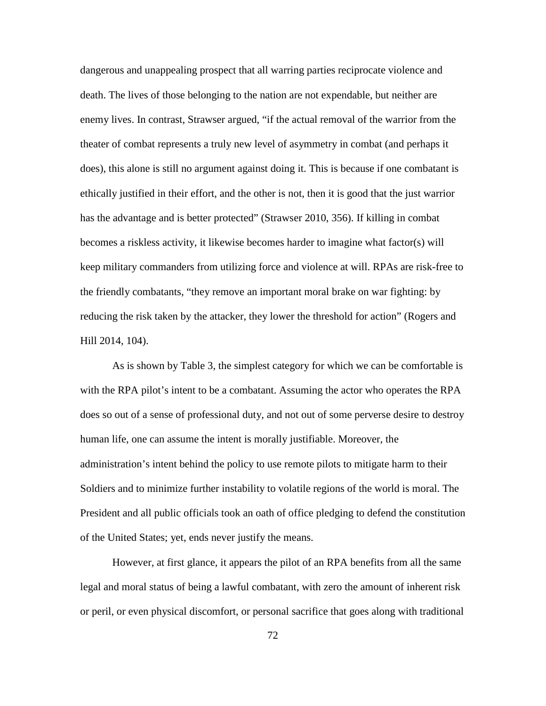dangerous and unappealing prospect that all warring parties reciprocate violence and death. The lives of those belonging to the nation are not expendable, but neither are enemy lives. In contrast, Strawser argued, "if the actual removal of the warrior from the theater of combat represents a truly new level of asymmetry in combat (and perhaps it does), this alone is still no argument against doing it. This is because if one combatant is ethically justified in their effort, and the other is not, then it is good that the just warrior has the advantage and is better protected" (Strawser 2010, 356). If killing in combat becomes a riskless activity, it likewise becomes harder to imagine what factor(s) will keep military commanders from utilizing force and violence at will. RPAs are risk-free to the friendly combatants, "they remove an important moral brake on war fighting: by reducing the risk taken by the attacker, they lower the threshold for action" (Rogers and Hill 2014, 104).

As is shown by Table 3, the simplest category for which we can be comfortable is with the RPA pilot's intent to be a combatant. Assuming the actor who operates the RPA does so out of a sense of professional duty, and not out of some perverse desire to destroy human life, one can assume the intent is morally justifiable. Moreover, the administration's intent behind the policy to use remote pilots to mitigate harm to their Soldiers and to minimize further instability to volatile regions of the world is moral. The President and all public officials took an oath of office pledging to defend the constitution of the United States; yet, ends never justify the means.

However, at first glance, it appears the pilot of an RPA benefits from all the same legal and moral status of being a lawful combatant, with zero the amount of inherent risk or peril, or even physical discomfort, or personal sacrifice that goes along with traditional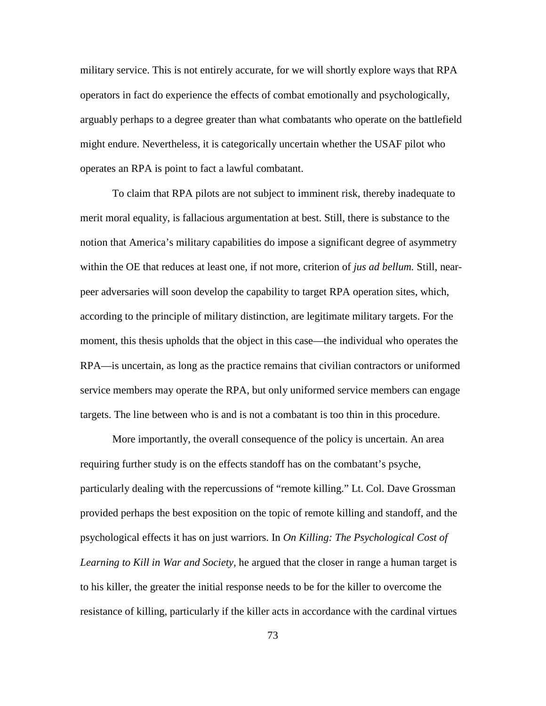military service. This is not entirely accurate, for we will shortly explore ways that RPA operators in fact do experience the effects of combat emotionally and psychologically, arguably perhaps to a degree greater than what combatants who operate on the battlefield might endure. Nevertheless, it is categorically uncertain whether the USAF pilot who operates an RPA is point to fact a lawful combatant.

To claim that RPA pilots are not subject to imminent risk, thereby inadequate to merit moral equality, is fallacious argumentation at best. Still, there is substance to the notion that America's military capabilities do impose a significant degree of asymmetry within the OE that reduces at least one, if not more, criterion of *jus ad bellum.* Still, nearpeer adversaries will soon develop the capability to target RPA operation sites, which, according to the principle of military distinction, are legitimate military targets. For the moment, this thesis upholds that the object in this case—the individual who operates the RPA—is uncertain, as long as the practice remains that civilian contractors or uniformed service members may operate the RPA, but only uniformed service members can engage targets. The line between who is and is not a combatant is too thin in this procedure.

More importantly, the overall consequence of the policy is uncertain. An area requiring further study is on the effects standoff has on the combatant's psyche, particularly dealing with the repercussions of "remote killing." Lt. Col. Dave Grossman provided perhaps the best exposition on the topic of remote killing and standoff, and the psychological effects it has on just warriors. In *On Killing: The Psychological Cost of Learning to Kill in War and Society,* he argued that the closer in range a human target is to his killer, the greater the initial response needs to be for the killer to overcome the resistance of killing, particularly if the killer acts in accordance with the cardinal virtues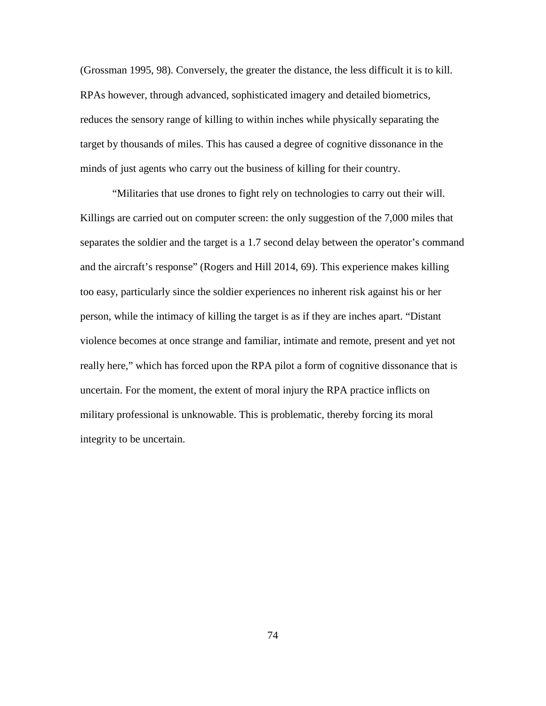(Grossman 1995, 98). Conversely, the greater the distance, the less difficult it is to kill. RPAs however, through advanced, sophisticated imagery and detailed biometrics, reduces the sensory range of killing to within inches while physically separating the target by thousands of miles. This has caused a degree of cognitive dissonance in the minds of just agents who carry out the business of killing for their country.

"Militaries that use drones to fight rely on technologies to carry out their will. Killings are carried out on computer screen: the only suggestion of the 7,000 miles that separates the soldier and the target is a 1.7 second delay between the operator's command and the aircraft's response" (Rogers and Hill 2014, 69). This experience makes killing too easy, particularly since the soldier experiences no inherent risk against his or her person, while the intimacy of killing the target is as if they are inches apart. "Distant violence becomes at once strange and familiar, intimate and remote, present and yet not really here," which has forced upon the RPA pilot a form of cognitive dissonance that is uncertain. For the moment, the extent of moral injury the RPA practice inflicts on military professional is unknowable. This is problematic, thereby forcing its moral integrity to be uncertain.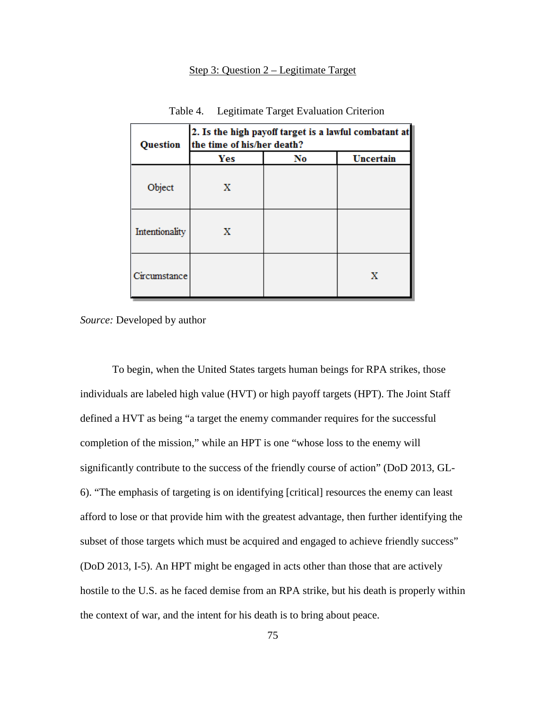# Step 3: Question 2 – Legitimate Target

| <b>Question</b> | 2. Is the high payoff target is a lawful combatant at<br>the time of his/her death? |    |           |  |
|-----------------|-------------------------------------------------------------------------------------|----|-----------|--|
|                 | Yes                                                                                 | No | Uncertain |  |
| Object          | X                                                                                   |    |           |  |
| Intentionality  | x                                                                                   |    |           |  |
| Circumstance    |                                                                                     |    | Х         |  |

Table 4. Legitimate Target Evaluation Criterion

*Source:* Developed by author

To begin, when the United States targets human beings for RPA strikes, those individuals are labeled high value (HVT) or high payoff targets (HPT). The Joint Staff defined a HVT as being "a target the enemy commander requires for the successful completion of the mission," while an HPT is one "whose loss to the enemy will significantly contribute to the success of the friendly course of action" (DoD 2013, GL-6). "The emphasis of targeting is on identifying [critical] resources the enemy can least afford to lose or that provide him with the greatest advantage, then further identifying the subset of those targets which must be acquired and engaged to achieve friendly success" (DoD 2013, I-5). An HPT might be engaged in acts other than those that are actively hostile to the U.S. as he faced demise from an RPA strike, but his death is properly within the context of war, and the intent for his death is to bring about peace.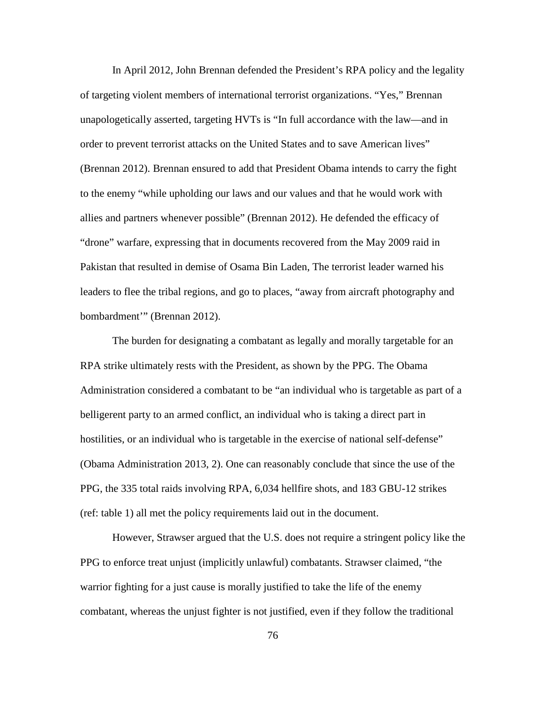In April 2012, John Brennan defended the President's RPA policy and the legality of targeting violent members of international terrorist organizations. "Yes," Brennan unapologetically asserted, targeting HVTs is "In full accordance with the law—and in order to prevent terrorist attacks on the United States and to save American lives" (Brennan 2012). Brennan ensured to add that President Obama intends to carry the fight to the enemy "while upholding our laws and our values and that he would work with allies and partners whenever possible" (Brennan 2012). He defended the efficacy of "drone" warfare, expressing that in documents recovered from the May 2009 raid in Pakistan that resulted in demise of Osama Bin Laden, The terrorist leader warned his leaders to flee the tribal regions, and go to places, "away from aircraft photography and bombardment'" (Brennan 2012).

The burden for designating a combatant as legally and morally targetable for an RPA strike ultimately rests with the President, as shown by the PPG. The Obama Administration considered a combatant to be "an individual who is targetable as part of a belligerent party to an armed conflict, an individual who is taking a direct part in hostilities, or an individual who is targetable in the exercise of national self-defense" (Obama Administration 2013, 2). One can reasonably conclude that since the use of the PPG, the 335 total raids involving RPA, 6,034 hellfire shots, and 183 GBU-12 strikes (ref: table 1) all met the policy requirements laid out in the document.

However, Strawser argued that the U.S. does not require a stringent policy like the PPG to enforce treat unjust (implicitly unlawful) combatants. Strawser claimed, "the warrior fighting for a just cause is morally justified to take the life of the enemy combatant, whereas the unjust fighter is not justified, even if they follow the traditional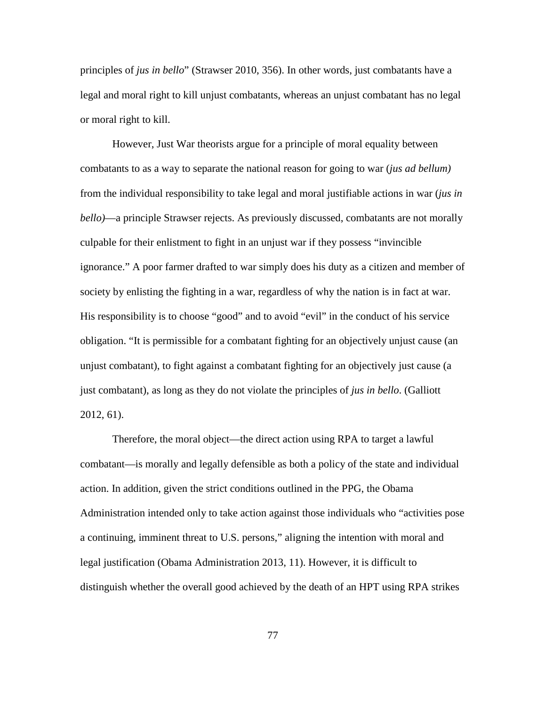principles of *jus in bello*" (Strawser 2010, 356). In other words, just combatants have a legal and moral right to kill unjust combatants, whereas an unjust combatant has no legal or moral right to kill.

However, Just War theorists argue for a principle of moral equality between combatants to as a way to separate the national reason for going to war (*jus ad bellum)*  from the individual responsibility to take legal and moral justifiable actions in war (*jus in bello)*—a principle Strawser rejects. As previously discussed, combatants are not morally culpable for their enlistment to fight in an unjust war if they possess "invincible ignorance." A poor farmer drafted to war simply does his duty as a citizen and member of society by enlisting the fighting in a war, regardless of why the nation is in fact at war. His responsibility is to choose "good" and to avoid "evil" in the conduct of his service obligation. "It is permissible for a combatant fighting for an objectively unjust cause (an unjust combatant), to fight against a combatant fighting for an objectively just cause (a just combatant), as long as they do not violate the principles of *jus in bello*. (Galliott 2012, 61).

Therefore, the moral object—the direct action using RPA to target a lawful combatant—is morally and legally defensible as both a policy of the state and individual action. In addition, given the strict conditions outlined in the PPG, the Obama Administration intended only to take action against those individuals who "activities pose a continuing, imminent threat to U.S. persons," aligning the intention with moral and legal justification (Obama Administration 2013, 11). However, it is difficult to distinguish whether the overall good achieved by the death of an HPT using RPA strikes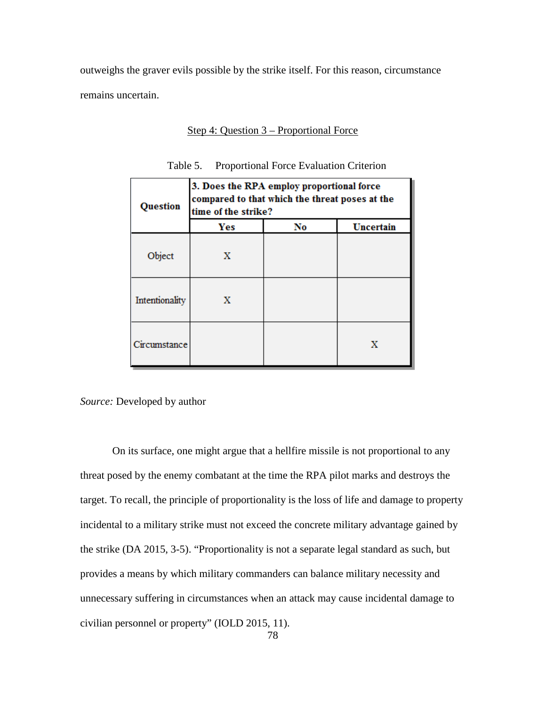outweighs the graver evils possible by the strike itself. For this reason, circumstance remains uncertain.

Step 4: Question 3 – Proportional Force

| Question       | 3. Does the RPA employ proportional force<br>compared to that which the threat poses at the<br>time of the strike? |    |           |
|----------------|--------------------------------------------------------------------------------------------------------------------|----|-----------|
|                | Yes                                                                                                                | No | Uncertain |
| Object         | x                                                                                                                  |    |           |
| Intentionality | x                                                                                                                  |    |           |
| Circumstance   |                                                                                                                    |    | х         |

Table 5. Proportional Force Evaluation Criterion

*Source:* Developed by author

On its surface, one might argue that a hellfire missile is not proportional to any threat posed by the enemy combatant at the time the RPA pilot marks and destroys the target. To recall, the principle of proportionality is the loss of life and damage to property incidental to a military strike must not exceed the concrete military advantage gained by the strike (DA 2015, 3-5). "Proportionality is not a separate legal standard as such, but provides a means by which military commanders can balance military necessity and unnecessary suffering in circumstances when an attack may cause incidental damage to civilian personnel or property" (IOLD 2015, 11).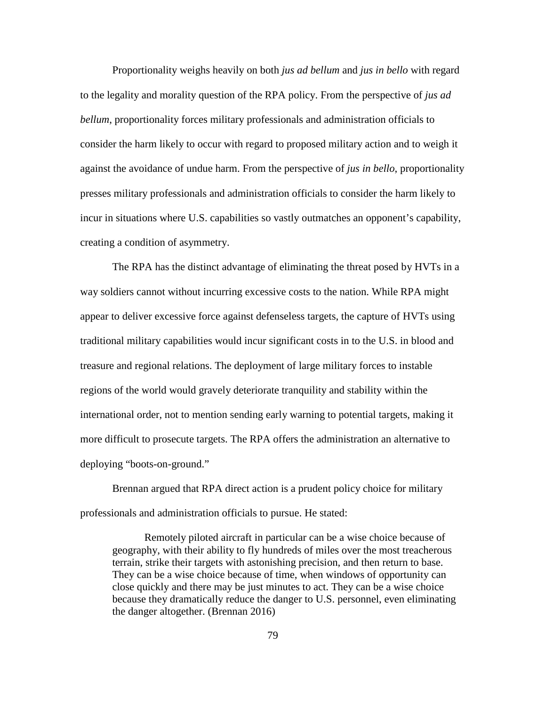Proportionality weighs heavily on both *jus ad bellum* and *jus in bello* with regard to the legality and morality question of the RPA policy. From the perspective of *jus ad bellum*, proportionality forces military professionals and administration officials to consider the harm likely to occur with regard to proposed military action and to weigh it against the avoidance of undue harm. From the perspective of *jus in bello*, proportionality presses military professionals and administration officials to consider the harm likely to incur in situations where U.S. capabilities so vastly outmatches an opponent's capability, creating a condition of asymmetry.

The RPA has the distinct advantage of eliminating the threat posed by HVTs in a way soldiers cannot without incurring excessive costs to the nation. While RPA might appear to deliver excessive force against defenseless targets, the capture of HVTs using traditional military capabilities would incur significant costs in to the U.S. in blood and treasure and regional relations. The deployment of large military forces to instable regions of the world would gravely deteriorate tranquility and stability within the international order, not to mention sending early warning to potential targets, making it more difficult to prosecute targets. The RPA offers the administration an alternative to deploying "boots-on-ground."

Brennan argued that RPA direct action is a prudent policy choice for military professionals and administration officials to pursue. He stated:

Remotely piloted aircraft in particular can be a wise choice because of geography, with their ability to fly hundreds of miles over the most treacherous terrain, strike their targets with astonishing precision, and then return to base. They can be a wise choice because of time, when windows of opportunity can close quickly and there may be just minutes to act. They can be a wise choice because they dramatically reduce the danger to U.S. personnel, even eliminating the danger altogether. (Brennan 2016)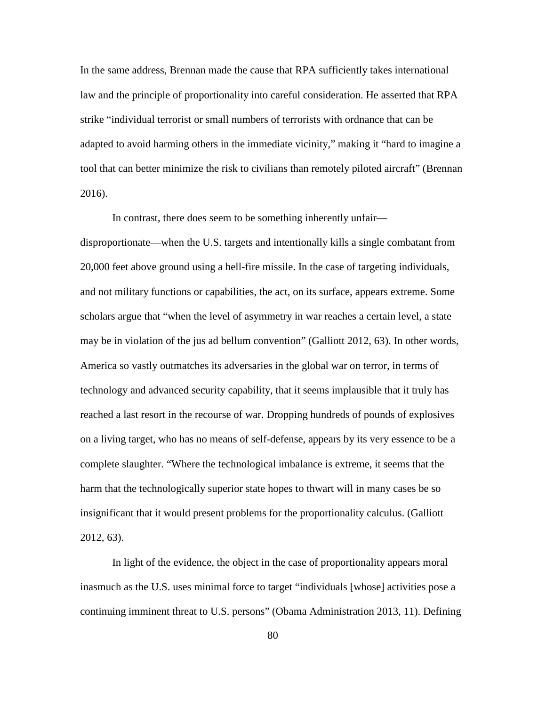In the same address, Brennan made the cause that RPA sufficiently takes international law and the principle of proportionality into careful consideration. He asserted that RPA strike "individual terrorist or small numbers of terrorists with ordnance that can be adapted to avoid harming others in the immediate vicinity," making it "hard to imagine a tool that can better minimize the risk to civilians than remotely piloted aircraft" (Brennan 2016).

In contrast, there does seem to be something inherently unfair disproportionate—when the U.S. targets and intentionally kills a single combatant from 20,000 feet above ground using a hell-fire missile. In the case of targeting individuals, and not military functions or capabilities, the act, on its surface, appears extreme. Some scholars argue that "when the level of asymmetry in war reaches a certain level, a state may be in violation of the jus ad bellum convention" (Galliott 2012, 63). In other words, America so vastly outmatches its adversaries in the global war on terror, in terms of technology and advanced security capability, that it seems implausible that it truly has reached a last resort in the recourse of war. Dropping hundreds of pounds of explosives on a living target, who has no means of self-defense, appears by its very essence to be a complete slaughter. "Where the technological imbalance is extreme, it seems that the harm that the technologically superior state hopes to thwart will in many cases be so insignificant that it would present problems for the proportionality calculus. (Galliott 2012, 63).

In light of the evidence, the object in the case of proportionality appears moral inasmuch as the U.S. uses minimal force to target "individuals [whose] activities pose a continuing imminent threat to U.S. persons" (Obama Administration 2013, 11). Defining

80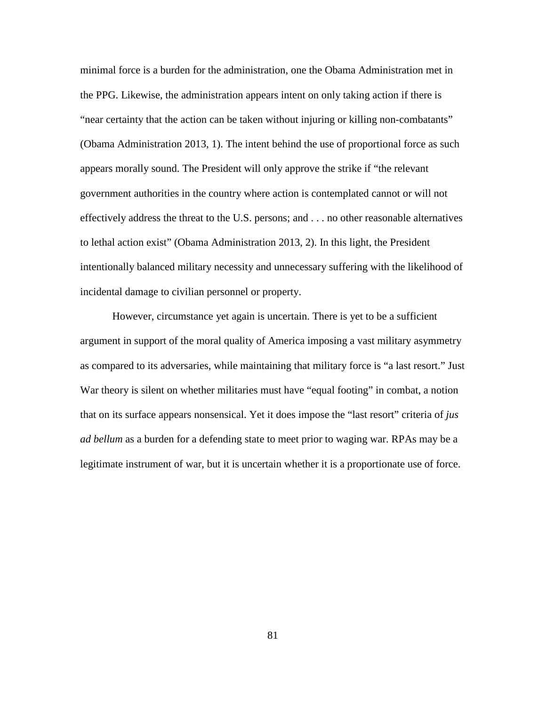minimal force is a burden for the administration, one the Obama Administration met in the PPG. Likewise, the administration appears intent on only taking action if there is "near certainty that the action can be taken without injuring or killing non-combatants" (Obama Administration 2013, 1). The intent behind the use of proportional force as such appears morally sound. The President will only approve the strike if "the relevant government authorities in the country where action is contemplated cannot or will not effectively address the threat to the U.S. persons; and . . . no other reasonable alternatives to lethal action exist" (Obama Administration 2013, 2). In this light, the President intentionally balanced military necessity and unnecessary suffering with the likelihood of incidental damage to civilian personnel or property.

However, circumstance yet again is uncertain. There is yet to be a sufficient argument in support of the moral quality of America imposing a vast military asymmetry as compared to its adversaries, while maintaining that military force is "a last resort." Just War theory is silent on whether militaries must have "equal footing" in combat, a notion that on its surface appears nonsensical. Yet it does impose the "last resort" criteria of *jus ad bellum* as a burden for a defending state to meet prior to waging war. RPAs may be a legitimate instrument of war, but it is uncertain whether it is a proportionate use of force.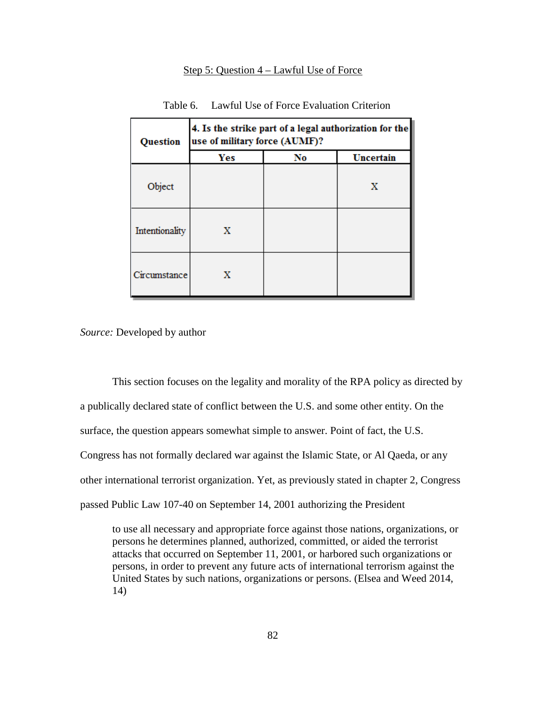## Step 5: Question 4 – Lawful Use of Force

| <b>Question</b> | 4. Is the strike part of a legal authorization for the<br>use of military force (AUMF)? |    |           |  |
|-----------------|-----------------------------------------------------------------------------------------|----|-----------|--|
|                 | Yes                                                                                     | No | Uncertain |  |
| Object          |                                                                                         |    | х         |  |
| Intentionality  | x                                                                                       |    |           |  |
| Circumstance    | x                                                                                       |    |           |  |

Table 6. Lawful Use of Force Evaluation Criterion

*Source:* Developed by author

This section focuses on the legality and morality of the RPA policy as directed by a publically declared state of conflict between the U.S. and some other entity. On the surface, the question appears somewhat simple to answer. Point of fact, the U.S. Congress has not formally declared war against the Islamic State, or Al Qaeda, or any other international terrorist organization. Yet, as previously stated in chapter 2, Congress passed Public Law 107-40 on September 14, 2001 authorizing the President

to use all necessary and appropriate force against those nations, organizations, or persons he determines planned, authorized, committed, or aided the terrorist attacks that occurred on September 11, 2001, or harbored such organizations or persons, in order to prevent any future acts of international terrorism against the United States by such nations, organizations or persons. (Elsea and Weed 2014, 14)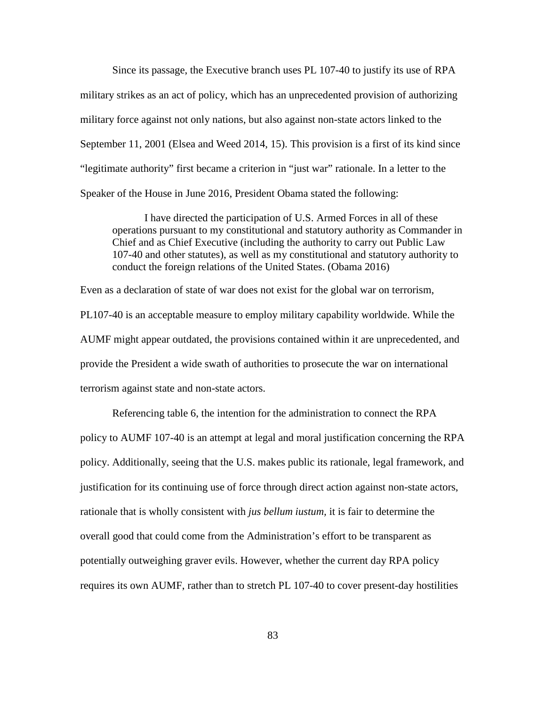Since its passage, the Executive branch uses PL 107-40 to justify its use of RPA military strikes as an act of policy, which has an unprecedented provision of authorizing military force against not only nations, but also against non-state actors linked to the September 11, 2001 (Elsea and Weed 2014, 15). This provision is a first of its kind since "legitimate authority" first became a criterion in "just war" rationale. In a letter to the Speaker of the House in June 2016, President Obama stated the following:

I have directed the participation of U.S. Armed Forces in all of these operations pursuant to my constitutional and statutory authority as Commander in Chief and as Chief Executive (including the authority to carry out Public Law 107-40 and other statutes), as well as my constitutional and statutory authority to conduct the foreign relations of the United States. (Obama 2016)

Even as a declaration of state of war does not exist for the global war on terrorism, PL107-40 is an acceptable measure to employ military capability worldwide. While the AUMF might appear outdated, the provisions contained within it are unprecedented, and provide the President a wide swath of authorities to prosecute the war on international terrorism against state and non-state actors.

Referencing table 6, the intention for the administration to connect the RPA policy to AUMF 107-40 is an attempt at legal and moral justification concerning the RPA policy. Additionally, seeing that the U.S. makes public its rationale, legal framework, and justification for its continuing use of force through direct action against non-state actors, rationale that is wholly consistent with *jus bellum iustum,* it is fair to determine the overall good that could come from the Administration's effort to be transparent as potentially outweighing graver evils. However, whether the current day RPA policy requires its own AUMF, rather than to stretch PL 107-40 to cover present-day hostilities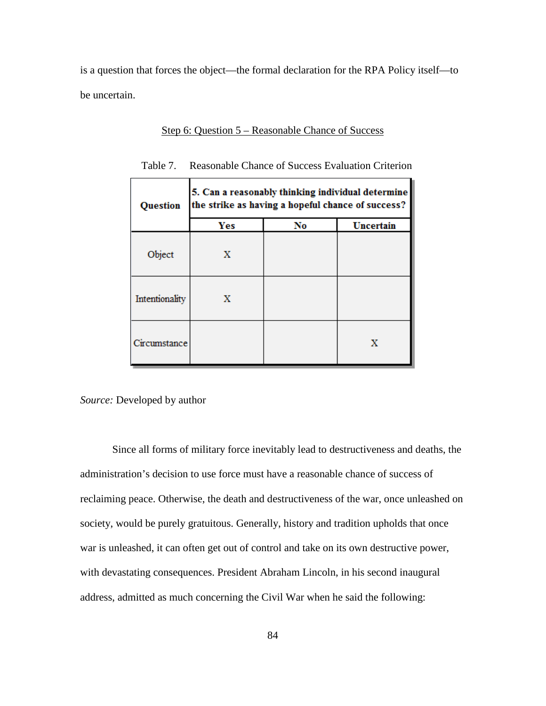is a question that forces the object—the formal declaration for the RPA Policy itself—to be uncertain.

Step 6: Question 5 – Reasonable Chance of Success

| <b>Question</b> | 5. Can a reasonably thinking individual determine<br>the strike as having a hopeful chance of success? |    |           |  |
|-----------------|--------------------------------------------------------------------------------------------------------|----|-----------|--|
|                 | Yes                                                                                                    | No | Uncertain |  |
| Object          | х                                                                                                      |    |           |  |
| Intentionality  | X                                                                                                      |    |           |  |
| Circumstance    |                                                                                                        |    | х         |  |

Table 7. Reasonable Chance of Success Evaluation Criterion

*Source:* Developed by author

Since all forms of military force inevitably lead to destructiveness and deaths, the administration's decision to use force must have a reasonable chance of success of reclaiming peace. Otherwise, the death and destructiveness of the war, once unleashed on society, would be purely gratuitous. Generally, history and tradition upholds that once war is unleashed, it can often get out of control and take on its own destructive power, with devastating consequences. President Abraham Lincoln, in his second inaugural address, admitted as much concerning the Civil War when he said the following: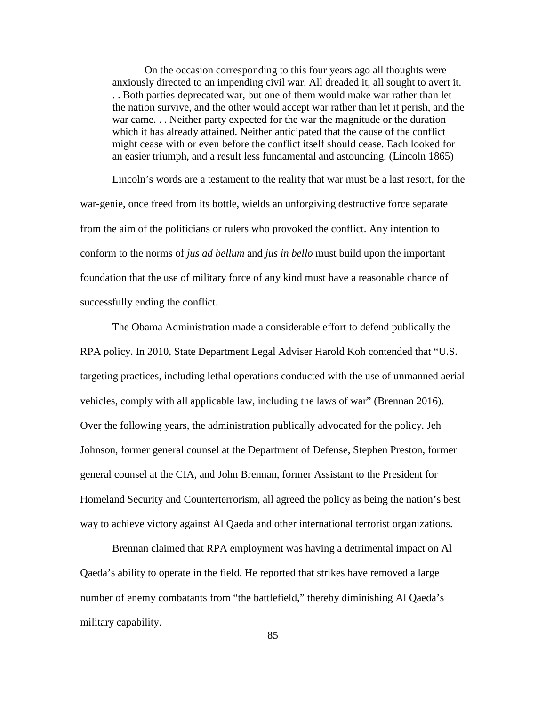On the occasion corresponding to this four years ago all thoughts were anxiously directed to an impending civil war. All dreaded it, all sought to avert it. . . Both parties deprecated war, but one of them would make war rather than let the nation survive, and the other would accept war rather than let it perish, and the war came. . . Neither party expected for the war the magnitude or the duration which it has already attained. Neither anticipated that the cause of the conflict might cease with or even before the conflict itself should cease. Each looked for an easier triumph, and a result less fundamental and astounding. (Lincoln 1865)

Lincoln's words are a testament to the reality that war must be a last resort, for the war-genie, once freed from its bottle, wields an unforgiving destructive force separate from the aim of the politicians or rulers who provoked the conflict. Any intention to conform to the norms of *jus ad bellum* and *jus in bello* must build upon the important foundation that the use of military force of any kind must have a reasonable chance of successfully ending the conflict.

The Obama Administration made a considerable effort to defend publically the RPA policy. In 2010, State Department Legal Adviser Harold Koh contended that "U.S. targeting practices, including lethal operations conducted with the use of unmanned aerial vehicles, comply with all applicable law, including the laws of war" (Brennan 2016). Over the following years, the administration publically advocated for the policy. Jeh Johnson, former general counsel at the Department of Defense, Stephen Preston, former general counsel at the CIA, and John Brennan, former Assistant to the President for Homeland Security and Counterterrorism, all agreed the policy as being the nation's best way to achieve victory against Al Qaeda and other international terrorist organizations.

Brennan claimed that RPA employment was having a detrimental impact on Al Qaeda's ability to operate in the field. He reported that strikes have removed a large number of enemy combatants from "the battlefield," thereby diminishing Al Qaeda's military capability.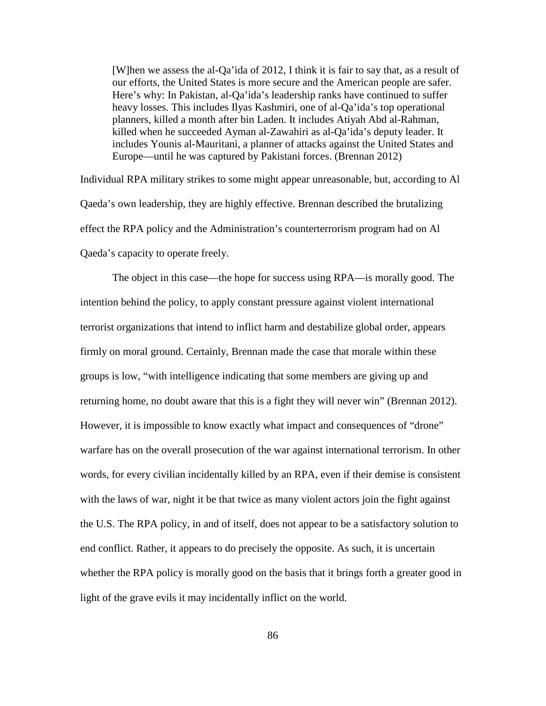[W]hen we assess the al-Qa'ida of 2012, I think it is fair to say that, as a result of our efforts, the United States is more secure and the American people are safer. Here's why: In Pakistan, al-Qa'ida's leadership ranks have continued to suffer heavy losses. This includes Ilyas Kashmiri, one of al-Qa'ida's top operational planners, killed a month after bin Laden. It includes Atiyah Abd al-Rahman, killed when he succeeded Ayman al-Zawahiri as al-Qa'ida's deputy leader. It includes Younis al-Mauritani, a planner of attacks against the United States and Europe—until he was captured by Pakistani forces. (Brennan 2012)

Individual RPA military strikes to some might appear unreasonable, but, according to Al Qaeda's own leadership, they are highly effective. Brennan described the brutalizing effect the RPA policy and the Administration's counterterrorism program had on Al Qaeda's capacity to operate freely.

The object in this case—the hope for success using RPA—is morally good. The intention behind the policy, to apply constant pressure against violent international terrorist organizations that intend to inflict harm and destabilize global order, appears firmly on moral ground. Certainly, Brennan made the case that morale within these groups is low, "with intelligence indicating that some members are giving up and returning home, no doubt aware that this is a fight they will never win" (Brennan 2012). However, it is impossible to know exactly what impact and consequences of "drone" warfare has on the overall prosecution of the war against international terrorism. In other words, for every civilian incidentally killed by an RPA, even if their demise is consistent with the laws of war, night it be that twice as many violent actors join the fight against the U.S. The RPA policy, in and of itself, does not appear to be a satisfactory solution to end conflict. Rather, it appears to do precisely the opposite. As such, it is uncertain whether the RPA policy is morally good on the basis that it brings forth a greater good in light of the grave evils it may incidentally inflict on the world.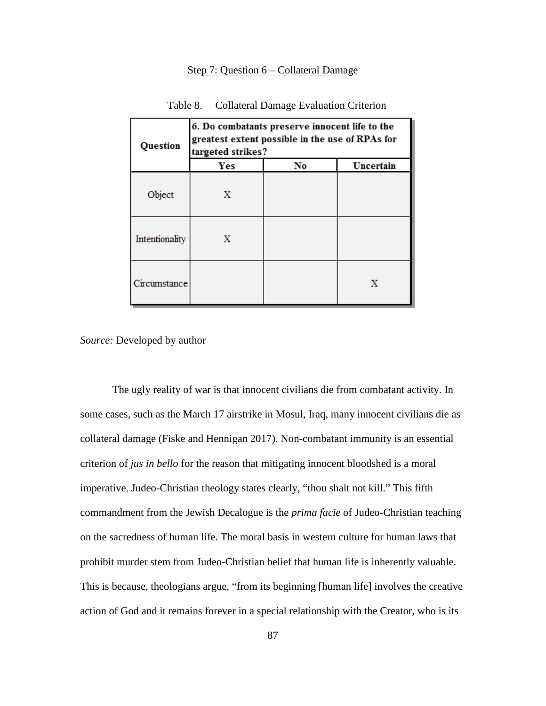## Step 7: Question 6 – Collateral Damage

| Table 8. | <b>Collateral Damage Evaluation Criterion</b> |  |
|----------|-----------------------------------------------|--|
|----------|-----------------------------------------------|--|

| <b>Question</b> | 6. Do combatants preserve innocent life to the<br>greatest extent possible in the use of RPAs for<br>targeted strikes? |    |           |
|-----------------|------------------------------------------------------------------------------------------------------------------------|----|-----------|
|                 | Yes                                                                                                                    | No | Uncertain |
| Object          | x                                                                                                                      |    |           |
| Intentionality  | X                                                                                                                      |    |           |
| Circumstance    |                                                                                                                        |    | x         |

*Source:* Developed by author

The ugly reality of war is that innocent civilians die from combatant activity. In some cases, such as the March 17 airstrike in Mosul, Iraq, many innocent civilians die as collateral damage (Fiske and Hennigan 2017). Non-combatant immunity is an essential criterion of *jus in bello* for the reason that mitigating innocent bloodshed is a moral imperative. Judeo-Christian theology states clearly, "thou shalt not kill." This fifth commandment from the Jewish Decalogue is the *prima facie* of Judeo-Christian teaching on the sacredness of human life. The moral basis in western culture for human laws that prohibit murder stem from Judeo-Christian belief that human life is inherently valuable. This is because, theologians argue, "from its beginning [human life] involves the creative action of God and it remains forever in a special relationship with the Creator, who is its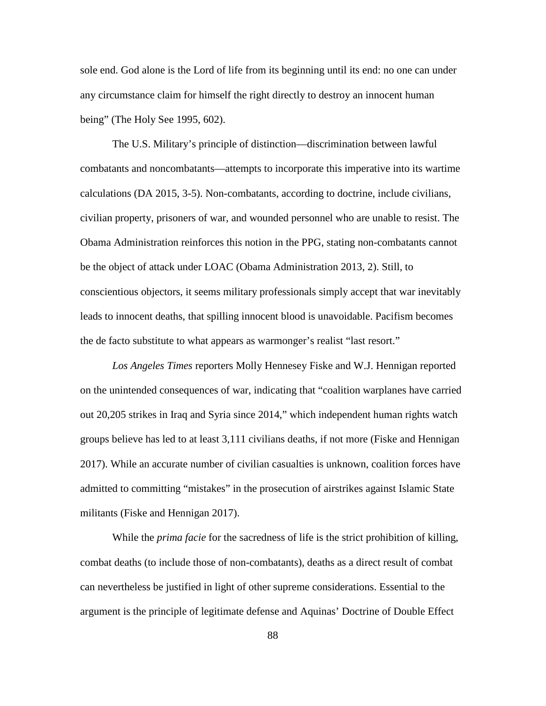sole end. God alone is the Lord of life from its beginning until its end: no one can under any circumstance claim for himself the right directly to destroy an innocent human being" (The Holy See 1995, 602).

The U.S. Military's principle of distinction—discrimination between lawful combatants and noncombatants—attempts to incorporate this imperative into its wartime calculations (DA 2015, 3-5). Non-combatants, according to doctrine, include civilians, civilian property, prisoners of war, and wounded personnel who are unable to resist. The Obama Administration reinforces this notion in the PPG, stating non-combatants cannot be the object of attack under LOAC (Obama Administration 2013, 2). Still, to conscientious objectors, it seems military professionals simply accept that war inevitably leads to innocent deaths, that spilling innocent blood is unavoidable. Pacifism becomes the de facto substitute to what appears as warmonger's realist "last resort."

*Los Angeles Times* reporters Molly Hennesey Fiske and W.J. Hennigan reported on the unintended consequences of war, indicating that "coalition warplanes have carried out 20,205 strikes in Iraq and Syria since 2014," which independent human rights watch groups believe has led to at least 3,111 civilians deaths, if not more (Fiske and Hennigan 2017). While an accurate number of civilian casualties is unknown, coalition forces have admitted to committing "mistakes" in the prosecution of airstrikes against Islamic State militants (Fiske and Hennigan 2017).

While the *prima facie* for the sacredness of life is the strict prohibition of killing, combat deaths (to include those of non-combatants), deaths as a direct result of combat can nevertheless be justified in light of other supreme considerations. Essential to the argument is the principle of legitimate defense and Aquinas' Doctrine of Double Effect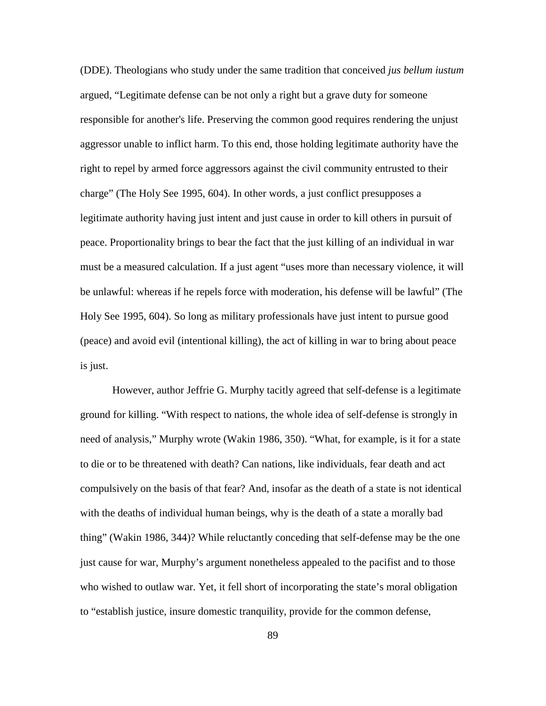(DDE). Theologians who study under the same tradition that conceived *jus bellum iustum* argued, "Legitimate defense can be not only a right but a grave duty for someone responsible for another's life. Preserving the common good requires rendering the unjust aggressor unable to inflict harm. To this end, those holding legitimate authority have the right to repel by armed force aggressors against the civil community entrusted to their charge" (The Holy See 1995, 604). In other words, a just conflict presupposes a legitimate authority having just intent and just cause in order to kill others in pursuit of peace. Proportionality brings to bear the fact that the just killing of an individual in war must be a measured calculation. If a just agent "uses more than necessary violence, it will be unlawful: whereas if he repels force with moderation, his defense will be lawful" (The Holy See 1995, 604). So long as military professionals have just intent to pursue good (peace) and avoid evil (intentional killing), the act of killing in war to bring about peace is just.

However, author Jeffrie G. Murphy tacitly agreed that self-defense is a legitimate ground for killing. "With respect to nations, the whole idea of self-defense is strongly in need of analysis," Murphy wrote (Wakin 1986, 350). "What, for example, is it for a state to die or to be threatened with death? Can nations, like individuals, fear death and act compulsively on the basis of that fear? And, insofar as the death of a state is not identical with the deaths of individual human beings, why is the death of a state a morally bad thing" (Wakin 1986, 344)? While reluctantly conceding that self-defense may be the one just cause for war, Murphy's argument nonetheless appealed to the pacifist and to those who wished to outlaw war. Yet, it fell short of incorporating the state's moral obligation to "establish justice, insure domestic tranquility, provide for the common defense,

89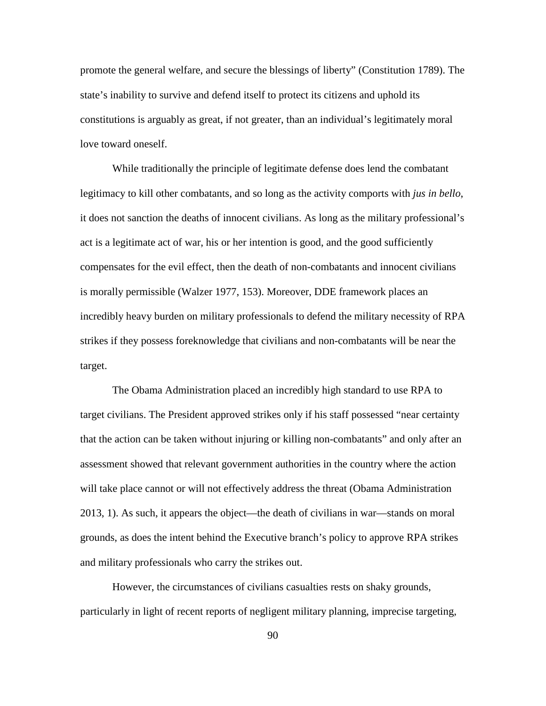promote the general welfare, and secure the blessings of liberty" (Constitution 1789). The state's inability to survive and defend itself to protect its citizens and uphold its constitutions is arguably as great, if not greater, than an individual's legitimately moral love toward oneself.

While traditionally the principle of legitimate defense does lend the combatant legitimacy to kill other combatants, and so long as the activity comports with *jus in bello*, it does not sanction the deaths of innocent civilians. As long as the military professional's act is a legitimate act of war, his or her intention is good, and the good sufficiently compensates for the evil effect, then the death of non-combatants and innocent civilians is morally permissible (Walzer 1977, 153). Moreover, DDE framework places an incredibly heavy burden on military professionals to defend the military necessity of RPA strikes if they possess foreknowledge that civilians and non-combatants will be near the target.

The Obama Administration placed an incredibly high standard to use RPA to target civilians. The President approved strikes only if his staff possessed "near certainty that the action can be taken without injuring or killing non-combatants" and only after an assessment showed that relevant government authorities in the country where the action will take place cannot or will not effectively address the threat (Obama Administration 2013, 1). As such, it appears the object—the death of civilians in war—stands on moral grounds, as does the intent behind the Executive branch's policy to approve RPA strikes and military professionals who carry the strikes out.

However, the circumstances of civilians casualties rests on shaky grounds, particularly in light of recent reports of negligent military planning, imprecise targeting,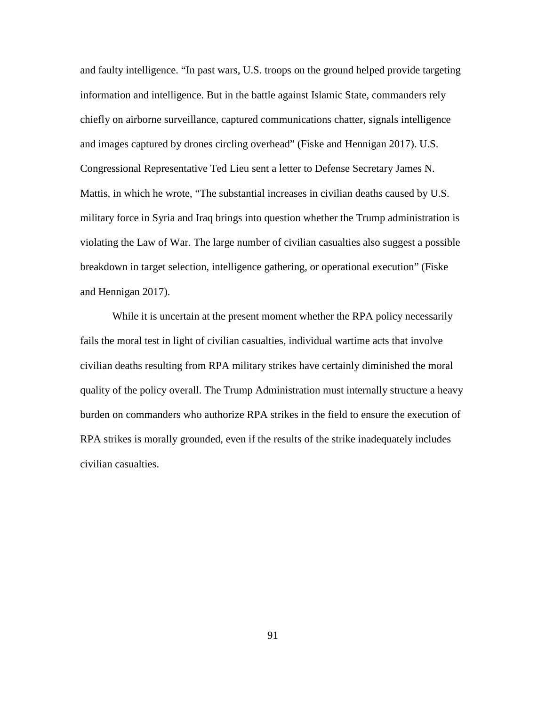and faulty intelligence. "In past wars, U.S. troops on the ground helped provide targeting information and intelligence. But in the battle against Islamic State, commanders rely chiefly on airborne surveillance, captured communications chatter, signals intelligence and images captured by drones circling overhead" (Fiske and Hennigan 2017). U.S. Congressional Representative Ted Lieu sent a letter to Defense Secretary James N. Mattis, in which he wrote, "The substantial increases in civilian deaths caused by U.S. military force in Syria and Iraq brings into question whether the Trump administration is violating the Law of War. The large number of civilian casualties also suggest a possible breakdown in target selection, intelligence gathering, or operational execution" (Fiske and Hennigan 2017).

While it is uncertain at the present moment whether the RPA policy necessarily fails the moral test in light of civilian casualties, individual wartime acts that involve civilian deaths resulting from RPA military strikes have certainly diminished the moral quality of the policy overall. The Trump Administration must internally structure a heavy burden on commanders who authorize RPA strikes in the field to ensure the execution of RPA strikes is morally grounded, even if the results of the strike inadequately includes civilian casualties.

91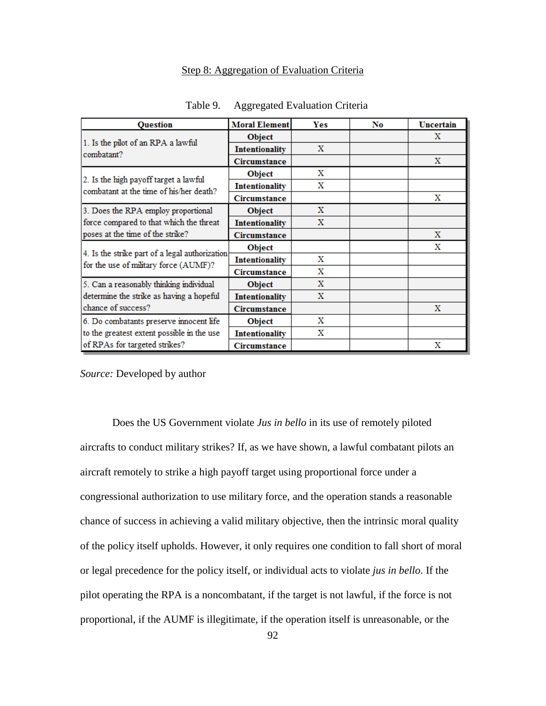# Step 8: Aggregation of Evaluation Criteria

| <b>Ouestion</b>                                                                         | <b>Moral Element</b>  | Yes         | No | Uncertain |
|-----------------------------------------------------------------------------------------|-----------------------|-------------|----|-----------|
| 1. Is the pilot of an RPA a lawful<br>combatant?                                        | <b>Object</b>         |             |    | X         |
|                                                                                         | <b>Intentionality</b> | $\mathbf x$ |    |           |
|                                                                                         | Circumstance          |             |    | X         |
| 2. Is the high payoff target a lawful<br>combatant at the time of his/her death?        | Object                | х           |    |           |
|                                                                                         | <b>Intentionality</b> | Х           |    |           |
|                                                                                         | Circumstance          |             |    | x         |
| 3. Does the RPA employ proportional                                                     | <b>Object</b>         | х           |    |           |
| force compared to that which the threat                                                 | <b>Intentionality</b> | X           |    |           |
| poses at the time of the strike?                                                        | Circumstance          |             |    | X         |
| 4. Is the strike part of a legal authorization<br>for the use of military force (AUMF)? | <b>Object</b>         |             |    | x         |
|                                                                                         | <b>Intentionality</b> | х           |    |           |
|                                                                                         | Circumstance          | X           |    |           |
| 5. Can a reasonably thinking individual                                                 | <b>Object</b>         | X           |    |           |
| determine the strike as having a hopeful                                                | <b>Intentionality</b> | x           |    |           |
| chance of success?                                                                      | Circumstance          |             |    | X         |
| 6. Do combatants preserve innocent life                                                 | Object                | х           |    |           |
| to the greatest extent possible in the use                                              | <b>Intentionality</b> | х           |    |           |
| of RPAs for targeted strikes?                                                           | Circumstance          |             |    | х         |

Table 9. Aggregated Evaluation Criteria

*Source:* Developed by author

Does the US Government violate *Jus in bello* in its use of remotely piloted aircrafts to conduct military strikes? If, as we have shown, a lawful combatant pilots an aircraft remotely to strike a high payoff target using proportional force under a congressional authorization to use military force, and the operation stands a reasonable chance of success in achieving a valid military objective, then the intrinsic moral quality of the policy itself upholds. However, it only requires one condition to fall short of moral or legal precedence for the policy itself, or individual acts to violate *jus in bello*. If the pilot operating the RPA is a noncombatant, if the target is not lawful, if the force is not proportional, if the AUMF is illegitimate, if the operation itself is unreasonable, or the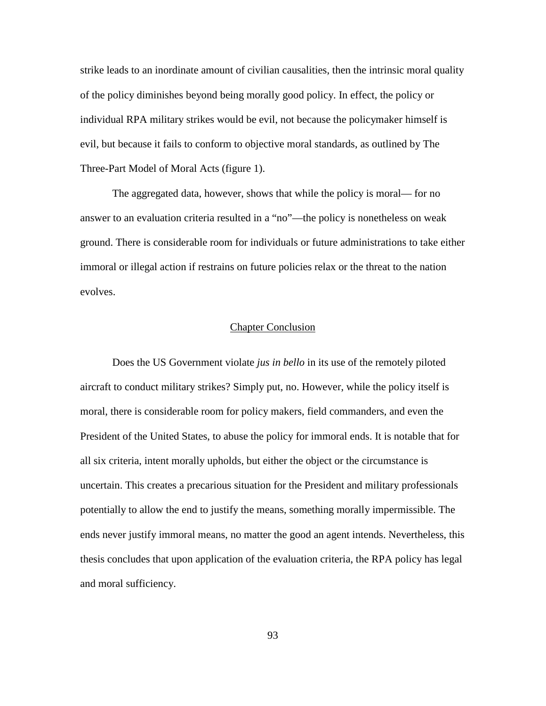strike leads to an inordinate amount of civilian causalities, then the intrinsic moral quality of the policy diminishes beyond being morally good policy. In effect, the policy or individual RPA military strikes would be evil, not because the policymaker himself is evil, but because it fails to conform to objective moral standards, as outlined by The Three-Part Model of Moral Acts (figure 1).

The aggregated data, however, shows that while the policy is moral— for no answer to an evaluation criteria resulted in a "no"—the policy is nonetheless on weak ground. There is considerable room for individuals or future administrations to take either immoral or illegal action if restrains on future policies relax or the threat to the nation evolves.

## Chapter Conclusion

Does the US Government violate *jus in bello* in its use of the remotely piloted aircraft to conduct military strikes? Simply put, no. However, while the policy itself is moral, there is considerable room for policy makers, field commanders, and even the President of the United States, to abuse the policy for immoral ends. It is notable that for all six criteria, intent morally upholds, but either the object or the circumstance is uncertain. This creates a precarious situation for the President and military professionals potentially to allow the end to justify the means, something morally impermissible. The ends never justify immoral means, no matter the good an agent intends. Nevertheless, this thesis concludes that upon application of the evaluation criteria, the RPA policy has legal and moral sufficiency.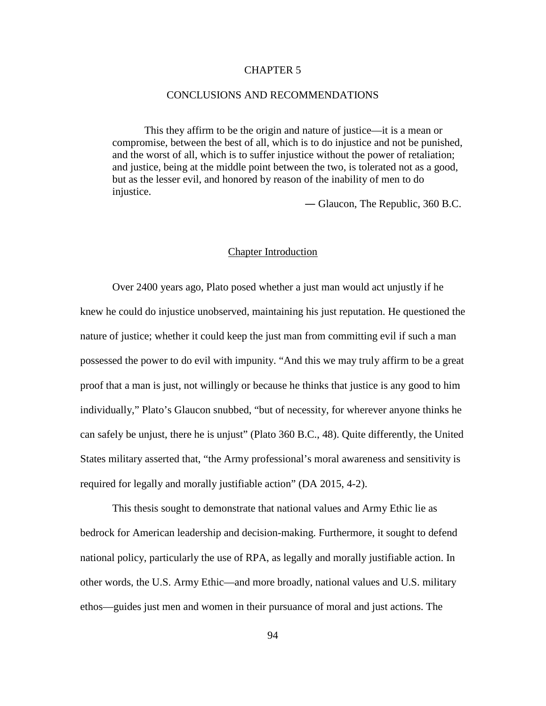#### CHAPTER 5

#### CONCLUSIONS AND RECOMMENDATIONS

This they affirm to be the origin and nature of justice—it is a mean or compromise, between the best of all, which is to do injustice and not be punished, and the worst of all, which is to suffer injustice without the power of retaliation; and justice, being at the middle point between the two, is tolerated not as a good, but as the lesser evil, and honored by reason of the inability of men to do injustice.

― Glaucon, The Republic, 360 B.C.

## Chapter Introduction

Over 2400 years ago, Plato posed whether a just man would act unjustly if he knew he could do injustice unobserved, maintaining his just reputation. He questioned the nature of justice; whether it could keep the just man from committing evil if such a man possessed the power to do evil with impunity. "And this we may truly affirm to be a great proof that a man is just, not willingly or because he thinks that justice is any good to him individually," Plato's Glaucon snubbed, "but of necessity, for wherever anyone thinks he can safely be unjust, there he is unjust" (Plato 360 B.C., 48). Quite differently, the United States military asserted that, "the Army professional's moral awareness and sensitivity is required for legally and morally justifiable action" (DA 2015, 4-2).

This thesis sought to demonstrate that national values and Army Ethic lie as bedrock for American leadership and decision-making. Furthermore, it sought to defend national policy, particularly the use of RPA, as legally and morally justifiable action. In other words, the U.S. Army Ethic—and more broadly, national values and U.S. military ethos—guides just men and women in their pursuance of moral and just actions. The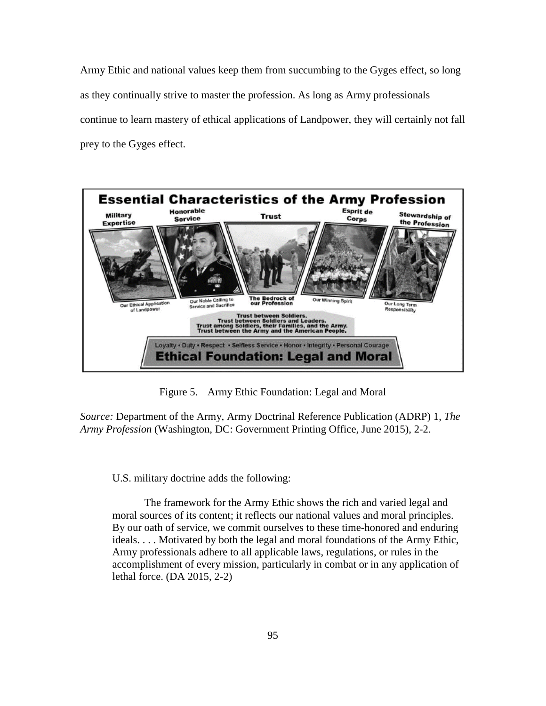Army Ethic and national values keep them from succumbing to the Gyges effect, so long as they continually strive to master the profession. As long as Army professionals continue to learn mastery of ethical applications of Landpower, they will certainly not fall prey to the Gyges effect.



Figure 5. Army Ethic Foundation: Legal and Moral

*Source:* Department of the Army, Army Doctrinal Reference Publication (ADRP) 1, *The Army Profession* (Washington, DC: Government Printing Office, June 2015), 2-2.

U.S. military doctrine adds the following:

The framework for the Army Ethic shows the rich and varied legal and moral sources of its content; it reflects our national values and moral principles. By our oath of service, we commit ourselves to these time-honored and enduring ideals. . . . Motivated by both the legal and moral foundations of the Army Ethic, Army professionals adhere to all applicable laws, regulations, or rules in the accomplishment of every mission, particularly in combat or in any application of lethal force. (DA 2015, 2-2)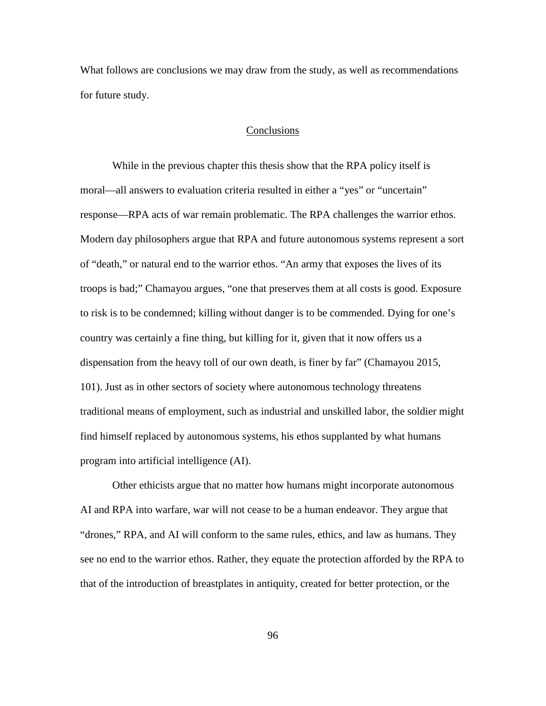What follows are conclusions we may draw from the study, as well as recommendations for future study.

## Conclusions

While in the previous chapter this thesis show that the RPA policy itself is moral—all answers to evaluation criteria resulted in either a "yes" or "uncertain" response—RPA acts of war remain problematic. The RPA challenges the warrior ethos. Modern day philosophers argue that RPA and future autonomous systems represent a sort of "death," or natural end to the warrior ethos. "An army that exposes the lives of its troops is bad;" Chamayou argues, "one that preserves them at all costs is good. Exposure to risk is to be condemned; killing without danger is to be commended. Dying for one's country was certainly a fine thing, but killing for it, given that it now offers us a dispensation from the heavy toll of our own death, is finer by far" (Chamayou 2015, 101). Just as in other sectors of society where autonomous technology threatens traditional means of employment, such as industrial and unskilled labor, the soldier might find himself replaced by autonomous systems, his ethos supplanted by what humans program into artificial intelligence (AI).

Other ethicists argue that no matter how humans might incorporate autonomous AI and RPA into warfare, war will not cease to be a human endeavor. They argue that "drones," RPA, and AI will conform to the same rules, ethics, and law as humans. They see no end to the warrior ethos. Rather, they equate the protection afforded by the RPA to that of the introduction of breastplates in antiquity, created for better protection, or the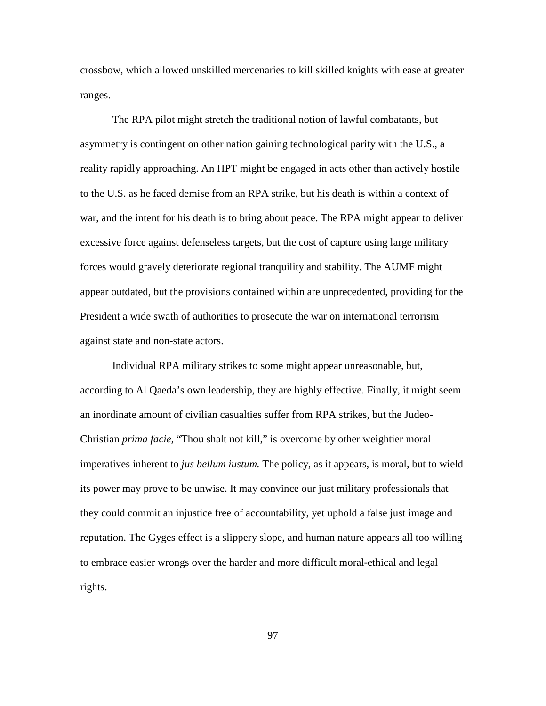crossbow, which allowed unskilled mercenaries to kill skilled knights with ease at greater ranges.

The RPA pilot might stretch the traditional notion of lawful combatants, but asymmetry is contingent on other nation gaining technological parity with the U.S., a reality rapidly approaching. An HPT might be engaged in acts other than actively hostile to the U.S. as he faced demise from an RPA strike, but his death is within a context of war, and the intent for his death is to bring about peace. The RPA might appear to deliver excessive force against defenseless targets, but the cost of capture using large military forces would gravely deteriorate regional tranquility and stability. The AUMF might appear outdated, but the provisions contained within are unprecedented, providing for the President a wide swath of authorities to prosecute the war on international terrorism against state and non-state actors.

Individual RPA military strikes to some might appear unreasonable, but, according to Al Qaeda's own leadership, they are highly effective. Finally, it might seem an inordinate amount of civilian casualties suffer from RPA strikes, but the Judeo-Christian *prima facie,* "Thou shalt not kill," is overcome by other weightier moral imperatives inherent to *jus bellum iustum.* The policy, as it appears, is moral, but to wield its power may prove to be unwise. It may convince our just military professionals that they could commit an injustice free of accountability, yet uphold a false just image and reputation. The Gyges effect is a slippery slope, and human nature appears all too willing to embrace easier wrongs over the harder and more difficult moral-ethical and legal rights.

97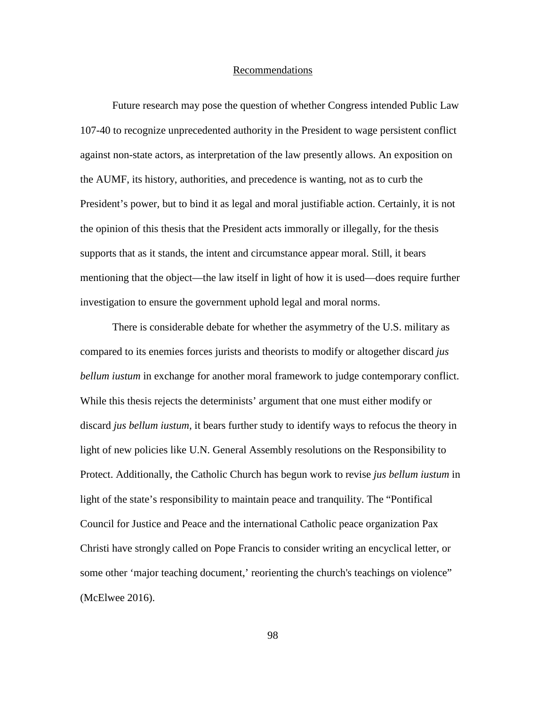#### Recommendations

Future research may pose the question of whether Congress intended Public Law 107-40 to recognize unprecedented authority in the President to wage persistent conflict against non-state actors, as interpretation of the law presently allows. An exposition on the AUMF, its history, authorities, and precedence is wanting, not as to curb the President's power, but to bind it as legal and moral justifiable action. Certainly, it is not the opinion of this thesis that the President acts immorally or illegally, for the thesis supports that as it stands, the intent and circumstance appear moral. Still, it bears mentioning that the object—the law itself in light of how it is used—does require further investigation to ensure the government uphold legal and moral norms.

There is considerable debate for whether the asymmetry of the U.S. military as compared to its enemies forces jurists and theorists to modify or altogether discard *jus bellum iustum* in exchange for another moral framework to judge contemporary conflict. While this thesis rejects the determinists' argument that one must either modify or discard *jus bellum iustum,* it bears further study to identify ways to refocus the theory in light of new policies like U.N. General Assembly resolutions on the Responsibility to Protect. Additionally, the Catholic Church has begun work to revise *jus bellum iustum* in light of the state's responsibility to maintain peace and tranquility. The "Pontifical Council for Justice and Peace and the international Catholic peace organization Pax Christi have strongly called on Pope Francis to consider writing an encyclical letter, or some other 'major teaching document,' reorienting the church's teachings on violence" (McElwee 2016).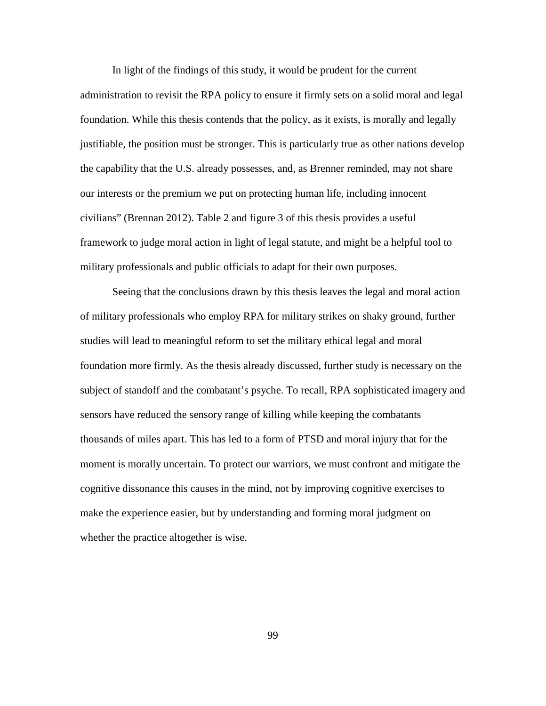In light of the findings of this study, it would be prudent for the current administration to revisit the RPA policy to ensure it firmly sets on a solid moral and legal foundation. While this thesis contends that the policy, as it exists, is morally and legally justifiable, the position must be stronger. This is particularly true as other nations develop the capability that the U.S. already possesses, and, as Brenner reminded, may not share our interests or the premium we put on protecting human life, including innocent civilians" (Brennan 2012). Table 2 and figure 3 of this thesis provides a useful framework to judge moral action in light of legal statute, and might be a helpful tool to military professionals and public officials to adapt for their own purposes.

Seeing that the conclusions drawn by this thesis leaves the legal and moral action of military professionals who employ RPA for military strikes on shaky ground, further studies will lead to meaningful reform to set the military ethical legal and moral foundation more firmly. As the thesis already discussed, further study is necessary on the subject of standoff and the combatant's psyche. To recall, RPA sophisticated imagery and sensors have reduced the sensory range of killing while keeping the combatants thousands of miles apart. This has led to a form of PTSD and moral injury that for the moment is morally uncertain. To protect our warriors, we must confront and mitigate the cognitive dissonance this causes in the mind, not by improving cognitive exercises to make the experience easier, but by understanding and forming moral judgment on whether the practice altogether is wise.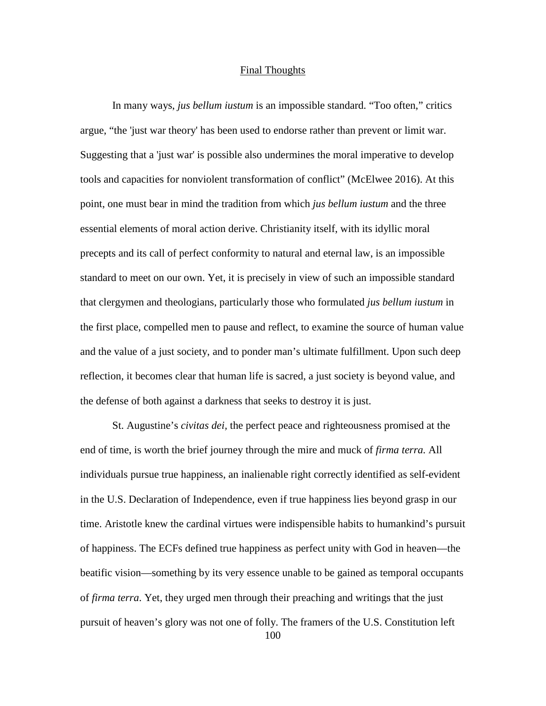## Final Thoughts

In many ways, *jus bellum iustum* is an impossible standard. "Too often," critics argue, "the 'just war theory' has been used to endorse rather than prevent or limit war. Suggesting that a 'just war' is possible also undermines the moral imperative to develop tools and capacities for nonviolent transformation of conflict" (McElwee 2016). At this point, one must bear in mind the tradition from which *jus bellum iustum* and the three essential elements of moral action derive. Christianity itself, with its idyllic moral precepts and its call of perfect conformity to natural and eternal law, is an impossible standard to meet on our own. Yet, it is precisely in view of such an impossible standard that clergymen and theologians, particularly those who formulated *jus bellum iustum* in the first place, compelled men to pause and reflect, to examine the source of human value and the value of a just society, and to ponder man's ultimate fulfillment. Upon such deep reflection, it becomes clear that human life is sacred, a just society is beyond value, and the defense of both against a darkness that seeks to destroy it is just.

St. Augustine's *civitas dei,* the perfect peace and righteousness promised at the end of time, is worth the brief journey through the mire and muck of *firma terra.* All individuals pursue true happiness, an inalienable right correctly identified as self-evident in the U.S. Declaration of Independence, even if true happiness lies beyond grasp in our time. Aristotle knew the cardinal virtues were indispensible habits to humankind's pursuit of happiness. The ECFs defined true happiness as perfect unity with God in heaven—the beatific vision—something by its very essence unable to be gained as temporal occupants of *firma terra*. Yet, they urged men through their preaching and writings that the just pursuit of heaven's glory was not one of folly. The framers of the U.S. Constitution left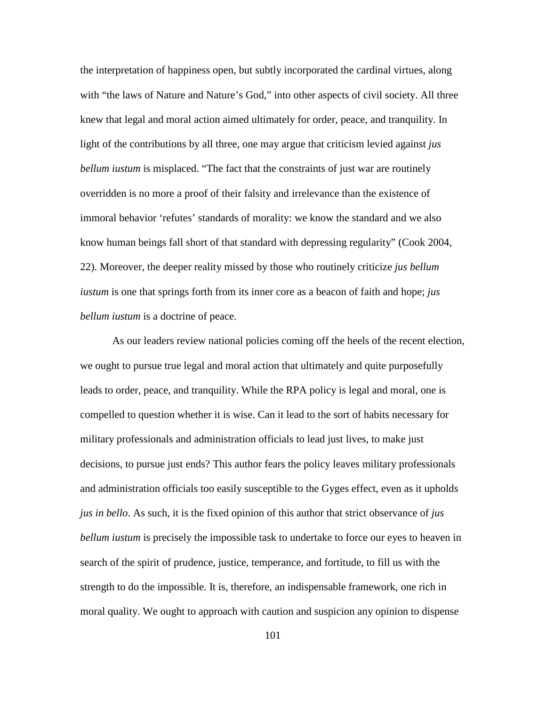the interpretation of happiness open, but subtly incorporated the cardinal virtues, along with "the laws of Nature and Nature's God," into other aspects of civil society. All three knew that legal and moral action aimed ultimately for order, peace, and tranquility. In light of the contributions by all three, one may argue that criticism levied against *jus bellum iustum* is misplaced. "The fact that the constraints of just war are routinely overridden is no more a proof of their falsity and irrelevance than the existence of immoral behavior 'refutes' standards of morality: we know the standard and we also know human beings fall short of that standard with depressing regularity" (Cook 2004, 22). Moreover, the deeper reality missed by those who routinely criticize *jus bellum iustum* is one that springs forth from its inner core as a beacon of faith and hope; *jus bellum iustum* is a doctrine of peace.

As our leaders review national policies coming off the heels of the recent election, we ought to pursue true legal and moral action that ultimately and quite purposefully leads to order, peace, and tranquility. While the RPA policy is legal and moral, one is compelled to question whether it is wise. Can it lead to the sort of habits necessary for military professionals and administration officials to lead just lives, to make just decisions, to pursue just ends? This author fears the policy leaves military professionals and administration officials too easily susceptible to the Gyges effect, even as it upholds *jus in bello*. As such, it is the fixed opinion of this author that strict observance of *jus bellum iustum* is precisely the impossible task to undertake to force our eyes to heaven in search of the spirit of prudence, justice, temperance, and fortitude, to fill us with the strength to do the impossible. It is, therefore, an indispensable framework, one rich in moral quality. We ought to approach with caution and suspicion any opinion to dispense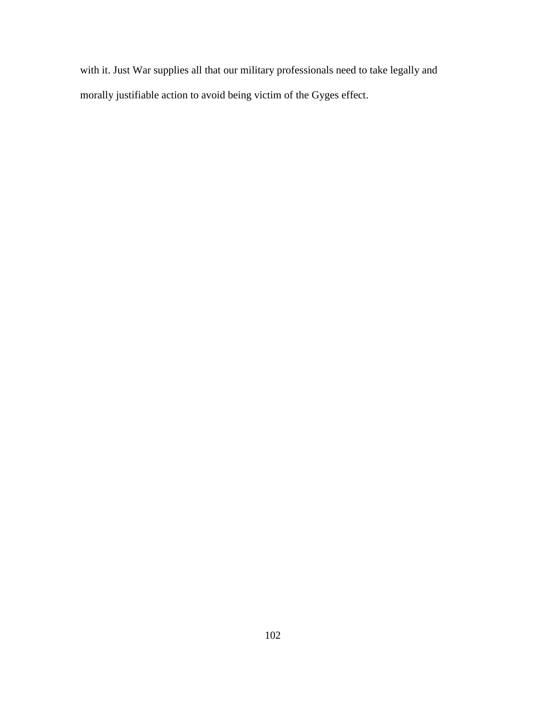with it. Just War supplies all that our military professionals need to take legally and morally justifiable action to avoid being victim of the Gyges effect.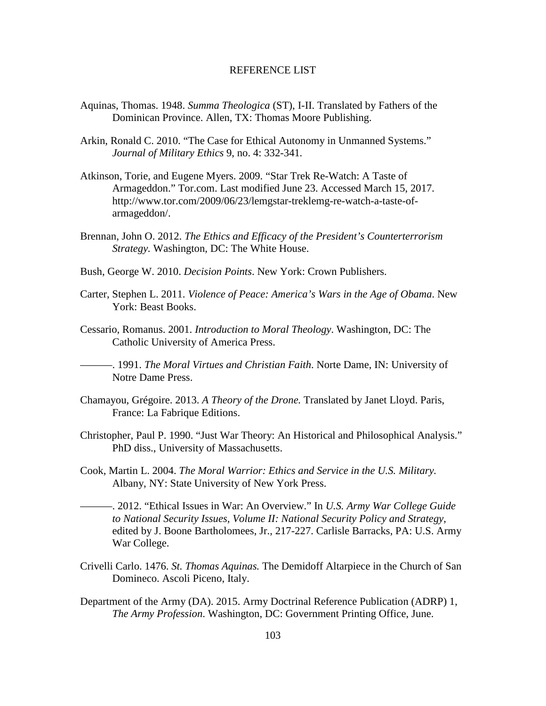#### REFERENCE LIST

- Aquinas, Thomas. 1948. *Summa Theologica* (ST), I-II. Translated by Fathers of the Dominican Province. Allen, TX: Thomas Moore Publishing.
- Arkin, Ronald C. 2010. "The Case for Ethical Autonomy in Unmanned Systems." *Journal of Military Ethics* 9, no. 4: 332-341*.*
- Atkinson, Torie, and Eugene Myers. 2009. "Star Trek Re-Watch: A Taste of Armageddon." Tor.com. Last modified June 23. Accessed March 15, 2017. http://www.tor.com/2009/06/23/lemgstar-treklemg-re-watch-a-taste-ofarmageddon/.
- Brennan, John O. 2012. *The Ethics and Efficacy of the President's Counterterrorism Strategy.* Washington, DC: The White House.
- Bush, George W. 2010. *Decision Points*. New York: Crown Publishers.
- Carter, Stephen L. 2011. *Violence of Peace: America's Wars in the Age of Obama*. New York: Beast Books.
- Cessario, Romanus. 2001. *Introduction to Moral Theology*. Washington, DC: The Catholic University of America Press.

———. 1991. *The Moral Virtues and Christian Faith*. Norte Dame, IN: University of Notre Dame Press.

- Chamayou, Grégoire. 2013. *A Theory of the Drone.* Translated by Janet Lloyd. Paris, France: La Fabrique Editions.
- Christopher, Paul P. 1990. "Just War Theory: An Historical and Philosophical Analysis." PhD diss., University of Massachusetts.
- Cook, Martin L. 2004. *The Moral Warrior: Ethics and Service in the U.S. Military.*  Albany, NY: State University of New York Press.
- ———. 2012. "Ethical Issues in War: An Overview." In *U.S. Army War College Guide to National Security Issues, Volume II: National Security Policy and Strategy*, edited by J. Boone Bartholomees, Jr., 217-227. Carlisle Barracks, PA: U.S. Army War College.
- Crivelli Carlo. 1476. *St. Thomas Aquinas.* The Demidoff Altarpiece in the Church of San Domineco. Ascoli Piceno, Italy.
- Department of the Army (DA). 2015. Army Doctrinal Reference Publication (ADRP) 1, *The Army Profession*. Washington, DC: Government Printing Office, June.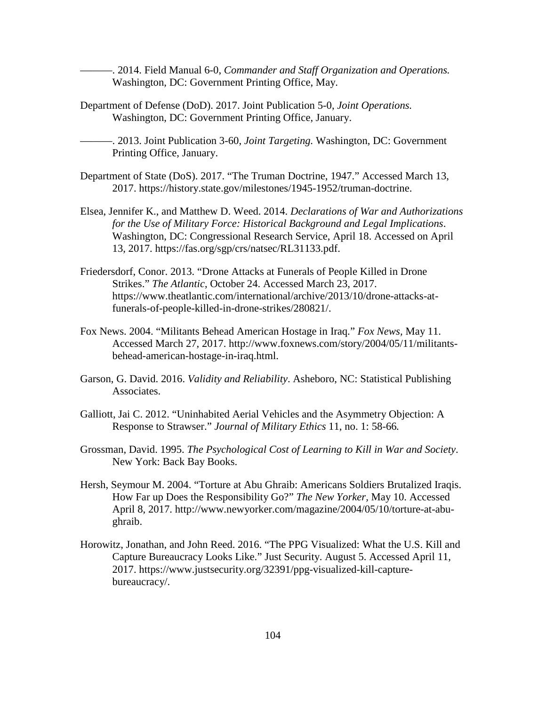———. 2014. Field Manual 6-0, *Commander and Staff Organization and Operations.*  Washington, DC: Government Printing Office, May.

Department of Defense (DoD). 2017. Joint Publication 5-0, *Joint Operations.*  Washington, DC: Government Printing Office, January.

———. 2013. Joint Publication 3-60, *Joint Targeting.* Washington, DC: Government Printing Office, January.

- Department of State (DoS). 2017. "The Truman Doctrine, 1947." Accessed March 13, 2017. https://history.state.gov/milestones/1945-1952/truman-doctrine.
- Elsea, Jennifer K., and Matthew D. Weed. 2014. *Declarations of War and Authorizations for the Use of Military Force: Historical Background and Legal Implications*. Washington, DC: Congressional Research Service, April 18. Accessed on April 13, 2017. https://fas.org/sgp/crs/natsec/RL31133.pdf.
- Friedersdorf, Conor. 2013. "Drone Attacks at Funerals of People Killed in Drone Strikes." *The Atlantic*, October 24. Accessed March 23, 2017. https://www.theatlantic.com/international/archive/2013/10/drone-attacks-atfunerals-of-people-killed-in-drone-strikes/280821/.
- Fox News. 2004. "Militants Behead American Hostage in Iraq." *Fox News,* May 11. Accessed March 27, 2017. http://www.foxnews.com/story/2004/05/11/militantsbehead-american-hostage-in-iraq.html.
- Garson, G. David. 2016. *Validity and Reliability*. Asheboro, NC: Statistical Publishing Associates.
- Galliott, Jai C. 2012. "Uninhabited Aerial Vehicles and the Asymmetry Objection: A Response to Strawser." *Journal of Military Ethics* 11, no. 1: 58-66*.*
- Grossman, David. 1995. *The Psychological Cost of Learning to Kill in War and Society*. New York: Back Bay Books.
- Hersh, Seymour M. 2004. "Torture at Abu Ghraib: Americans Soldiers Brutalized Iraqis. How Far up Does the Responsibility Go?" *The New Yorker,* May 10. Accessed April 8, 2017. http://www.newyorker.com/magazine/2004/05/10/torture-at-abughraib.
- Horowitz, Jonathan, and John Reed. 2016. "The PPG Visualized: What the U.S. Kill and Capture Bureaucracy Looks Like." Just Security. August 5. Accessed April 11, 2017. https://www.justsecurity.org/32391/ppg-visualized-kill-capturebureaucracy/.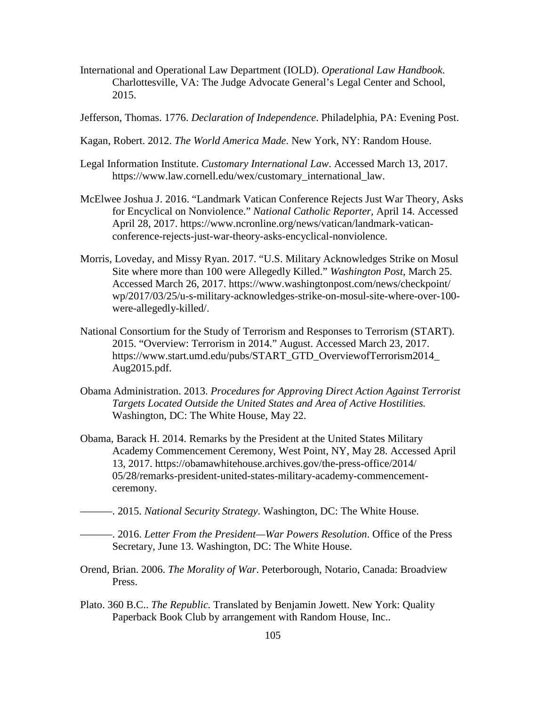- International and Operational Law Department (IOLD). *Operational Law Handbook*. Charlottesville, VA: The Judge Advocate General's Legal Center and School, 2015.
- Jefferson, Thomas. 1776. *Declaration of Independence*. Philadelphia, PA: Evening Post.
- Kagan, Robert. 2012. *The World America Made*. New York, NY: Random House.
- Legal Information Institute. *Customary International Law*. Accessed March 13, 2017. https://www.law.cornell.edu/wex/customary\_international\_law.
- McElwee Joshua J. 2016. "Landmark Vatican Conference Rejects Just War Theory, Asks for Encyclical on Nonviolence." *National Catholic Reporter,* April 14. Accessed April 28, 2017. https://www.ncronline.org/news/vatican/landmark-vaticanconference-rejects-just-war-theory-asks-encyclical-nonviolence.
- Morris, Loveday, and Missy Ryan. 2017. "U.S. Military Acknowledges Strike on Mosul Site where more than 100 were Allegedly Killed." *Washington Post,* March 25. Accessed March 26, 2017. https://www.washingtonpost.com/news/checkpoint/ wp/2017/03/25/u-s-military-acknowledges-strike-on-mosul-site-where-over-100 were-allegedly-killed/.
- National Consortium for the Study of Terrorism and Responses to Terrorism (START). 2015. "Overview: Terrorism in 2014." August. Accessed March 23, 2017. https://www.start.umd.edu/pubs/START\_GTD\_OverviewofTerrorism2014\_ Aug2015.pdf.
- Obama Administration. 2013. *Procedures for Approving Direct Action Against Terrorist Targets Located Outside the United States and Area of Active Hostilities.*  Washington, DC: The White House, May 22.
- Obama, Barack H. 2014. Remarks by the President at the United States Military Academy Commencement Ceremony, West Point, NY, May 28. Accessed April 13, 2017. https://obamawhitehouse.archives.gov/the-press-office/2014/ 05/28/remarks-president-united-states-military-academy-commencementceremony.
- ———. 2015. *National Security Strategy*. Washington, DC: The White House.

———. 2016. *Letter From the President—War Powers Resolution*. Office of the Press Secretary, June 13. Washington, DC: The White House.

- Orend, Brian. 2006. *The Morality of War*. Peterborough, Notario, Canada: Broadview Press.
- Plato. 360 B.C.. *The Republic.* Translated by Benjamin Jowett. New York: Quality Paperback Book Club by arrangement with Random House, Inc..